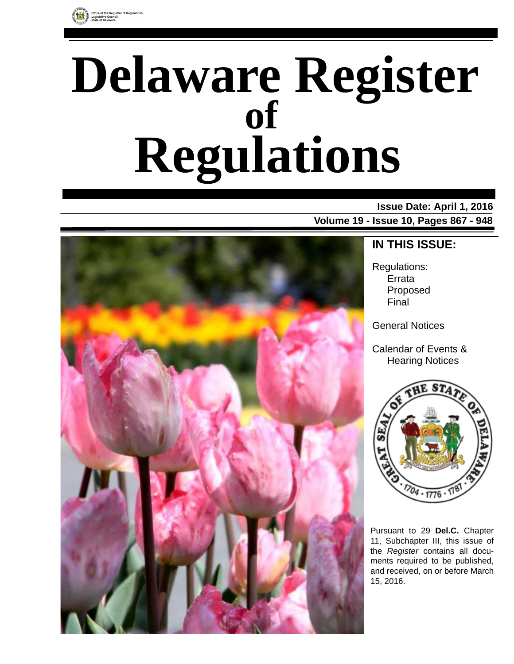

# **Delaware Register Regulations of**

### **Issue Date: April 1, 2016**

**Volume 19 - Issue 10, Pages 867 - 948**



### **IN THIS ISSUE:**

Regulations: Errata Proposed Final

General Notices

Calendar of Events & Hearing Notices



Pursuant to 29 **Del.C.** Chapter 11, Subchapter III, this issue of the *Register* contains all documents required to be published, and received, on or before March 15, 2016.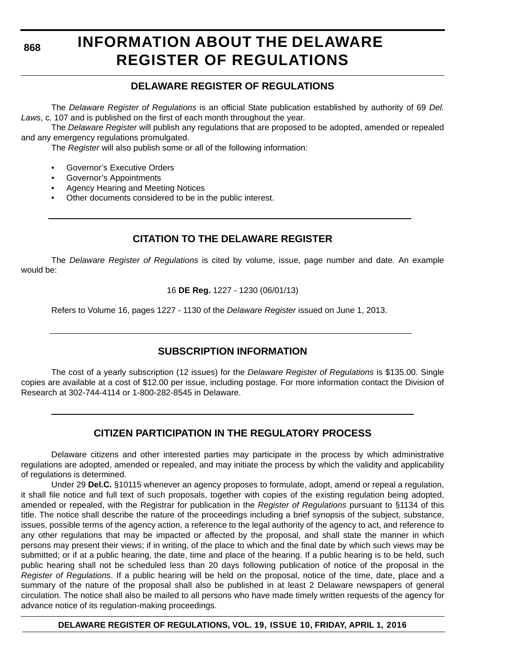# **INFORMATION ABOUT THE DELAWARE REGISTER OF REGULATIONS**

### **DELAWARE REGISTER OF REGULATIONS**

The *Delaware Register of Regulations* is an official State publication established by authority of 69 *Del. Laws*, c. 107 and is published on the first of each month throughout the year.

The *Delaware Register* will publish any regulations that are proposed to be adopted, amended or repealed and any emergency regulations promulgated.

The *Register* will also publish some or all of the following information:

- Governor's Executive Orders
- Governor's Appointments
- Agency Hearing and Meeting Notices
- Other documents considered to be in the public interest.

### **CITATION TO THE DELAWARE REGISTER**

The *Delaware Register of Regulations* is cited by volume, issue, page number and date. An example would be:

16 **DE Reg.** 1227 - 1230 (06/01/13)

Refers to Volume 16, pages 1227 - 1130 of the *Delaware Register* issued on June 1, 2013.

### **SUBSCRIPTION INFORMATION**

The cost of a yearly subscription (12 issues) for the *Delaware Register of Regulations* is \$135.00. Single copies are available at a cost of \$12.00 per issue, including postage. For more information contact the Division of Research at 302-744-4114 or 1-800-282-8545 in Delaware.

### **CITIZEN PARTICIPATION IN THE REGULATORY PROCESS**

Delaware citizens and other interested parties may participate in the process by which administrative regulations are adopted, amended or repealed, and may initiate the process by which the validity and applicability of regulations is determined.

Under 29 **Del.C.** §10115 whenever an agency proposes to formulate, adopt, amend or repeal a regulation, it shall file notice and full text of such proposals, together with copies of the existing regulation being adopted, amended or repealed, with the Registrar for publication in the *Register of Regulations* pursuant to §1134 of this title. The notice shall describe the nature of the proceedings including a brief synopsis of the subject, substance, issues, possible terms of the agency action, a reference to the legal authority of the agency to act, and reference to any other regulations that may be impacted or affected by the proposal, and shall state the manner in which persons may present their views; if in writing, of the place to which and the final date by which such views may be submitted; or if at a public hearing, the date, time and place of the hearing. If a public hearing is to be held, such public hearing shall not be scheduled less than 20 days following publication of notice of the proposal in the *Register of Regulations*. If a public hearing will be held on the proposal, notice of the time, date, place and a summary of the nature of the proposal shall also be published in at least 2 Delaware newspapers of general circulation. The notice shall also be mailed to all persons who have made timely written requests of the agency for advance notice of its regulation-making proceedings.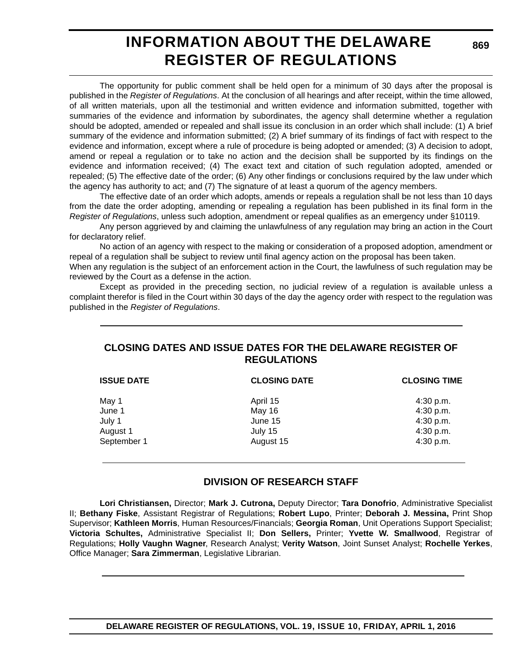## **INFORMATION ABOUT THE DELAWARE REGISTER OF REGULATIONS**

**869**

The opportunity for public comment shall be held open for a minimum of 30 days after the proposal is published in the *Register of Regulations*. At the conclusion of all hearings and after receipt, within the time allowed, of all written materials, upon all the testimonial and written evidence and information submitted, together with summaries of the evidence and information by subordinates, the agency shall determine whether a regulation should be adopted, amended or repealed and shall issue its conclusion in an order which shall include: (1) A brief summary of the evidence and information submitted; (2) A brief summary of its findings of fact with respect to the evidence and information, except where a rule of procedure is being adopted or amended; (3) A decision to adopt, amend or repeal a regulation or to take no action and the decision shall be supported by its findings on the evidence and information received; (4) The exact text and citation of such regulation adopted, amended or repealed; (5) The effective date of the order; (6) Any other findings or conclusions required by the law under which the agency has authority to act; and (7) The signature of at least a quorum of the agency members.

The effective date of an order which adopts, amends or repeals a regulation shall be not less than 10 days from the date the order adopting, amending or repealing a regulation has been published in its final form in the *Register of Regulations*, unless such adoption, amendment or repeal qualifies as an emergency under §10119.

Any person aggrieved by and claiming the unlawfulness of any regulation may bring an action in the Court for declaratory relief.

No action of an agency with respect to the making or consideration of a proposed adoption, amendment or repeal of a regulation shall be subject to review until final agency action on the proposal has been taken.

When any regulation is the subject of an enforcement action in the Court, the lawfulness of such regulation may be reviewed by the Court as a defense in the action.

Except as provided in the preceding section, no judicial review of a regulation is available unless a complaint therefor is filed in the Court within 30 days of the day the agency order with respect to the regulation was published in the *Register of Regulations*.

### **CLOSING DATES AND ISSUE DATES FOR THE DELAWARE REGISTER OF REGULATIONS**

| <b>ISSUE DATE</b> | <b>CLOSING DATE</b> | <b>CLOSING TIME</b> |
|-------------------|---------------------|---------------------|
| May 1             | April 15            | 4:30 p.m.           |
| June 1            | May 16              | 4:30 p.m.           |
| July 1            | June 15             | 4:30 p.m.           |
| August 1          | July 15             | 4:30 p.m.           |
| September 1       | August 15           | 4:30 p.m.           |

### **DIVISION OF RESEARCH STAFF**

**Lori Christiansen,** Director; **Mark J. Cutrona,** Deputy Director; **Tara Donofrio**, Administrative Specialist II; **Bethany Fiske**, Assistant Registrar of Regulations; **Robert Lupo**, Printer; **Deborah J. Messina,** Print Shop Supervisor; **Kathleen Morris**, Human Resources/Financials; **Georgia Roman**, Unit Operations Support Specialist; **Victoria Schultes,** Administrative Specialist II; **Don Sellers,** Printer; **Yvette W. Smallwood**, Registrar of Regulations; **Holly Vaughn Wagner**, Research Analyst; **Verity Watson**, Joint Sunset Analyst; **Rochelle Yerkes**, Office Manager; **Sara Zimmerman**, Legislative Librarian.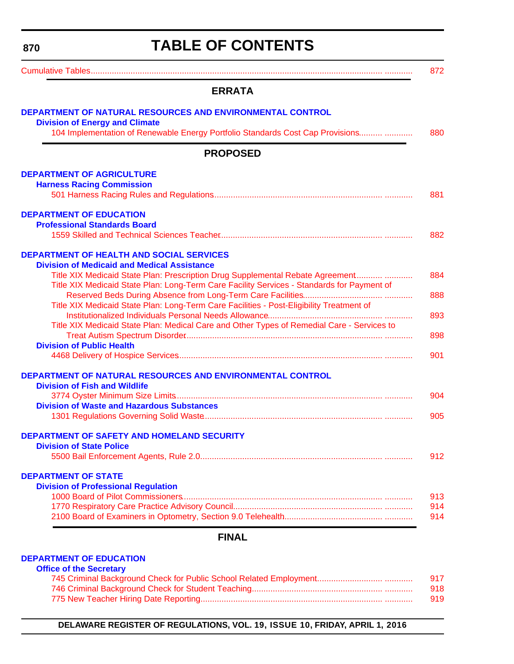# **TABLE OF CONTENTS**

<span id="page-3-0"></span>

| DEPARTMENT OF NATURAL RESOURCES AND ENVIRONMENTAL CONTROL<br><b>Division of Energy and Climate</b><br>104 Implementation of Renewable Energy Portfolio Standards Cost Cap Provisions<br><b>PROPOSED</b><br><b>DEPARTMENT OF AGRICULTURE</b><br><b>Harness Racing Commission</b><br><b>DEPARTMENT OF EDUCATION</b><br><b>Professional Standards Board</b><br><b>DEPARTMENT OF HEALTH AND SOCIAL SERVICES</b><br><b>Division of Medicaid and Medical Assistance</b><br>Title XIX Medicaid State Plan: Prescription Drug Supplemental Rebate Agreement<br>Title XIX Medicaid State Plan: Long-Term Care Facility Services - Standards for Payment of<br>Title XIX Medicaid State Plan: Long-Term Care Facilities - Post-Eligibility Treatment of |
|-----------------------------------------------------------------------------------------------------------------------------------------------------------------------------------------------------------------------------------------------------------------------------------------------------------------------------------------------------------------------------------------------------------------------------------------------------------------------------------------------------------------------------------------------------------------------------------------------------------------------------------------------------------------------------------------------------------------------------------------------|
|                                                                                                                                                                                                                                                                                                                                                                                                                                                                                                                                                                                                                                                                                                                                               |
|                                                                                                                                                                                                                                                                                                                                                                                                                                                                                                                                                                                                                                                                                                                                               |
|                                                                                                                                                                                                                                                                                                                                                                                                                                                                                                                                                                                                                                                                                                                                               |
|                                                                                                                                                                                                                                                                                                                                                                                                                                                                                                                                                                                                                                                                                                                                               |
|                                                                                                                                                                                                                                                                                                                                                                                                                                                                                                                                                                                                                                                                                                                                               |
|                                                                                                                                                                                                                                                                                                                                                                                                                                                                                                                                                                                                                                                                                                                                               |
|                                                                                                                                                                                                                                                                                                                                                                                                                                                                                                                                                                                                                                                                                                                                               |
|                                                                                                                                                                                                                                                                                                                                                                                                                                                                                                                                                                                                                                                                                                                                               |
|                                                                                                                                                                                                                                                                                                                                                                                                                                                                                                                                                                                                                                                                                                                                               |
|                                                                                                                                                                                                                                                                                                                                                                                                                                                                                                                                                                                                                                                                                                                                               |
|                                                                                                                                                                                                                                                                                                                                                                                                                                                                                                                                                                                                                                                                                                                                               |
|                                                                                                                                                                                                                                                                                                                                                                                                                                                                                                                                                                                                                                                                                                                                               |
|                                                                                                                                                                                                                                                                                                                                                                                                                                                                                                                                                                                                                                                                                                                                               |
|                                                                                                                                                                                                                                                                                                                                                                                                                                                                                                                                                                                                                                                                                                                                               |
|                                                                                                                                                                                                                                                                                                                                                                                                                                                                                                                                                                                                                                                                                                                                               |
|                                                                                                                                                                                                                                                                                                                                                                                                                                                                                                                                                                                                                                                                                                                                               |
| Title XIX Medicaid State Plan: Medical Care and Other Types of Remedial Care - Services to                                                                                                                                                                                                                                                                                                                                                                                                                                                                                                                                                                                                                                                    |
|                                                                                                                                                                                                                                                                                                                                                                                                                                                                                                                                                                                                                                                                                                                                               |
| <b>Division of Public Health</b>                                                                                                                                                                                                                                                                                                                                                                                                                                                                                                                                                                                                                                                                                                              |
|                                                                                                                                                                                                                                                                                                                                                                                                                                                                                                                                                                                                                                                                                                                                               |
| DEPARTMENT OF NATURAL RESOURCES AND ENVIRONMENTAL CONTROL                                                                                                                                                                                                                                                                                                                                                                                                                                                                                                                                                                                                                                                                                     |
| <b>Division of Fish and Wildlife</b>                                                                                                                                                                                                                                                                                                                                                                                                                                                                                                                                                                                                                                                                                                          |
|                                                                                                                                                                                                                                                                                                                                                                                                                                                                                                                                                                                                                                                                                                                                               |
| <b>Division of Waste and Hazardous Substances</b>                                                                                                                                                                                                                                                                                                                                                                                                                                                                                                                                                                                                                                                                                             |
|                                                                                                                                                                                                                                                                                                                                                                                                                                                                                                                                                                                                                                                                                                                                               |
| <b>DEPARTMENT OF SAFETY AND HOMELAND SECURITY</b>                                                                                                                                                                                                                                                                                                                                                                                                                                                                                                                                                                                                                                                                                             |
| <b>Division of State Police</b>                                                                                                                                                                                                                                                                                                                                                                                                                                                                                                                                                                                                                                                                                                               |
|                                                                                                                                                                                                                                                                                                                                                                                                                                                                                                                                                                                                                                                                                                                                               |
| <b>DEPARTMENT OF STATE</b>                                                                                                                                                                                                                                                                                                                                                                                                                                                                                                                                                                                                                                                                                                                    |
| <b>Division of Professional Regulation</b>                                                                                                                                                                                                                                                                                                                                                                                                                                                                                                                                                                                                                                                                                                    |
|                                                                                                                                                                                                                                                                                                                                                                                                                                                                                                                                                                                                                                                                                                                                               |
|                                                                                                                                                                                                                                                                                                                                                                                                                                                                                                                                                                                                                                                                                                                                               |
|                                                                                                                                                                                                                                                                                                                                                                                                                                                                                                                                                                                                                                                                                                                                               |
| <b>FINAL</b>                                                                                                                                                                                                                                                                                                                                                                                                                                                                                                                                                                                                                                                                                                                                  |

#### **Office of the Secretary** [745 Criminal Background Check for Public School Related Employment............................. ............ 917](#page-50-0) [746 Criminal Background Check for Student Teaching......................................................... ............ 918](#page-51-0) [775 New Teacher Hiring Date Reporting............................................................................... ............ 919](#page-52-0)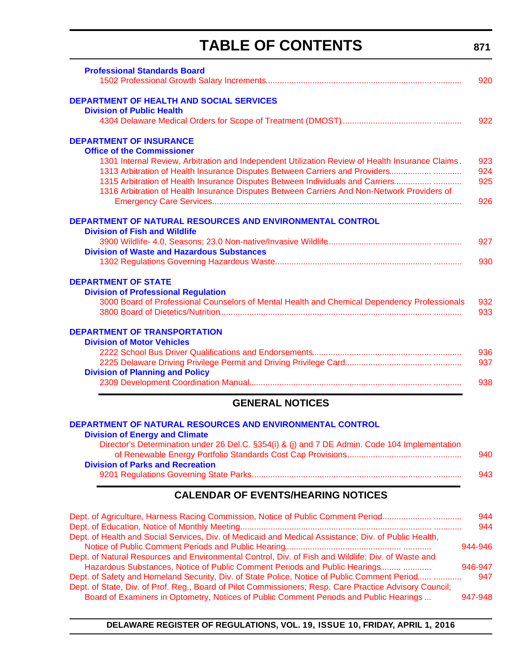# **TABLE OF CONTENTS**

**[Professional Standards Board](http://www.doe.k12.de.us/domain/172)**

|                                                                                                         | 920     |
|---------------------------------------------------------------------------------------------------------|---------|
| <b>DEPARTMENT OF HEALTH AND SOCIAL SERVICES</b>                                                         |         |
| <b>Division of Public Health</b>                                                                        |         |
|                                                                                                         | 922     |
| <b>DEPARTMENT OF INSURANCE</b>                                                                          |         |
| <b>Office of the Commissioner</b>                                                                       |         |
| 1301 Internal Review, Arbitration and Independent Utilization Review of Health Insurance Claims.        | 923     |
| 1313 Arbitration of Health Insurance Disputes Between Carriers and Providers                            | 924     |
| 1315 Arbitration of Health Insurance Disputes Between Individuals and Carriers                          | 925     |
| 1316 Arbitration of Health Insurance Disputes Between Carriers And Non-Network Providers of             | 926     |
| DEPARTMENT OF NATURAL RESOURCES AND ENVIRONMENTAL CONTROL                                               |         |
| <b>Division of Fish and Wildlife</b>                                                                    |         |
|                                                                                                         | 927     |
| <b>Division of Waste and Hazardous Substances</b>                                                       |         |
|                                                                                                         | 930     |
| <b>DEPARTMENT OF STATE</b>                                                                              |         |
| <b>Division of Professional Regulation</b>                                                              |         |
| 3000 Board of Professional Counselors of Mental Health and Chemical Dependency Professionals            | 932     |
|                                                                                                         | 933     |
| <b>DEPARTMENT OF TRANSPORTATION</b>                                                                     |         |
| <b>Division of Motor Vehicles</b>                                                                       |         |
|                                                                                                         | 936     |
|                                                                                                         | 937     |
| <b>Division of Planning and Policy</b>                                                                  |         |
|                                                                                                         | 938     |
| <b>GENERAL NOTICES</b>                                                                                  |         |
| DEPARTMENT OF NATURAL RESOURCES AND ENVIRONMENTAL CONTROL                                               |         |
| <b>Division of Energy and Climate</b>                                                                   |         |
| Director's Determination under 26 Del.C. §354(i) & (j) and 7 DE Admin. Code 104 Implementation          |         |
|                                                                                                         | 940     |
| <b>Division of Parks and Recreation</b>                                                                 |         |
|                                                                                                         | 943     |
| <b>CALENDAR OF EVENTS/HEARING NOTICES</b>                                                               |         |
| Dept. of Agriculture, Harness Racing Commission, Notice of Public Comment Period                        | 944     |
|                                                                                                         | 944     |
| Dept. of Health and Social Services, Div. of Medicaid and Medical Assistance; Div. of Public Health,    |         |
|                                                                                                         | 944-946 |
| Dept. of Natural Resources and Environmental Control, Div. of Fish and Wildlife; Div. of Waste and      |         |
| Hazardous Substances, Notice of Public Comment Periods and Public Hearings                              | 946-947 |
| Dept. of Safety and Homeland Security, Div. of State Police, Notice of Public Comment Period            | 947     |
| Dept. of State, Div. of Prof. Reg., Board of Pilot Commissioners; Resp. Care Practice Advisory Council; |         |
| Board of Examiners in Optometry, Notices of Public Comment Periods and Public Hearings                  | 947-948 |

### **871**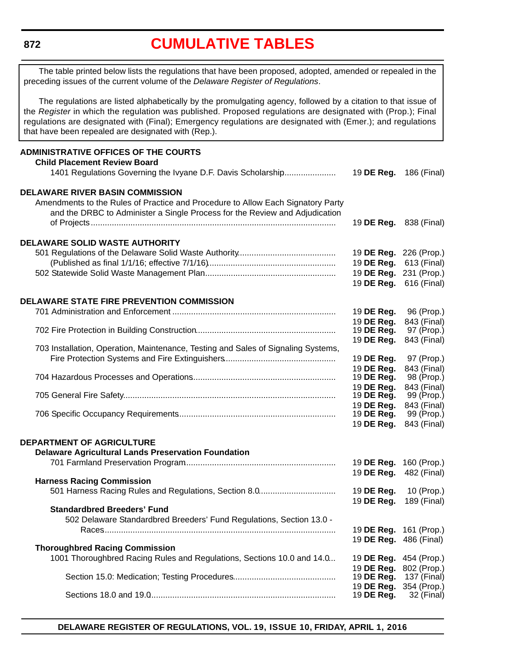## **[CUMULATIVE TABLES](#page-3-0)**

<span id="page-5-0"></span>The table printed below lists the regulations that have been proposed, adopted, amended or repealed in the preceding issues of the current volume of the *Delaware Register of Regulations*.

The regulations are listed alphabetically by the promulgating agency, followed by a citation to that issue of the *Register* in which the regulation was published. Proposed regulations are designated with (Prop.); Final regulations are designated with (Final); Emergency regulations are designated with (Emer.); and regulations that have been repealed are designated with (Rep.).

#### **ADMINISTRATIVE OFFICES OF THE COURTS Child Placement Review Board** 1401 Regulations Governing the Ivyane D.F. Davis Scholarship....................... 19 **DE Reg.** 186 (Final) **DELAWARE RIVER BASIN COMMISSION** Amendments to the Rules of Practice and Procedure to Allow Each Signatory Party and the DRBC to Administer a Single Process for the Review and Adjudication of Projects......................................................................................................... 19 **DE Reg.** 838 (Final) **DELAWARE SOLID WASTE AUTHORITY** 501 Regulations of the Delaware Solid Waste Authority.......................................... 19 **DE Reg.** 226 (Prop.) (Published as final 1/1/16; effective 7/1/16)....................................................... 19 **DE Reg.** 613 (Final) 502 Statewide Solid Waste Management Plan......................................................... 19 **DE Reg.** 231 (Prop.) 19 **DE Reg.** 616 (Final) **DELAWARE STATE FIRE PREVENTION COMMISSION** 701 Administration and Enforcement ...................................................................... 19 **DE Reg.** 96 (Prop.) 19 **DE Reg.** 843 (Final) 702 Fire Protection in Building Construction............................................................ 19 **DE Reg.** 97 (Prop.) 19 **DE Reg.** 843 (Final) 703 Installation, Operation, Maintenance, Testing and Sales of Signaling Systems, Fire Protection Systems and Fire Extinguishers................................................ 19 **DE Reg.** 97 (Prop.) 19 **DE Reg.** 843 (Final) 704 Hazardous Processes and Operations.............................................................. 19 **DE Reg.** 98 (Prop.) 19 **DE Reg.** 843 (Final) 705 General Fire Safety........................................................................................... 19 **DE Reg.** 99 (Prop.) 19 **DE Reg.** 843 (Final) 706 Specific Occupancy Requirements.................................................................... 19 **DE Reg.** 99 (Prop.) 19 **DE Reg.** 843 (Final) **DEPARTMENT OF AGRICULTURE Delaware Agricultural Lands Preservation Foundation** 701 Farmland Preservation Program................................................................. 19 **DE Reg.** 160 (Prop.) 19 **DE Reg.** 482 (Final) **Harness Racing Commission** 501 Harness Racing Rules and Regulations, Section 8.0................................. 19 **DE Reg.** 10 (Prop.) 19 **DE Reg.** 189 (Final) **Standardbred Breeders' Fund** 502 Delaware Standardbred Breeders' Fund Regulations, Section 13.0 - Races.................................................................................................... 19 **DE Reg.** 161 (Prop.) 19 **DE Reg.** 486 (Final) **Thoroughbred Racing Commission** 1001 Thoroughbred Racing Rules and Regulations, Sections 10.0 and 14.0... 19 **DE Reg.** 454 (Prop.) 19 **DE Reg.** 802 (Prop.) Section 15.0: Medication; Testing Procedures............................................ 19 **DE Reg.** 137 (Final) 19 **DE Reg.** 354 (Prop.) Sections 18.0 and 19.0................................................................................ 19 **DE Reg.** 32 (Final)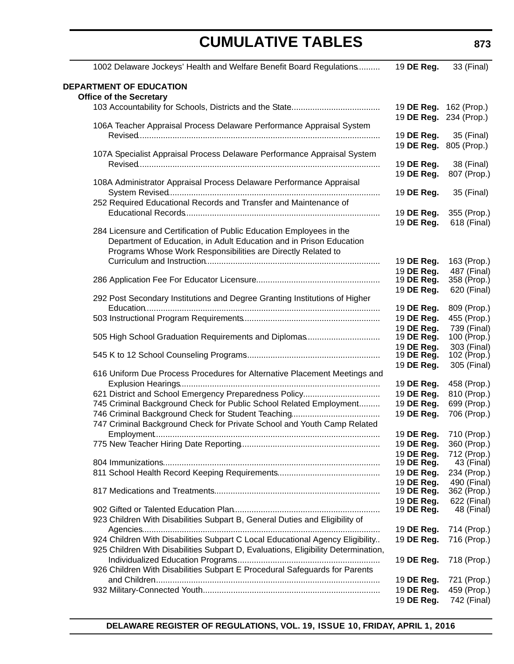| 1002 Delaware Jockeys' Health and Welfare Benefit Board Regulations               | 19 DE Reg.               | 33 (Final)                 |
|-----------------------------------------------------------------------------------|--------------------------|----------------------------|
| <b>DEPARTMENT OF EDUCATION</b>                                                    |                          |                            |
| <b>Office of the Secretary</b>                                                    |                          |                            |
|                                                                                   | 19 DE Reg. 162 (Prop.)   |                            |
|                                                                                   | 19 DE Reg.               | 234 (Prop.)                |
| 106A Teacher Appraisal Process Delaware Performance Appraisal System              |                          |                            |
|                                                                                   | 19 DE Reg.               | 35 (Final)                 |
|                                                                                   | 19 DE Reg.               | 805 (Prop.)                |
| 107A Specialist Appraisal Process Delaware Performance Appraisal System           |                          |                            |
|                                                                                   | 19 DE Reg.               | 38 (Final)                 |
|                                                                                   | 19 DE Reg.               | 807 (Prop.)                |
| 108A Administrator Appraisal Process Delaware Performance Appraisal               |                          |                            |
|                                                                                   | 19 DE Reg.               | 35 (Final)                 |
| 252 Required Educational Records and Transfer and Maintenance of                  |                          |                            |
|                                                                                   | 19 DE Reg.               | 355 (Prop.)                |
|                                                                                   | 19 DE Reg.               | 618 (Final)                |
| 284 Licensure and Certification of Public Education Employees in the              |                          |                            |
| Department of Education, in Adult Education and in Prison Education               |                          |                            |
| Programs Whose Work Responsibilities are Directly Related to                      |                          |                            |
|                                                                                   | 19 DE Reg.               | 163 (Prop.)                |
|                                                                                   | 19 DE Reg.               | 487 (Final)                |
|                                                                                   | 19 DE Reg.               | 358 (Prop.)                |
| 292 Post Secondary Institutions and Degree Granting Institutions of Higher        | 19 DE Reg.               | 620 (Final)                |
|                                                                                   |                          |                            |
|                                                                                   | 19 DE Reg.<br>19 DE Reg. | 809 (Prop.)                |
|                                                                                   |                          | 455 (Prop.)<br>739 (Final) |
| 505 High School Graduation Requirements and Diplomas                              | 19 DE Reg.<br>19 DE Reg. | 100 (Prop.)                |
|                                                                                   | 19 DE Reg.               | 303 (Final)                |
|                                                                                   | 19 DE Reg.               | 102 (Prop.)                |
|                                                                                   | 19 DE Reg.               | 305 (Final)                |
| 616 Uniform Due Process Procedures for Alternative Placement Meetings and         |                          |                            |
|                                                                                   | 19 DE Reg.               | 458 (Prop.)                |
| 621 District and School Emergency Preparedness Policy                             | 19 DE Reg.               | 810 (Prop.)                |
| 745 Criminal Background Check for Public School Related Employment                | 19 DE Reg.               | 699 (Prop.)                |
|                                                                                   | 19 DE Reg.               | 706 (Prop.)                |
| 747 Criminal Background Check for Private School and Youth Camp Related           |                          |                            |
|                                                                                   | 19 DE Reg.               | 710 (Prop.)                |
|                                                                                   | 19 DE Reg.               | 360 (Prop.)                |
|                                                                                   | 19 DE Reg.               | 712 (Prop.)                |
|                                                                                   | 19 DE Reg.               | 43 (Final)                 |
|                                                                                   | 19 DE Reg.               | 234 (Prop.)                |
|                                                                                   | 19 DE Req.               | 490 (Final)                |
|                                                                                   | 19 DE Reg.               | 362 (Prop.)                |
|                                                                                   | 19 DE Reg.               | 622 (Final)                |
|                                                                                   | 19 DE Reg.               | 48 (Final)                 |
| 923 Children With Disabilities Subpart B, General Duties and Eligibility of       |                          |                            |
|                                                                                   | 19 DE Reg.               | 714 (Prop.)                |
| 924 Children With Disabilities Subpart C Local Educational Agency Eligibility     | 19 DE Reg.               | 716 (Prop.)                |
| 925 Children With Disabilities Subpart D, Evaluations, Eligibility Determination, |                          |                            |
|                                                                                   | 19 DE Reg.               | 718 (Prop.)                |
| 926 Children With Disabilities Subpart E Procedural Safeguards for Parents        |                          |                            |
|                                                                                   | 19 DE Reg.               | 721 (Prop.)                |
|                                                                                   | 19 DE Reg.               | 459 (Prop.)                |
|                                                                                   | 19 DE Reg.               | 742 (Final)                |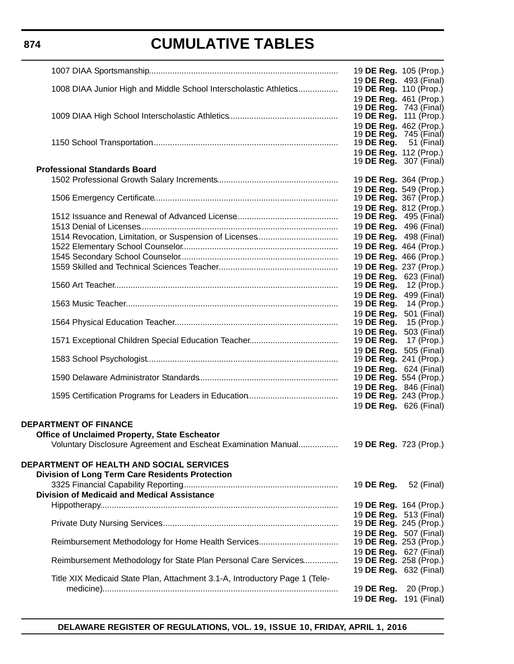# **CUMULATIVE TABLES**

|                                                                                                                | 19 DE Reg. 105 (Prop.)                                         |             |
|----------------------------------------------------------------------------------------------------------------|----------------------------------------------------------------|-------------|
| 1008 DIAA Junior High and Middle School Interscholastic Athletics                                              | 19 DE Reg. 493 (Final)<br>19 <b>DE Reg.</b> 110 (Prop.)        |             |
|                                                                                                                | 19 DE Reg. 461 (Prop.)                                         |             |
|                                                                                                                | 19 <b>DE Reg.</b> 743 (Final)                                  |             |
|                                                                                                                | 19 DE Reg. 111 (Prop.)                                         |             |
|                                                                                                                | 19 DE Reg. 462 (Prop.)<br>19 <b>DE Reg.</b> 745 (Final)        |             |
|                                                                                                                | 19 <b>DE Reg.</b> 51 (Final)                                   |             |
|                                                                                                                | 19 DE Reg. 112 (Prop.)                                         |             |
| <b>Professional Standards Board</b>                                                                            | 19 <b>DE Reg.</b> 307 (Final)                                  |             |
|                                                                                                                | 19 DE Reg. 364 (Prop.)                                         |             |
|                                                                                                                | 19 DE Reg. 549 (Prop.)                                         |             |
|                                                                                                                | 19 DE Reg. 367 (Prop.)                                         |             |
|                                                                                                                | 19 DE Reg. 812 (Prop.)                                         |             |
|                                                                                                                | 19 <b>DE Reg.</b> 495 (Final)<br>19 <b>DE Reg.</b> 496 (Final) |             |
|                                                                                                                | 19 DE Reg. 498 (Final)                                         |             |
|                                                                                                                | 19 DE Reg. 464 (Prop.)                                         |             |
|                                                                                                                | 19 DE Reg. 466 (Prop.)                                         |             |
|                                                                                                                | 19 DE Reg. 237 (Prop.)                                         |             |
|                                                                                                                | 19 DE Reg. 623 (Final)                                         |             |
|                                                                                                                | 19 <b>DE Reg.</b> 12 (Prop.)<br>19 DE Reg.                     | 499 (Final) |
|                                                                                                                | 19 <b>DE Reg.</b> 14 (Prop.)                                   |             |
|                                                                                                                | 19 DE Reg.                                                     | 501 (Final) |
|                                                                                                                | 19 DE Reg.                                                     | 15 (Prop.)  |
|                                                                                                                | 19 DE Reg. 503 (Final)<br>19 DE Reg.                           | 17 (Prop.)  |
|                                                                                                                | 19 DE Reg. 505 (Final)                                         |             |
|                                                                                                                | 19 DE Reg. 241 (Prop.)                                         |             |
|                                                                                                                | 19 DE Reg. 624 (Final)                                         |             |
|                                                                                                                | 19 <b>DE Reg.</b> 554 (Prop.)                                  |             |
|                                                                                                                | 19 <b>DE Reg.</b> 846 (Final)<br>19 DE Reg. 243 (Prop.)        |             |
|                                                                                                                | 19 DE Reg. 626 (Final)                                         |             |
|                                                                                                                |                                                                |             |
| <b>DEPARTMENT OF FINANCE</b>                                                                                   |                                                                |             |
| Office of Unclaimed Property, State Escheator<br>Voluntary Disclosure Agreement and Escheat Examination Manual | 19 DE Reg. 723 (Prop.)                                         |             |
|                                                                                                                |                                                                |             |
| DEPARTMENT OF HEALTH AND SOCIAL SERVICES                                                                       |                                                                |             |
| <b>Division of Long Term Care Residents Protection</b>                                                         |                                                                |             |
|                                                                                                                | 19 DE Reg.                                                     | 52 (Final)  |
| <b>Division of Medicaid and Medical Assistance</b>                                                             |                                                                |             |
|                                                                                                                | 19 DE Reg. 164 (Prop.)                                         |             |
|                                                                                                                | 19 DE Reg. 513 (Final)<br>19 DE Reg. 245 (Prop.)               |             |
|                                                                                                                | 19 DE Reg. 507 (Final)                                         |             |
|                                                                                                                | 19 <b>DE Reg.</b> 253 (Prop.)                                  |             |
|                                                                                                                | 19 <b>DE Reg.</b> 627 (Final)                                  |             |
| Reimbursement Methodology for State Plan Personal Care Services                                                | 19 <b>DE Reg.</b> 258 (Prop.)                                  |             |
| Title XIX Medicaid State Plan, Attachment 3.1-A, Introductory Page 1 (Tele-                                    | 19 <b>DE Reg.</b> 632 (Final)                                  |             |
|                                                                                                                | 19 DE Reg.                                                     | 20 (Prop.)  |
|                                                                                                                | 19 DE Reg. 191 (Final)                                         |             |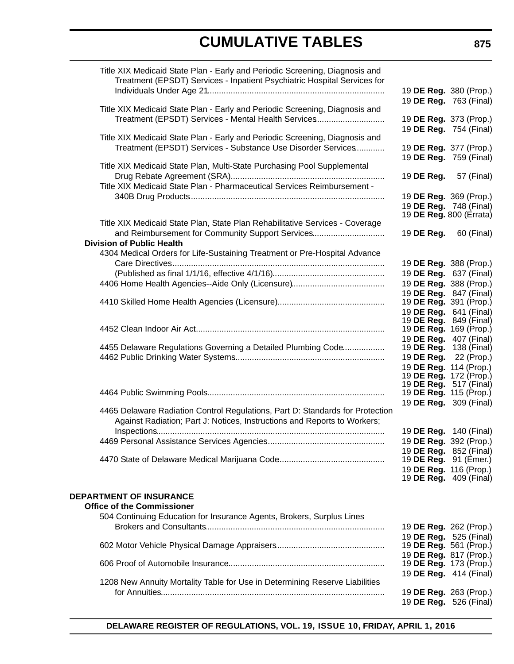| Title XIX Medicaid State Plan - Early and Periodic Screening, Diagnosis and<br>Treatment (EPSDT) Services - Inpatient Psychiatric Hospital Services for   |                                                          |
|-----------------------------------------------------------------------------------------------------------------------------------------------------------|----------------------------------------------------------|
|                                                                                                                                                           | 19 DE Reg. 380 (Prop.)<br>19 DE Reg. 763 (Final)         |
| Title XIX Medicaid State Plan - Early and Periodic Screening, Diagnosis and<br>Treatment (EPSDT) Services - Mental Health Services                        | 19 DE Reg. 373 (Prop.)                                   |
|                                                                                                                                                           | 19 DE Reg. 754 (Final)                                   |
| Title XIX Medicaid State Plan - Early and Periodic Screening, Diagnosis and<br>Treatment (EPSDT) Services - Substance Use Disorder Services               | 19 DE Reg. 377 (Prop.)                                   |
|                                                                                                                                                           | 19 DE Reg. 759 (Final)                                   |
| Title XIX Medicaid State Plan, Multi-State Purchasing Pool Supplemental                                                                                   |                                                          |
| Title XIX Medicaid State Plan - Pharmaceutical Services Reimbursement -                                                                                   | 19 <b>DE Reg.</b> 57 (Final)                             |
|                                                                                                                                                           | 19 DE Reg. 369 (Prop.)                                   |
|                                                                                                                                                           | 19 DE Reg. 748 (Final)<br>19 <b>DE Reg.</b> 800 (Errata) |
| Title XIX Medicaid State Plan, State Plan Rehabilitative Services - Coverage                                                                              |                                                          |
| and Reimbursement for Community Support Services<br><b>Division of Public Health</b>                                                                      | 19 <b>DE Reg.</b> 60 (Final)                             |
| 4304 Medical Orders for Life-Sustaining Treatment or Pre-Hospital Advance                                                                                 | 19 DE Reg. 388 (Prop.)                                   |
|                                                                                                                                                           | 19 DE Reg. 637 (Final)                                   |
|                                                                                                                                                           | 19 DE Reg. 388 (Prop.)                                   |
|                                                                                                                                                           | 19 DE Reg. 847 (Final)<br>19 DE Reg. 391 (Prop.)         |
|                                                                                                                                                           | 19 DE Reg. 641 (Final)                                   |
|                                                                                                                                                           | 19 DE Reg. 849 (Final)                                   |
|                                                                                                                                                           | 19 DE Reg. 169 (Prop.)<br>19 DE Reg. 407 (Final)         |
| 4455 Delaware Regulations Governing a Detailed Plumbing Code                                                                                              | 19 <b>DE Reg.</b> 138 (Final)                            |
|                                                                                                                                                           | 19 <b>DE Reg.</b> 22 (Prop.)                             |
|                                                                                                                                                           | 19 DE Reg. 114 (Prop.)<br>19 <b>DE Reg.</b> 172 (Prop.)  |
|                                                                                                                                                           | 19 <b>DE Reg.</b> 517 (Final)                            |
|                                                                                                                                                           | 19 DE Reg. 115 (Prop.)<br>19 DE Reg. 309 (Final)         |
| 4465 Delaware Radiation Control Regulations, Part D: Standards for Protection<br>Against Radiation; Part J: Notices, Instructions and Reports to Workers; |                                                          |
|                                                                                                                                                           | 19 DE Reg. 140 (Final)                                   |
|                                                                                                                                                           | 19 DE Reg. 392 (Prop.)<br>19 DE Reg. 852 (Final)         |
|                                                                                                                                                           | 19 DE Reg. 91 (Emer.)                                    |
|                                                                                                                                                           | 19 DE Reg. 116 (Prop.)<br>19 <b>DE Reg.</b> 409 (Final)  |
|                                                                                                                                                           |                                                          |
| <b>DEPARTMENT OF INSURANCE</b>                                                                                                                            |                                                          |
| <b>Office of the Commissioner</b><br>504 Continuing Education for Insurance Agents, Brokers, Surplus Lines                                                |                                                          |
|                                                                                                                                                           | 19 DE Reg. 262 (Prop.)                                   |
|                                                                                                                                                           | 19 DE Reg. 525 (Final)                                   |
|                                                                                                                                                           | 19 DE Reg. 561 (Prop.)<br>19 DE Reg. 817 (Prop.)         |
|                                                                                                                                                           | 19 DE Reg. 173 (Prop.)                                   |
| 1208 New Annuity Mortality Table for Use in Determining Reserve Liabilities                                                                               | 19 DE Reg. 414 (Final)                                   |
|                                                                                                                                                           | 19 DE Reg. 263 (Prop.)                                   |
|                                                                                                                                                           | 19 DE Reg. 526 (Final)                                   |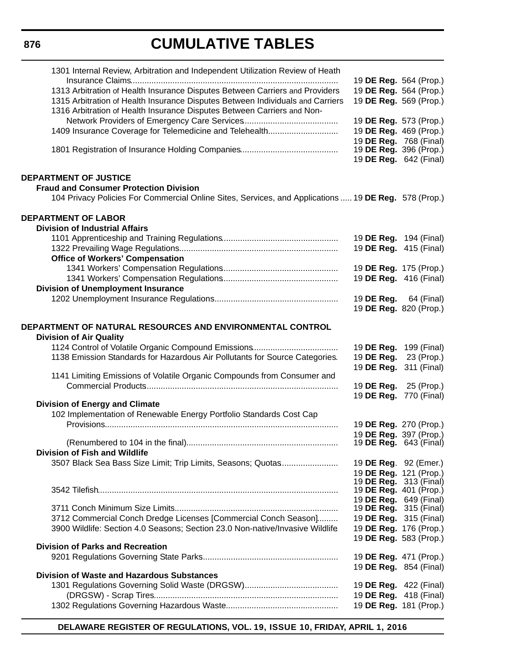# **CUMULATIVE TABLES**

| 1301 Internal Review, Arbitration and Independent Utilization Review of Heath                        |                               |                        |
|------------------------------------------------------------------------------------------------------|-------------------------------|------------------------|
|                                                                                                      | 19 DE Reg. 564 (Prop.)        |                        |
| 1313 Arbitration of Health Insurance Disputes Between Carriers and Providers                         | 19 DE Reg. 564 (Prop.)        |                        |
| 1315 Arbitration of Health Insurance Disputes Between Individuals and Carriers                       | 19 DE Reg. 569 (Prop.)        |                        |
| 1316 Arbitration of Health Insurance Disputes Between Carriers and Non-                              |                               |                        |
|                                                                                                      | 19 DE Reg. 573 (Prop.)        |                        |
| 1409 Insurance Coverage for Telemedicine and Telehealth                                              | 19 DE Reg. 469 (Prop.)        |                        |
|                                                                                                      | 19 DE Reg. 768 (Final)        |                        |
|                                                                                                      | 19 <b>DE Reg.</b> 396 (Prop.) |                        |
|                                                                                                      | 19 DE Reg. 642 (Final)        |                        |
| <b>DEPARTMENT OF JUSTICE</b>                                                                         |                               |                        |
| <b>Fraud and Consumer Protection Division</b>                                                        |                               |                        |
| 104 Privacy Policies For Commercial Online Sites, Services, and Applications  19 DE Reg. 578 (Prop.) |                               |                        |
|                                                                                                      |                               |                        |
| <b>DEPARTMENT OF LABOR</b>                                                                           |                               |                        |
| <b>Division of Industrial Affairs</b>                                                                |                               |                        |
|                                                                                                      | 19 DE Reg. 194 (Final)        |                        |
|                                                                                                      | 19 DE Reg. 415 (Final)        |                        |
| <b>Office of Workers' Compensation</b>                                                               |                               |                        |
|                                                                                                      | 19 DE Reg. 175 (Prop.)        |                        |
|                                                                                                      | 19 DE Reg. 416 (Final)        |                        |
| <b>Division of Unemployment Insurance</b>                                                            |                               |                        |
|                                                                                                      | 19 <b>DE Reg.</b> 64 (Final)  |                        |
|                                                                                                      | 19 DE Reg. 820 (Prop.)        |                        |
|                                                                                                      |                               |                        |
| DEPARTMENT OF NATURAL RESOURCES AND ENVIRONMENTAL CONTROL                                            |                               |                        |
| <b>Division of Air Quality</b>                                                                       |                               |                        |
|                                                                                                      | 19 DE Reg. 199 (Final)        |                        |
| 1138 Emission Standards for Hazardous Air Pollutants for Source Categories.                          | 19 DE Reg.                    | 23 (Prop.)             |
|                                                                                                      | 19 DE Reg. 311 (Final)        |                        |
| 1141 Limiting Emissions of Volatile Organic Compounds from Consumer and                              |                               |                        |
|                                                                                                      | 19 DE Reg. 25 (Prop.)         |                        |
| <b>Division of Energy and Climate</b>                                                                | 19 DE Reg. 770 (Final)        |                        |
| 102 Implementation of Renewable Energy Portfolio Standards Cost Cap                                  |                               |                        |
|                                                                                                      |                               | 19 DE Reg. 270 (Prop.) |
|                                                                                                      | 19 DE Reg. 397 (Prop.)        |                        |
|                                                                                                      | 19 <b>DE Reg.</b> 643 (Final) |                        |
| <b>Division of Fish and Wildlife</b>                                                                 |                               |                        |
| 3507 Black Sea Bass Size Limit; Trip Limits, Seasons; Quotas                                         | 19 DE Reg. 92 (Emer.)         |                        |
|                                                                                                      | 19 DE Reg. 121 (Prop.)        |                        |
|                                                                                                      | 19 <b>DE Reg.</b> 313 (Final) |                        |
|                                                                                                      | 19 DE Reg. 401 (Prop.)        |                        |
|                                                                                                      | 19 DE Reg. 649 (Final)        |                        |
| 3712 Commercial Conch Dredge Licenses [Commercial Conch Season]                                      | 19 <b>DE Reg.</b> 315 (Final) |                        |
| 3900 Wildlife: Section 4.0 Seasons; Section 23.0 Non-native/Invasive Wildlife                        | 19 DE Reg. 315 (Final)        |                        |
|                                                                                                      | 19 DE Reg. 176 (Prop.)        |                        |
| <b>Division of Parks and Recreation</b>                                                              | 19 DE Reg. 583 (Prop.)        |                        |
|                                                                                                      | 19 DE Reg. 471 (Prop.)        |                        |
|                                                                                                      | 19 <b>DE Reg.</b> 854 (Final) |                        |
| <b>Division of Waste and Hazardous Substances</b>                                                    |                               |                        |
|                                                                                                      | 19 <b>DE Reg.</b> 422 (Final) |                        |
|                                                                                                      | 19 <b>DE Reg.</b> 418 (Final) |                        |
|                                                                                                      | 19 DE Reg. 181 (Prop.)        |                        |
|                                                                                                      |                               |                        |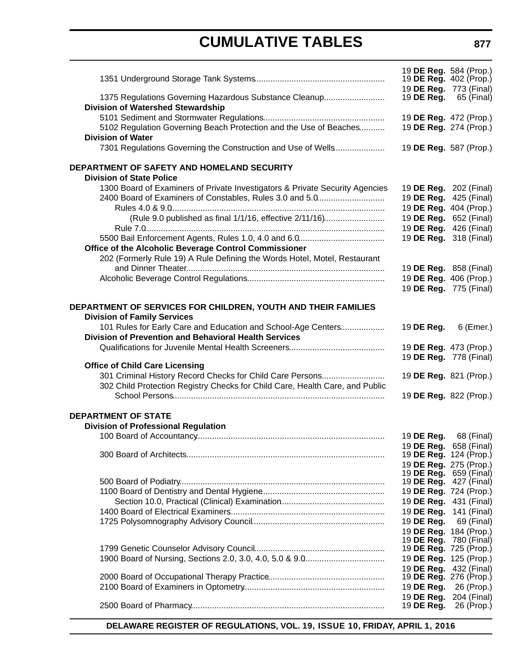|                                                                                                                        | 19 DE Reg. 584 (Prop.)<br>19 DE Reg. 402 (Prop.) |             |
|------------------------------------------------------------------------------------------------------------------------|--------------------------------------------------|-------------|
| 1375 Regulations Governing Hazardous Substance Cleanup                                                                 | 19 DE Reg. 773 (Final)<br>19 DE Reg.             | 65 (Final)  |
| <b>Division of Watershed Stewardship</b>                                                                               |                                                  |             |
| 5102 Regulation Governing Beach Protection and the Use of Beaches                                                      | 19 DE Reg. 472 (Prop.)<br>19 DE Reg. 274 (Prop.) |             |
| <b>Division of Water</b><br>7301 Regulations Governing the Construction and Use of Wells                               | 19 DE Reg. 587 (Prop.)                           |             |
| DEPARTMENT OF SAFETY AND HOMELAND SECURITY                                                                             |                                                  |             |
| <b>Division of State Police</b>                                                                                        |                                                  |             |
| 1300 Board of Examiners of Private Investigators & Private Security Agencies                                           | 19 DE Reg. 202 (Final)                           |             |
| 2400 Board of Examiners of Constables, Rules 3.0 and 5.0                                                               | 19 DE Reg. 425 (Final)                           |             |
|                                                                                                                        | 19 DE Reg. 404 (Prop.)                           |             |
| (Rule 9.0 published as final 1/1/16, effective 2/11/16)                                                                | 19 DE Reg. 652 (Final)<br>19 DE Reg. 426 (Final) |             |
|                                                                                                                        | 19 DE Reg. 318 (Final)                           |             |
| Office of the Alcoholic Beverage Control Commissioner                                                                  |                                                  |             |
| 202 (Formerly Rule 19) A Rule Defining the Words Hotel, Motel, Restaurant                                              |                                                  |             |
|                                                                                                                        | 19 DE Reg. 858 (Final)                           |             |
|                                                                                                                        | 19 DE Reg. 406 (Prop.)                           |             |
|                                                                                                                        | 19 DE Reg. 775 (Final)                           |             |
| DEPARTMENT OF SERVICES FOR CHILDREN, YOUTH AND THEIR FAMILIES                                                          |                                                  |             |
| <b>Division of Family Services</b>                                                                                     |                                                  |             |
| 101 Rules for Early Care and Education and School-Age Centers<br>Division of Prevention and Behavioral Health Services | 19 DE Reg.                                       | 6 (Emer.)   |
|                                                                                                                        | 19 DE Reg. 473 (Prop.)                           |             |
|                                                                                                                        | 19 DE Reg. 778 (Final)                           |             |
| <b>Office of Child Care Licensing</b><br>301 Criminal History Record Checks for Child Care Persons                     | 19 DE Reg. 821 (Prop.)                           |             |
| 302 Child Protection Registry Checks for Child Care, Health Care, and Public                                           |                                                  |             |
|                                                                                                                        | 19 DE Reg. 822 (Prop.)                           |             |
| <b>DEPARTMENT OF STATE</b>                                                                                             |                                                  |             |
| <b>Division of Professional Regulation</b>                                                                             |                                                  |             |
| 100 Board of Accountancy                                                                                               | 19 DE Reg. 68 (Final)                            |             |
|                                                                                                                        | 19 DE Reg. 658 (Final)                           |             |
|                                                                                                                        | 19 DE Reg. 124 (Prop.)<br>19 DE Reg. 275 (Prop.) |             |
|                                                                                                                        | 19 <b>DE Reg.</b> 659 (Final)                    |             |
|                                                                                                                        | 19 <b>DE Reg.</b> 427 (Final)                    |             |
|                                                                                                                        | 19 DE Reg. 724 (Prop.)                           |             |
|                                                                                                                        | 19 DE Reg. 431 (Final)                           |             |
|                                                                                                                        | 19 DE Reg. 141 (Final)                           |             |
|                                                                                                                        | 19 DE Reg.                                       | 69 (Final)  |
|                                                                                                                        | 19 DE Reg. 184 (Prop.)                           |             |
|                                                                                                                        | 19 DE Reg. 780 (Final)<br>19 DE Reg. 725 (Prop.) |             |
|                                                                                                                        | 19 DE Reg. 125 (Prop.)                           |             |
|                                                                                                                        | 19 DE Reg. 432 (Final)                           |             |
|                                                                                                                        | 19 DE Reg. 276 (Prop.)                           |             |
|                                                                                                                        | 19 DE Reg.                                       | 26 (Prop.)  |
|                                                                                                                        | 19 DE Reg.                                       | 204 (Final) |
|                                                                                                                        | 19 DE Reg.                                       | 26 (Prop.)  |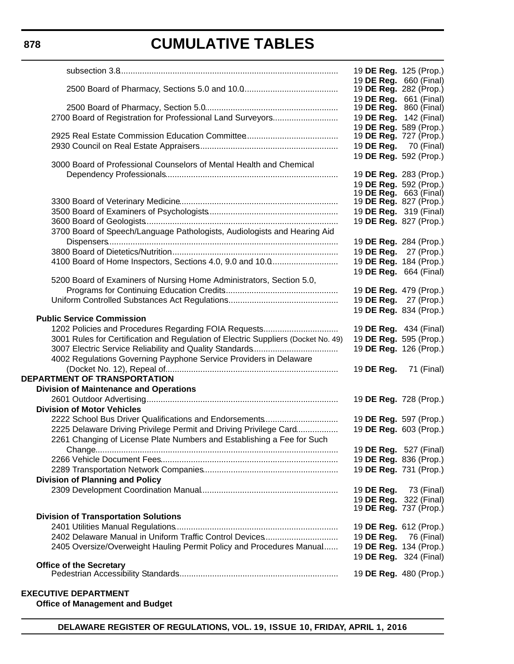|                                                                                   | 19 DE Reg. 125 (Prop.)                           |            |
|-----------------------------------------------------------------------------------|--------------------------------------------------|------------|
|                                                                                   | 19 DE Reg. 660 (Final)                           |            |
|                                                                                   | 19 <b>DE Reg.</b> 282 (Prop.)                    |            |
|                                                                                   | 19 DE Reg. 661 (Final)                           |            |
|                                                                                   | 19 DE Reg. 860 (Final)                           |            |
| 2700 Board of Registration for Professional Land Surveyors                        | 19 DE Reg. 142 (Final)<br>19 DE Reg. 589 (Prop.) |            |
|                                                                                   | 19 <b>DE Reg.</b> 727 (Prop.)                    |            |
|                                                                                   | 19 <b>DE Reg.</b> 70 (Final)                     |            |
|                                                                                   | 19 DE Reg. 592 (Prop.)                           |            |
| 3000 Board of Professional Counselors of Mental Health and Chemical               |                                                  |            |
|                                                                                   | 19 DE Reg. 283 (Prop.)                           |            |
|                                                                                   | 19 DE Reg. 592 (Prop.)                           |            |
|                                                                                   | 19 <b>DE Reg.</b> 663 (Final)                    |            |
|                                                                                   | 19 <b>DE Reg.</b> 827 (Prop.)                    |            |
|                                                                                   | 19 DE Reg. 319 (Final)<br>19 DE Reg. 827 (Prop.) |            |
| 3700 Board of Speech/Language Pathologists, Audiologists and Hearing Aid          |                                                  |            |
|                                                                                   | 19 DE Reg. 284 (Prop.)                           |            |
|                                                                                   | 19 DE Reg. 27 (Prop.)                            |            |
| 4100 Board of Home Inspectors, Sections 4.0, 9.0 and 10.0                         | 19 DE Reg. 184 (Prop.)                           |            |
|                                                                                   | 19 DE Reg. 664 (Final)                           |            |
| 5200 Board of Examiners of Nursing Home Administrators, Section 5.0,              |                                                  |            |
|                                                                                   | 19 DE Reg. 479 (Prop.)                           |            |
|                                                                                   | 19 DE Reg. 27 (Prop.)                            |            |
|                                                                                   | 19 DE Reg. 834 (Prop.)                           |            |
| <b>Public Service Commission</b>                                                  |                                                  |            |
|                                                                                   | 19 DE Reg. 434 (Final)                           |            |
| 3001 Rules for Certification and Regulation of Electric Suppliers (Docket No. 49) | 19 DE Reg. 595 (Prop.)                           |            |
|                                                                                   | 19 DE Reg. 126 (Prop.)                           |            |
| 4002 Regulations Governing Payphone Service Providers in Delaware                 |                                                  |            |
|                                                                                   | 19 DE Reg.                                       | 71 (Final) |
| DEPARTMENT OF TRANSPORTATION                                                      |                                                  |            |
| <b>Division of Maintenance and Operations</b>                                     |                                                  |            |
| <b>Division of Motor Vehicles</b>                                                 | 19 DE Reg. 728 (Prop.)                           |            |
| 2222 School Bus Driver Qualifications and Endorsements                            | 19 DE Reg. 597 (Prop.)                           |            |
| 2225 Delaware Driving Privilege Permit and Driving Privilege Card                 | 19 DE Reg. 603 (Prop.)                           |            |
| 2261 Changing of License Plate Numbers and Establishing a Fee for Such            |                                                  |            |
|                                                                                   | 19 <b>DE Reg.</b> 527 (Final)                    |            |
|                                                                                   | 19 DE Reg. 836 (Prop.)                           |            |
|                                                                                   | 19 DE Reg. 731 (Prop.)                           |            |
| <b>Division of Planning and Policy</b>                                            |                                                  |            |
|                                                                                   | 19 DE Reg.                                       | 73 (Final) |
|                                                                                   | 19 DE Reg. 322 (Final)                           |            |
|                                                                                   | 19 <b>DE Reg.</b> 737 (Prop.)                    |            |
| <b>Division of Transportation Solutions</b>                                       |                                                  |            |
|                                                                                   | 19 DE Reg. 612 (Prop.)                           |            |
| 2402 Delaware Manual in Uniform Traffic Control Devices                           | 19 DE Reg.                                       | 76 (Final) |
| 2405 Oversize/Overweight Hauling Permit Policy and Procedures Manual              | 19 DE Reg. 134 (Prop.)                           |            |
| <b>Office of the Secretary</b>                                                    | 19 <b>DE Reg.</b> 324 (Final)                    |            |
|                                                                                   |                                                  |            |
|                                                                                   | 19 DE Reg. 480 (Prop.)                           |            |

### **EXECUTIVE DEPARTMENT**

**Office of Management and Budget**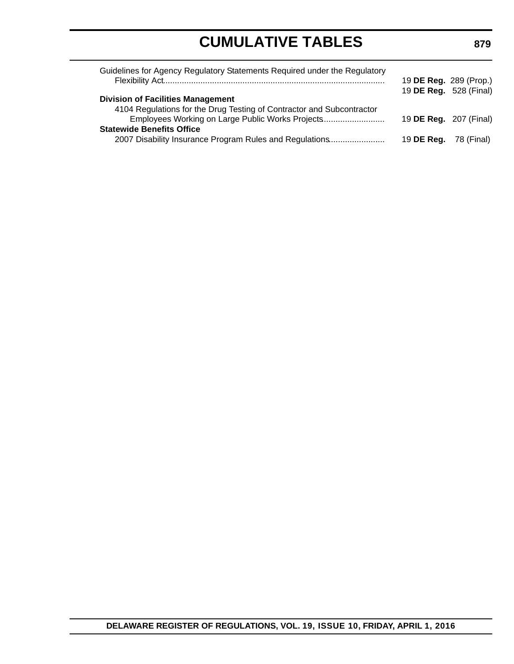| Guidelines for Agency Regulatory Statements Required under the Regulatory | 19 DE Reg. 289 (Prop.)       |  |
|---------------------------------------------------------------------------|------------------------------|--|
|                                                                           | 19 DE Reg. 528 (Final)       |  |
| <b>Division of Facilities Management</b>                                  |                              |  |
| 4104 Regulations for the Drug Testing of Contractor and Subcontractor     |                              |  |
| Employees Working on Large Public Works Projects                          | 19 DE Reg. 207 (Final)       |  |
| <b>Statewide Benefits Office</b>                                          |                              |  |
| 2007 Disability Insurance Program Rules and Regulations                   | 19 <b>DE Reg.</b> 78 (Final) |  |
|                                                                           |                              |  |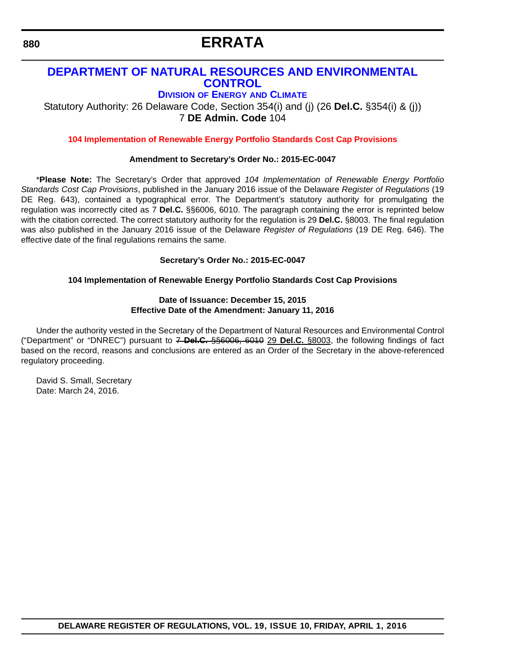# **ERRATA**

### **[DEPARTMENT OF NATURAL RESOURCES AND ENVIRONMENTAL](http://www.dnrec.delaware.gov/energy/Pages/portal.aspx)  CONTROL**

**DIVISION OF ENERGY AND CLIMATE**

Statutory Authority: 26 Delaware Code, Section 354(i) and (j) (26 **Del.C.** §354(i) & (j)) 7 **DE Admin. Code** 104

**[104 Implementation of Renewable Energy Portfolio Standards Cost Cap Provisions](#page-3-0)**

#### **Amendment to Secretary's Order No.: 2015-EC-0047**

\***Please Note:** The Secretary's Order that approved *104 Implementation of Renewable Energy Portfolio Standards Cost Cap Provisions*, published in the January 2016 issue of the Delaware *Register of Regulations* (19 DE Reg. 643), contained a typographical error. The Department's statutory authority for promulgating the regulation was incorrectly cited as 7 **Del.C.** §§6006, 6010. The paragraph containing the error is reprinted below with the citation corrected. The correct statutory authority for the regulation is 29 **Del.C.** §8003. The final regulation was also published in the January 2016 issue of the Delaware *Register of Regulations* (19 DE Reg. 646). The effective date of the final regulations remains the same.

#### **Secretary's Order No.: 2015-EC-0047**

#### **104 Implementation of Renewable Energy Portfolio Standards Cost Cap Provisions**

#### **Date of Issuance: December 15, 2015 Effective Date of the Amendment: January 11, 2016**

Under the authority vested in the Secretary of the Department of Natural Resources and Environmental Control ("Department" or "DNREC") pursuant to 7 **Del.C.** §§6006, 6010 29 **Del.C.** §8003, the following findings of fact based on the record, reasons and conclusions are entered as an Order of the Secretary in the above-referenced regulatory proceeding.

David S. Small, Secretary Date: March 24, 2016.

**DELAWARE REGISTER OF REGULATIONS, VOL. 19, ISSUE 10, FRIDAY, APRIL 1, 2016**

<span id="page-13-0"></span>**880**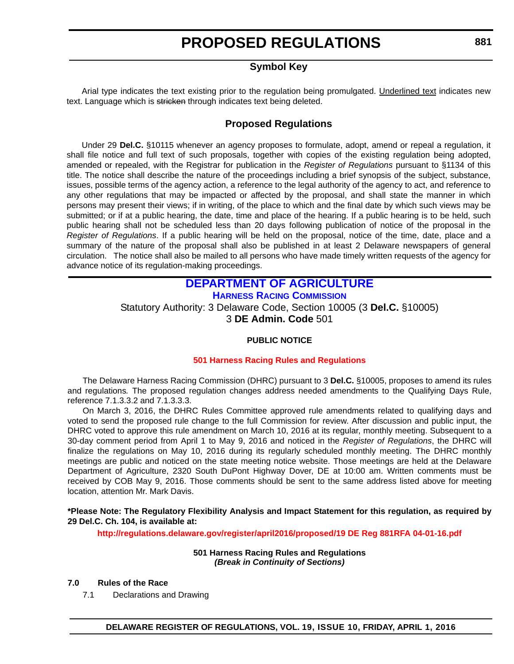### **Symbol Key**

<span id="page-14-0"></span>Arial type indicates the text existing prior to the regulation being promulgated. Underlined text indicates new text. Language which is stricken through indicates text being deleted.

#### **Proposed Regulations**

Under 29 **Del.C.** §10115 whenever an agency proposes to formulate, adopt, amend or repeal a regulation, it shall file notice and full text of such proposals, together with copies of the existing regulation being adopted, amended or repealed, with the Registrar for publication in the *Register of Regulations* pursuant to §1134 of this title. The notice shall describe the nature of the proceedings including a brief synopsis of the subject, substance, issues, possible terms of the agency action, a reference to the legal authority of the agency to act, and reference to any other regulations that may be impacted or affected by the proposal, and shall state the manner in which persons may present their views; if in writing, of the place to which and the final date by which such views may be submitted; or if at a public hearing, the date, time and place of the hearing. If a public hearing is to be held, such public hearing shall not be scheduled less than 20 days following publication of notice of the proposal in the *Register of Regulations*. If a public hearing will be held on the proposal, notice of the time, date, place and a summary of the nature of the proposal shall also be published in at least 2 Delaware newspapers of general circulation. The notice shall also be mailed to all persons who have made timely written requests of the agency for advance notice of its regulation-making proceedings.

### **[DEPARTMENT OF AGRICULTURE](http://dda.delaware.gov/) [HARNESS RACING COMMISSION](http://dda.delaware.gov/harness/index.shtml)**

Statutory Authority: 3 Delaware Code, Section 10005 (3 **Del.C.** §10005) 3 **DE Admin. Code** 501

#### **PUBLIC NOTICE**

#### **[501 Harness Racing Rules and Regulations](#page-3-0)**

The Delaware Harness Racing Commission (DHRC) pursuant to 3 **Del.C.** §10005, proposes to amend its rules and regulations*.* The proposed regulation changes address needed amendments to the Qualifying Days Rule, reference 7.1.3.3.2 and 7.1.3.3.3.

On March 3, 2016, the DHRC Rules Committee approved rule amendments related to qualifying days and voted to send the proposed rule change to the full Commission for review. After discussion and public input, the DHRC voted to approve this rule amendment on March 10, 2016 at its regular, monthly meeting. Subsequent to a 30-day comment period from April 1 to May 9, 2016 and noticed in the *Register of Regulations*, the DHRC will finalize the regulations on May 10, 2016 during its regularly scheduled monthly meeting. The DHRC monthly meetings are public and noticed on the state meeting notice website. Those meetings are held at the Delaware Department of Agriculture, 2320 South DuPont Highway Dover, DE at 10:00 am. Written comments must be received by COB May 9, 2016. Those comments should be sent to the same address listed above for meeting location, attention Mr. Mark Davis.

**\*Please Note: The Regulatory Flexibility Analysis and Impact Statement for this regulation, as required by 29 Del.C. Ch. 104, is available at:**

**<http://regulations.delaware.gov/register/april2016/proposed/19 DE Reg 881RFA 04-01-16.pdf>**

**501 Harness Racing Rules and Regulations** *(Break in Continuity of Sections)*

#### **7.0 Rules of the Race**

7.1 Declarations and Drawing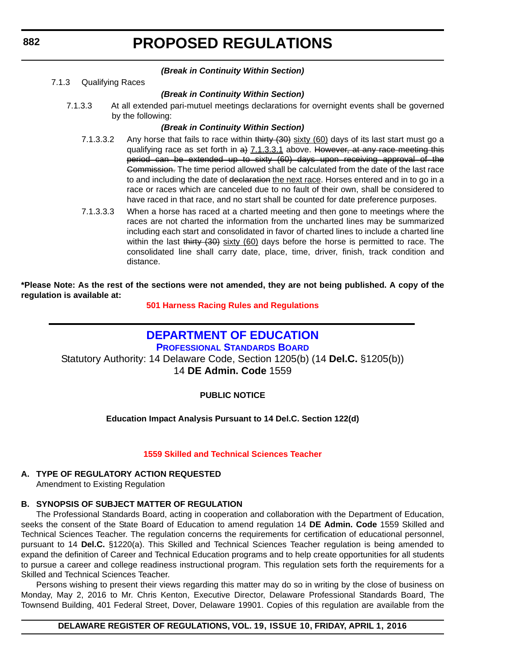#### *(Break in Continuity Within Section)*

7.1.3 Qualifying Races

#### *(Break in Continuity Within Section)*

7.1.3.3 At all extended pari-mutuel meetings declarations for overnight events shall be governed by the following:

#### *(Break in Continuity Within Section)*

- 7.1.3.3.2 Any horse that fails to race within thirty (30) sixty (60) days of its last start must go a qualifying race as set forth in  $a$ ) 7.1.3.3.1 above. However, at any race meeting this period can be extended up to sixty (60) days upon receiving approval of the Commission. The time period allowed shall be calculated from the date of the last race to and including the date of declaration the next race. Horses entered and in to go in a race or races which are canceled due to no fault of their own, shall be considered to have raced in that race, and no start shall be counted for date preference purposes.
- 7.1.3.3.3 When a horse has raced at a charted meeting and then gone to meetings where the races are not charted the information from the uncharted lines may be summarized including each start and consolidated in favor of charted lines to include a charted line within the last  $t$  thirty  $(30)$  sixty  $(60)$  days before the horse is permitted to race. The consolidated line shall carry date, place, time, driver, finish, track condition and distance.

**\*Please Note: As the rest of the sections were not amended, they are not being published. A copy of the regulation is available at:**

**[501 Harness Racing Rules and Regulations](http://regulations.delaware.gov/register/april2016/proposed/19 DE Reg 881 04-01-16.htm)**

### **[DEPARTMENT OF EDUCATION](https://pubapps.doe.k12.de.us/EducationalDirectoryPublic/pages/DDOE/WorkGroupStaff.aspx?page=branches&WGID=75&BID=1)**

**PROFESSIONAL STANDARDS BOARD** Statutory Authority: 14 Delaware Code, Section 1205(b) (14 **Del.C.** §1205(b)) 14 **DE Admin. Code** 1559

#### **PUBLIC NOTICE**

#### **Education Impact Analysis Pursuant to 14 Del.C. Section 122(d)**

#### **[1559 Skilled and Technical Sciences Teacher](#page-3-0)**

#### **A. TYPE OF REGULATORY ACTION REQUESTED**

Amendment to Existing Regulation

#### **B. SYNOPSIS OF SUBJECT MATTER OF REGULATION**

The Professional Standards Board, acting in cooperation and collaboration with the Department of Education, seeks the consent of the State Board of Education to amend regulation 14 **DE Admin. Code** 1559 Skilled and Technical Sciences Teacher. The regulation concerns the requirements for certification of educational personnel, pursuant to 14 **Del.C.** §1220(a). This Skilled and Technical Sciences Teacher regulation is being amended to expand the definition of Career and Technical Education programs and to help create opportunities for all students to pursue a career and college readiness instructional program. This regulation sets forth the requirements for a Skilled and Technical Sciences Teacher.

Persons wishing to present their views regarding this matter may do so in writing by the close of business on Monday, May 2, 2016 to Mr. Chris Kenton, Executive Director, Delaware Professional Standards Board, The Townsend Building, 401 Federal Street, Dover, Delaware 19901. Copies of this regulation are available from the

#### **DELAWARE REGISTER OF REGULATIONS, VOL. 19, ISSUE 10, FRIDAY, APRIL 1, 2016**

<span id="page-15-0"></span>**882**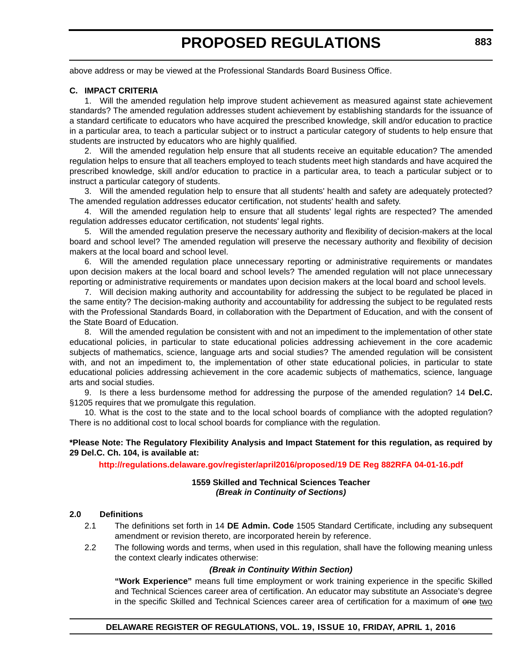above address or may be viewed at the Professional Standards Board Business Office.

#### **C. IMPACT CRITERIA**

1. Will the amended regulation help improve student achievement as measured against state achievement standards? The amended regulation addresses student achievement by establishing standards for the issuance of a standard certificate to educators who have acquired the prescribed knowledge, skill and/or education to practice in a particular area, to teach a particular subject or to instruct a particular category of students to help ensure that students are instructed by educators who are highly qualified.

2. Will the amended regulation help ensure that all students receive an equitable education? The amended regulation helps to ensure that all teachers employed to teach students meet high standards and have acquired the prescribed knowledge, skill and/or education to practice in a particular area, to teach a particular subject or to instruct a particular category of students.

3. Will the amended regulation help to ensure that all students' health and safety are adequately protected? The amended regulation addresses educator certification, not students' health and safety.

4. Will the amended regulation help to ensure that all students' legal rights are respected? The amended regulation addresses educator certification, not students' legal rights.

5. Will the amended regulation preserve the necessary authority and flexibility of decision-makers at the local board and school level? The amended regulation will preserve the necessary authority and flexibility of decision makers at the local board and school level.

6. Will the amended regulation place unnecessary reporting or administrative requirements or mandates upon decision makers at the local board and school levels? The amended regulation will not place unnecessary reporting or administrative requirements or mandates upon decision makers at the local board and school levels.

7. Will decision making authority and accountability for addressing the subject to be regulated be placed in the same entity? The decision-making authority and accountability for addressing the subject to be regulated rests with the Professional Standards Board, in collaboration with the Department of Education, and with the consent of the State Board of Education.

8. Will the amended regulation be consistent with and not an impediment to the implementation of other state educational policies, in particular to state educational policies addressing achievement in the core academic subjects of mathematics, science, language arts and social studies? The amended regulation will be consistent with, and not an impediment to, the implementation of other state educational policies, in particular to state educational policies addressing achievement in the core academic subjects of mathematics, science, language arts and social studies.

9. Is there a less burdensome method for addressing the purpose of the amended regulation? 14 **Del.C.** §1205 requires that we promulgate this regulation.

10. What is the cost to the state and to the local school boards of compliance with the adopted regulation? There is no additional cost to local school boards for compliance with the regulation.

#### **\*Please Note: The Regulatory Flexibility Analysis and Impact Statement for this regulation, as required by 29 Del.C. Ch. 104, is available at:**

**<http://regulations.delaware.gov/register/april2016/proposed/19 DE Reg 882RFA 04-01-16.pdf>**

#### **1559 Skilled and Technical Sciences Teacher** *(Break in Continuity of Sections)*

#### **2.0 Definitions**

- 2.1 The definitions set forth in 14 **DE Admin. Code** 1505 Standard Certificate, including any subsequent amendment or revision thereto, are incorporated herein by reference.
- 2.2 The following words and terms, when used in this regulation, shall have the following meaning unless the context clearly indicates otherwise:

#### *(Break in Continuity Within Section)*

**"Work Experience"** means full time employment or work training experience in the specific Skilled and Technical Sciences career area of certification. An educator may substitute an Associate's degree in the specific Skilled and Technical Sciences career area of certification for a maximum of one two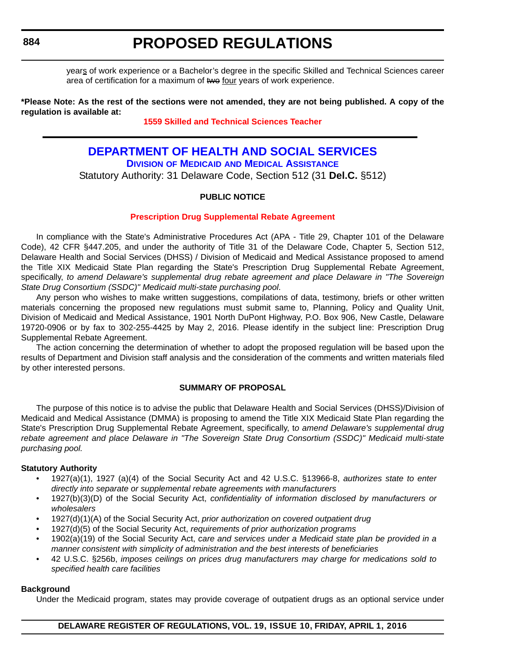years of work experience or a Bachelor's degree in the specific Skilled and Technical Sciences career area of certification for a maximum of two four years of work experience.

**\*Please Note: As the rest of the sections were not amended, they are not being published. A copy of the regulation is available at:**

#### **[1559 Skilled and Technical Sciences Teacher](http://regulations.delaware.gov/register/april2016/proposed/19 DE Reg 882 04-01-16.htm)**

#### **[DEPARTMENT OF HEALTH AND SOCIAL SERVICES](http://www.dhss.delaware.gov/dhss/index.html) DIVISION OF MEDICAID [AND MEDICAL ASSISTANCE](http://www.dhss.delaware.gov/dhss/dmma/)**

Statutory Authority: 31 Delaware Code, Section 512 (31 **Del.C.** §512)

#### **PUBLIC NOTICE**

#### **[Prescription Drug Supplemental Rebate Agreement](#page-3-0)**

In compliance with the State's Administrative Procedures Act (APA - Title 29, Chapter 101 of the Delaware Code), 42 CFR §447.205, and under the authority of Title 31 of the Delaware Code, Chapter 5, Section 512, Delaware Health and Social Services (DHSS) / Division of Medicaid and Medical Assistance proposed to amend the Title XIX Medicaid State Plan regarding the State's Prescription Drug Supplemental Rebate Agreement, specifically, *to amend Delaware's supplemental drug rebate agreement and place Delaware in "The Sovereign State Drug Consortium (SSDC)" Medicaid multi-state purchasing pool*.

Any person who wishes to make written suggestions, compilations of data, testimony, briefs or other written materials concerning the proposed new regulations must submit same to, Planning, Policy and Quality Unit, Division of Medicaid and Medical Assistance, 1901 North DuPont Highway, P.O. Box 906, New Castle, Delaware 19720-0906 or by fax to 302-255-4425 by May 2, 2016. Please identify in the subject line: Prescription Drug Supplemental Rebate Agreement.

The action concerning the determination of whether to adopt the proposed regulation will be based upon the results of Department and Division staff analysis and the consideration of the comments and written materials filed by other interested persons.

#### **SUMMARY OF PROPOSAL**

The purpose of this notice is to advise the public that Delaware Health and Social Services (DHSS)/Division of Medicaid and Medical Assistance (DMMA) is proposing to amend the Title XIX Medicaid State Plan regarding the State's Prescription Drug Supplemental Rebate Agreement, specifically, t*o amend Delaware's supplemental drug rebate agreement and place Delaware in "The Sovereign State Drug Consortium (SSDC)" Medicaid multi-state purchasing pool.* 

#### **Statutory Authority**

- 1927(a)(1), 1927 (a)(4) of the Social Security Act and 42 U.S.C. §13966-8, *authorizes state to enter directly into separate or supplemental rebate agreements with manufacturers*
- 1927(b)(3)(D) of the Social Security Act, *confidentiality of information disclosed by manufacturers or wholesalers*
- 1927(d)(1)(A) of the Social Security Act, *prior authorization on covered outpatient drug*
- 1927(d)(5) of the Social Security Act, *requirements of prior authorization programs*
- 1902(a)(19) of the Social Security Act, *care and services under a Medicaid state plan be provided in a manner consistent with simplicity of administration and the best interests of beneficiaries*
- 42 U.S.C. §256b, *imposes ceilings on prices drug manufacturers may charge for medications sold to specified health care facilities*

#### **Background**

Under the Medicaid program, states may provide coverage of outpatient drugs as an optional service under

<span id="page-17-0"></span>**884**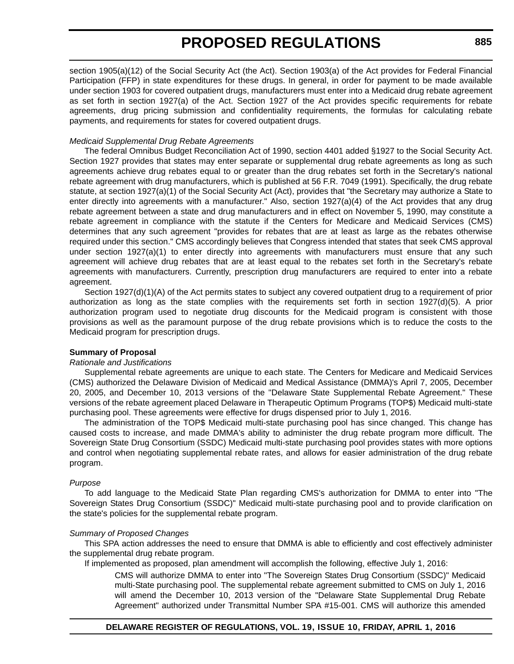section 1905(a)(12) of the Social Security Act (the Act). Section 1903(a) of the Act provides for Federal Financial Participation (FFP) in state expenditures for these drugs. In general, in order for payment to be made available under section 1903 for covered outpatient drugs, manufacturers must enter into a Medicaid drug rebate agreement as set forth in section 1927(a) of the Act. Section 1927 of the Act provides specific requirements for rebate agreements, drug pricing submission and confidentiality requirements, the formulas for calculating rebate payments, and requirements for states for covered outpatient drugs.

#### *Medicaid Supplemental Drug Rebate Agreements*

The federal Omnibus Budget Reconciliation Act of 1990, section 4401 added §1927 to the Social Security Act. Section 1927 provides that states may enter separate or supplemental drug rebate agreements as long as such agreements achieve drug rebates equal to or greater than the drug rebates set forth in the Secretary's national rebate agreement with drug manufacturers, which is published at 56 F.R. 7049 (1991). Specifically, the drug rebate statute, at section 1927(a)(1) of the Social Security Act (Act), provides that "the Secretary may authorize a State to enter directly into agreements with a manufacturer." Also, section 1927(a)(4) of the Act provides that any drug rebate agreement between a state and drug manufacturers and in effect on November 5, 1990, may constitute a rebate agreement in compliance with the statute if the Centers for Medicare and Medicaid Services (CMS) determines that any such agreement "provides for rebates that are at least as large as the rebates otherwise required under this section." CMS accordingly believes that Congress intended that states that seek CMS approval under section 1927(a)(1) to enter directly into agreements with manufacturers must ensure that any such agreement will achieve drug rebates that are at least equal to the rebates set forth in the Secretary's rebate agreements with manufacturers. Currently, prescription drug manufacturers are required to enter into a rebate agreement.

Section 1927(d)(1)(A) of the Act permits states to subject any covered outpatient drug to a requirement of prior authorization as long as the state complies with the requirements set forth in section 1927(d)(5). A prior authorization program used to negotiate drug discounts for the Medicaid program is consistent with those provisions as well as the paramount purpose of the drug rebate provisions which is to reduce the costs to the Medicaid program for prescription drugs.

#### **Summary of Proposal**

#### *Rationale and Justifications*

Supplemental rebate agreements are unique to each state. The Centers for Medicare and Medicaid Services (CMS) authorized the Delaware Division of Medicaid and Medical Assistance (DMMA)'s April 7, 2005, December 20, 2005, and December 10, 2013 versions of the "Delaware State Supplemental Rebate Agreement." These versions of the rebate agreement placed Delaware in Therapeutic Optimum Programs (TOP\$) Medicaid multi-state purchasing pool. These agreements were effective for drugs dispensed prior to July 1, 2016.

The administration of the TOP\$ Medicaid multi-state purchasing pool has since changed. This change has caused costs to increase, and made DMMA's ability to administer the drug rebate program more difficult. The Sovereign State Drug Consortium (SSDC) Medicaid multi-state purchasing pool provides states with more options and control when negotiating supplemental rebate rates, and allows for easier administration of the drug rebate program.

#### *Purpose*

To add language to the Medicaid State Plan regarding CMS's authorization for DMMA to enter into "The Sovereign States Drug Consortium (SSDC)" Medicaid multi-state purchasing pool and to provide clarification on the state's policies for the supplemental rebate program.

#### *Summary of Proposed Changes*

This SPA action addresses the need to ensure that DMMA is able to efficiently and cost effectively administer the supplemental drug rebate program.

If implemented as proposed, plan amendment will accomplish the following, effective July 1, 2016:

CMS will authorize DMMA to enter into "The Sovereign States Drug Consortium (SSDC)" Medicaid multi-State purchasing pool. The supplemental rebate agreement submitted to CMS on July 1, 2016 will amend the December 10, 2013 version of the "Delaware State Supplemental Drug Rebate Agreement" authorized under Transmittal Number SPA #15-001. CMS will authorize this amended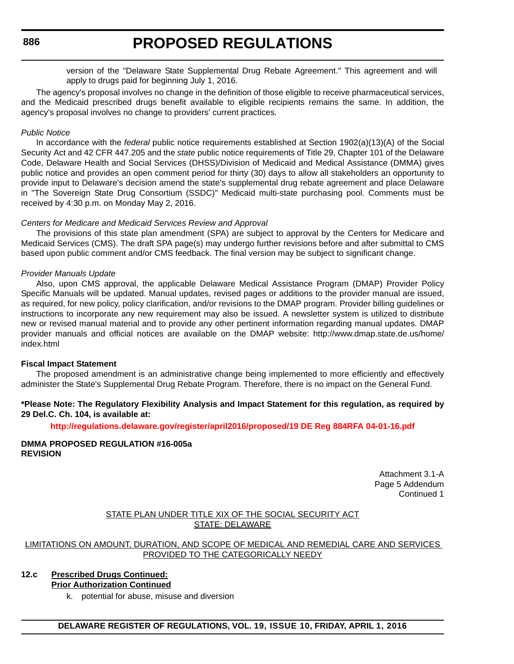version of the "Delaware State Supplemental Drug Rebate Agreement." This agreement and will apply to drugs paid for beginning July 1, 2016.

The agency's proposal involves no change in the definition of those eligible to receive pharmaceutical services, and the Medicaid prescribed drugs benefit available to eligible recipients remains the same. In addition, the agency's proposal involves no change to providers' current practices.

#### *Public Notice*

In accordance with the *federal* public notice requirements established at Section 1902(a)(13)(A) of the Social Security Act and 42 CFR 447.205 and the *state* public notice requirements of Title 29, Chapter 101 of the Delaware Code, Delaware Health and Social Services (DHSS)/Division of Medicaid and Medical Assistance (DMMA) gives public notice and provides an open comment period for thirty (30) days to allow all stakeholders an opportunity to provide input to Delaware's decision amend the state's supplemental drug rebate agreement and place Delaware in "The Sovereign State Drug Consortium (SSDC)" Medicaid multi-state purchasing pool. Comments must be received by 4:30 p.m. on Monday May 2, 2016.

#### *Centers for Medicare and Medicaid Services Review and Approval*

The provisions of this state plan amendment (SPA) are subject to approval by the Centers for Medicare and Medicaid Services (CMS). The draft SPA page(s) may undergo further revisions before and after submittal to CMS based upon public comment and/or CMS feedback. The final version may be subject to significant change.

#### *Provider Manuals Update*

Also, upon CMS approval, the applicable Delaware Medical Assistance Program (DMAP) Provider Policy Specific Manuals will be updated. Manual updates, revised pages or additions to the provider manual are issued, as required, for new policy, policy clarification, and/or revisions to the DMAP program. Provider billing guidelines or instructions to incorporate any new requirement may also be issued. A newsletter system is utilized to distribute new or revised manual material and to provide any other pertinent information regarding manual updates. DMAP provider manuals and official notices are available on the DMAP website: http://www.dmap.state.de.us/home/ index.html

#### **Fiscal Impact Statement**

The proposed amendment is an administrative change being implemented to more efficiently and effectively administer the State's Supplemental Drug Rebate Program. Therefore, there is no impact on the General Fund.

#### **\*Please Note: The Regulatory Flexibility Analysis and Impact Statement for this regulation, as required by 29 Del.C. Ch. 104, is available at:**

**<http://regulations.delaware.gov/register/april2016/proposed/19 DE Reg 884RFA 04-01-16.pdf>**

#### **DMMA PROPOSED REGULATION #16-005a REVISION**

Attachment 3.1-A Page 5 Addendum Continued 1

#### STATE PLAN UNDER TITLE XIX OF THE SOCIAL SECURITY ACT STATE: DELAWARE

LIMITATIONS ON AMOUNT, DURATION, AND SCOPE OF MEDICAL AND REMEDIAL CARE AND SERVICES PROVIDED TO THE CATEGORICALLY NEEDY

#### **12.c Prescribed Drugs Continued: Prior Authorization Continued**

k. potential for abuse, misuse and diversion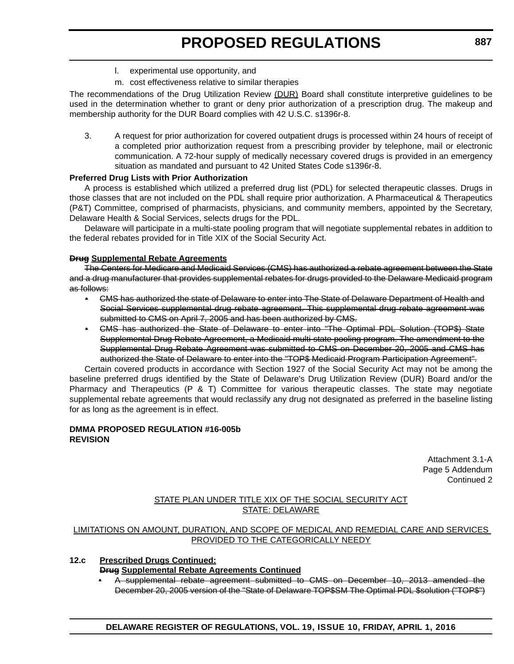- l. experimental use opportunity, and
- m. cost effectiveness relative to similar therapies

The recommendations of the Drug Utilization Review (DUR) Board shall constitute interpretive guidelines to be used in the determination whether to grant or deny prior authorization of a prescription drug. The makeup and membership authority for the DUR Board complies with 42 U.S.C. s1396r-8.

3. A request for prior authorization for covered outpatient drugs is processed within 24 hours of receipt of a completed prior authorization request from a prescribing provider by telephone, mail or electronic communication. A 72-hour supply of medically necessary covered drugs is provided in an emergency situation as mandated and pursuant to 42 United States Code s1396r-8.

#### **Preferred Drug Lists with Prior Authorization**

A process is established which utilized a preferred drug list (PDL) for selected therapeutic classes. Drugs in those classes that are not included on the PDL shall require prior authorization. A Pharmaceutical & Therapeutics (P&T) Committee, comprised of pharmacists, physicians, and community members, appointed by the Secretary, Delaware Health & Social Services, selects drugs for the PDL.

Delaware will participate in a multi-state pooling program that will negotiate supplemental rebates in addition to the federal rebates provided for in Title XIX of the Social Security Act.

#### **Drug Supplemental Rebate Agreements**

The Centers for Medicare and Medicaid Services (CMS) has authorized a rebate agreement between the State and a drug manufacturer that provides supplemental rebates for drugs provided to the Delaware Medicaid program as follows:

- CMS has authorized the state of Delaware to enter into The State of Delaware Department of Health and Social Services supplemental drug rebate agreement. This supplemental drug rebate agreement was submitted to CMS on April 7, 2005 and has been authorized by CMS.
- CMS has authorized the State of Delaware to enter into "The Optimal PDL Solution (TOP\$) State Supplemental Drug Rebate Agreement, a Medicaid multi-state pooling program. The amendment to the Supplemental Drug Rebate Agreement was submitted to CMS on December 20, 2005 and CMS has authorized the State of Delaware to enter into the "TOP\$ Medicaid Program Participation Agreement".

Certain covered products in accordance with Section 1927 of the Social Security Act may not be among the baseline preferred drugs identified by the State of Delaware's Drug Utilization Review (DUR) Board and/or the Pharmacy and Therapeutics (P & T) Committee for various therapeutic classes. The state may negotiate supplemental rebate agreements that would reclassify any drug not designated as preferred in the baseline listing for as long as the agreement is in effect.

#### **DMMA PROPOSED REGULATION #16-005b REVISION**

Attachment 3.1-A Page 5 Addendum Continued 2

#### STATE PLAN UNDER TITLE XIX OF THE SOCIAL SECURITY ACT STATE: DELAWARE

#### LIMITATIONS ON AMOUNT, DURATION, AND SCOPE OF MEDICAL AND REMEDIAL CARE AND SERVICES PROVIDED TO THE CATEGORICALLY NEEDY

#### **12.c Prescribed Drugs Continued:**

#### **Drug Supplemental Rebate Agreements Continued**

• A supplemental rebate agreement submitted to CMS on December 10, 2013 amended the December 20, 2005 version of the "State of Delaware TOP\$SM The Optimal PDL \$solution ("TOP\$")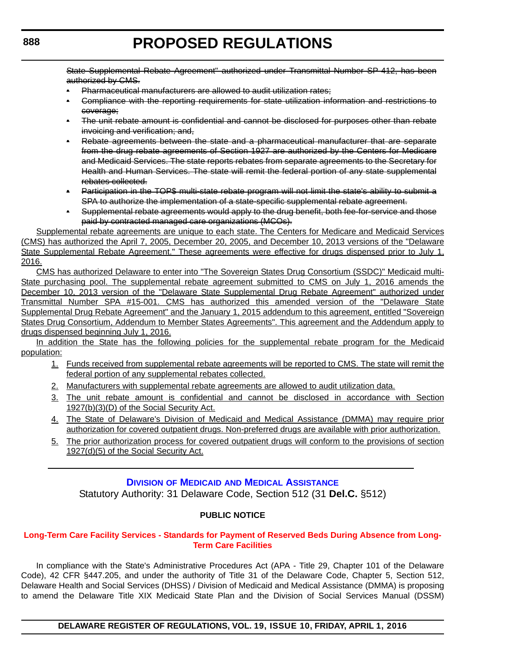<span id="page-21-0"></span>State Supplemental Rebate Agreement" authorized under Transmittal Number SP-412, has been authorized by CMS.

- Pharmaceutical manufacturers are allowed to audit utilization rates;
- Compliance with the reporting requirements for state utilization information and restrictions to coverage;
- The unit rebate amount is confidential and cannot be disclosed for purposes other than rebate invoicing and verification; and,
- Rebate agreements between the state and a pharmaceutical manufacturer that are separate from the drug rebate agreements of Section 1927 are authorized by the Centers for Medicare and Medicaid Services. The state reports rebates from separate agreements to the Secretary for Health and Human Services. The state will remit the federal portion of any state supplemental rebates collected.
- Participation in the TOP\$ multi-state rebate program will not limit the state's ability to submit a SPA to authorize the implementation of a state-specific supplemental rebate agreement.
- Supplemental rebate agreements would apply to the drug benefit, both fee-for-service and those paid by contracted managed care organizations (MCOs).

Supplemental rebate agreements are unique to each state. The Centers for Medicare and Medicaid Services (CMS) has authorized the April 7, 2005, December 20, 2005, and December 10, 2013 versions of the "Delaware State Supplemental Rebate Agreement." These agreements were effective for drugs dispensed prior to July 1, 2016.

CMS has authorized Delaware to enter into "The Sovereign States Drug Consortium (SSDC)" Medicaid multi-State purchasing pool. The supplemental rebate agreement submitted to CMS on July 1, 2016 amends the December 10, 2013 version of the "Delaware State Supplemental Drug Rebate Agreement" authorized under Transmittal Number SPA #15-001. CMS has authorized this amended version of the "Delaware State Supplemental Drug Rebate Agreement" and the January 1, 2015 addendum to this agreement, entitled "Sovereign States Drug Consortium, Addendum to Member States Agreements". This agreement and the Addendum apply to drugs dispensed beginning July 1, 2016.

In addition the State has the following policies for the supplemental rebate program for the Medicaid population:

- 1. Funds received from supplemental rebate agreements will be reported to CMS. The state will remit the federal portion of any supplemental rebates collected.
- 2. Manufacturers with supplemental rebate agreements are allowed to audit utilization data.
- 3. The unit rebate amount is confidential and cannot be disclosed in accordance with Section 1927(b)(3)(D) of the Social Security Act.
- 4. The State of Delaware's Division of Medicaid and Medical Assistance (DMMA) may require prior authorization for covered outpatient drugs. Non-preferred drugs are available with prior authorization.
- 5. The prior authorization process for covered outpatient drugs will conform to the provisions of section 1927(d)(5) of the Social Security Act.

### **DIVISION OF MEDICAID [AND MEDICAL ASSISTANCE](http://www.dhss.delaware.gov/dhss/dmma/)**

Statutory Authority: 31 Delaware Code, Section 512 (31 **Del.C.** §512)

#### **PUBLIC NOTICE**

#### **[Long-Term Care Facility Services - Standards for Payment of Reserved Beds During Absence from Long-](#page-3-0)Term Care Facilities**

In compliance with the State's Administrative Procedures Act (APA - Title 29, Chapter 101 of the Delaware Code), 42 CFR §447.205, and under the authority of Title 31 of the Delaware Code, Chapter 5, Section 512, Delaware Health and Social Services (DHSS) / Division of Medicaid and Medical Assistance (DMMA) is proposing to amend the Delaware Title XIX Medicaid State Plan and the Division of Social Services Manual (DSSM)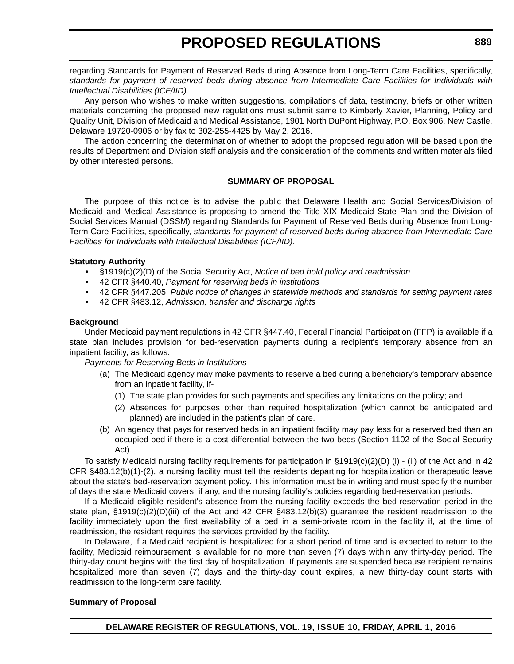regarding Standards for Payment of Reserved Beds during Absence from Long-Term Care Facilities, specifically, *standards for payment of reserved beds during absence from Intermediate Care Facilities for Individuals with Intellectual Disabilities (ICF/IID)*.

Any person who wishes to make written suggestions, compilations of data, testimony, briefs or other written materials concerning the proposed new regulations must submit same to Kimberly Xavier, Planning, Policy and Quality Unit, Division of Medicaid and Medical Assistance, 1901 North DuPont Highway, P.O. Box 906, New Castle, Delaware 19720-0906 or by fax to 302-255-4425 by May 2, 2016.

The action concerning the determination of whether to adopt the proposed regulation will be based upon the results of Department and Division staff analysis and the consideration of the comments and written materials filed by other interested persons.

#### **SUMMARY OF PROPOSAL**

The purpose of this notice is to advise the public that Delaware Health and Social Services/Division of Medicaid and Medical Assistance is proposing to amend the Title XIX Medicaid State Plan and the Division of Social Services Manual (DSSM) regarding Standards for Payment of Reserved Beds during Absence from Long-Term Care Facilities, specifically, *standards for payment of reserved beds during absence from Intermediate Care Facilities for Individuals with Intellectual Disabilities (ICF/IID)*.

#### **Statutory Authority**

- §1919(c)(2)(D) of the Social Security Act, *Notice of bed hold policy and readmission*
- 42 CFR §440.40, *Payment for reserving beds in institutions*
- 42 CFR §447.205, *Public notice of changes in statewide methods and standards for setting payment rates*
- 42 CFR §483.12, *Admission, transfer and discharge rights*

#### **Background**

Under Medicaid payment regulations in 42 CFR §447.40, Federal Financial Participation (FFP) is available if a state plan includes provision for bed-reservation payments during a recipient's temporary absence from an inpatient facility, as follows:

*Payments for Reserving Beds in Institutions*

- (a) The Medicaid agency may make payments to reserve a bed during a beneficiary's temporary absence from an inpatient facility, if-
	- (1) The state plan provides for such payments and specifies any limitations on the policy; and
	- (2) Absences for purposes other than required hospitalization (which cannot be anticipated and planned) are included in the patient's plan of care.
- (b) An agency that pays for reserved beds in an inpatient facility may pay less for a reserved bed than an occupied bed if there is a cost differential between the two beds (Section 1102 of the Social Security Act).

To satisfy Medicaid nursing facility requirements for participation in  $\S1919(c)(2)(D)$  (i) - (ii) of the Act and in 42 CFR §483.12(b)(1)-(2), a nursing facility must tell the residents departing for hospitalization or therapeutic leave about the state's bed-reservation payment policy. This information must be in writing and must specify the number of days the state Medicaid covers, if any, and the nursing facility's policies regarding bed-reservation periods.

If a Medicaid eligible resident's absence from the nursing facility exceeds the bed-reservation period in the state plan, §1919(c)(2)(D)(iii) of the Act and 42 CFR §483.12(b)(3) guarantee the resident readmission to the facility immediately upon the first availability of a bed in a semi-private room in the facility if, at the time of readmission, the resident requires the services provided by the facility.

In Delaware, if a Medicaid recipient is hospitalized for a short period of time and is expected to return to the facility, Medicaid reimbursement is available for no more than seven (7) days within any thirty-day period. The thirty-day count begins with the first day of hospitalization. If payments are suspended because recipient remains hospitalized more than seven (7) days and the thirty-day count expires, a new thirty-day count starts with readmission to the long-term care facility.

#### **Summary of Proposal**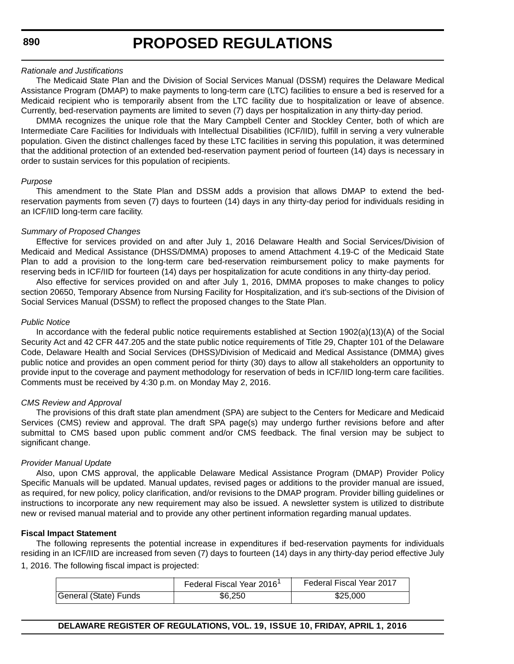#### *Rationale and Justifications*

The Medicaid State Plan and the Division of Social Services Manual (DSSM) requires the Delaware Medical Assistance Program (DMAP) to make payments to long-term care (LTC) facilities to ensure a bed is reserved for a Medicaid recipient who is temporarily absent from the LTC facility due to hospitalization or leave of absence. Currently, bed-reservation payments are limited to seven (7) days per hospitalization in any thirty-day period.

DMMA recognizes the unique role that the Mary Campbell Center and Stockley Center, both of which are Intermediate Care Facilities for Individuals with Intellectual Disabilities (ICF/IID), fulfill in serving a very vulnerable population. Given the distinct challenges faced by these LTC facilities in serving this population, it was determined that the additional protection of an extended bed-reservation payment period of fourteen (14) days is necessary in order to sustain services for this population of recipients.

#### *Purpose*

This amendment to the State Plan and DSSM adds a provision that allows DMAP to extend the bedreservation payments from seven (7) days to fourteen (14) days in any thirty-day period for individuals residing in an ICF/IID long-term care facility.

#### *Summary of Proposed Changes*

Effective for services provided on and after July 1, 2016 Delaware Health and Social Services/Division of Medicaid and Medical Assistance (DHSS/DMMA) proposes to amend Attachment 4.19-C of the Medicaid State Plan to add a provision to the long-term care bed-reservation reimbursement policy to make payments for reserving beds in ICF/IID for fourteen (14) days per hospitalization for acute conditions in any thirty-day period.

Also effective for services provided on and after July 1, 2016, DMMA proposes to make changes to policy section 20650, Temporary Absence from Nursing Facility for Hospitalization, and it's sub-sections of the Division of Social Services Manual (DSSM) to reflect the proposed changes to the State Plan.

#### *Public Notice*

In accordance with the federal public notice requirements established at Section 1902(a)(13)(A) of the Social Security Act and 42 CFR 447.205 and the state public notice requirements of Title 29, Chapter 101 of the Delaware Code, Delaware Health and Social Services (DHSS)/Division of Medicaid and Medical Assistance (DMMA) gives public notice and provides an open comment period for thirty (30) days to allow all stakeholders an opportunity to provide input to the coverage and payment methodology for reservation of beds in ICF/IID long-term care facilities. Comments must be received by 4:30 p.m. on Monday May 2, 2016.

#### *CMS Review and Approval*

The provisions of this draft state plan amendment (SPA) are subject to the Centers for Medicare and Medicaid Services (CMS) review and approval. The draft SPA page(s) may undergo further revisions before and after submittal to CMS based upon public comment and/or CMS feedback. The final version may be subject to significant change.

#### *Provider Manual Update*

Also, upon CMS approval, the applicable Delaware Medical Assistance Program (DMAP) Provider Policy Specific Manuals will be updated. Manual updates, revised pages or additions to the provider manual are issued, as required, for new policy, policy clarification, and/or revisions to the DMAP program. Provider billing guidelines or instructions to incorporate any new requirement may also be issued. A newsletter system is utilized to distribute new or revised manual material and to provide any other pertinent information regarding manual updates.

#### **Fiscal Impact Statement**

The following represents the potential increase in expenditures if bed-reservation payments for individuals residing in an ICF/IID are increased from seven (7) days to fourteen (14) days in any thirty-day period effective July 1, 2016. The following fiscal impact is projected:

|                       | Federal Fiscal Year 2016 <sup>1</sup> | Federal Fiscal Year 2017 |
|-----------------------|---------------------------------------|--------------------------|
| General (State) Funds | \$6.250                               | \$25.000                 |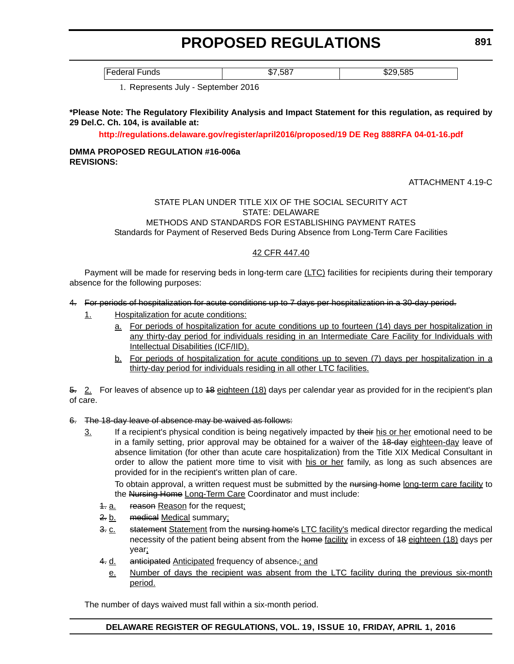**891**

Federal Funds \$7,587 \$29,585

1. Represents July - September 2016

#### **\*Please Note: The Regulatory Flexibility Analysis and Impact Statement for this regulation, as required by 29 Del.C. Ch. 104, is available at:**

**<http://regulations.delaware.gov/register/april2016/proposed/19 DE Reg 888RFA 04-01-16.pdf>**

#### **DMMA PROPOSED REGULATION #16-006a REVISIONS:**

ATTACHMENT 4.19-C

#### STATE PLAN UNDER TITLE XIX OF THE SOCIAL SECURITY ACT STATE: DELAWARE METHODS AND STANDARDS FOR ESTABLISHING PAYMENT RATES Standards for Payment of Reserved Beds During Absence from Long-Term Care Facilities

#### 42 CFR 447.40

Payment will be made for reserving beds in long-term care (LTC) facilities for recipients during their temporary absence for the following purposes:

#### 4. For periods of hospitalization for acute conditions up to 7 days per hospitalization in a 30-day period.

- 1. Hospitalization for acute conditions:
	- a. For periods of hospitalization for acute conditions up to fourteen (14) days per hospitalization in any thirty-day period for individuals residing in an Intermediate Care Facility for Individuals with Intellectual Disabilities (ICF/IID).
	- b. For periods of hospitalization for acute conditions up to seven (7) days per hospitalization in a thirty-day period for individuals residing in all other LTC facilities.

5. 2. For leaves of absence up to 48 eighteen (18) days per calendar year as provided for in the recipient's plan of care.

#### 6. The 18-day leave of absence may be waived as follows:

3. If a recipient's physical condition is being negatively impacted by their his or her emotional need to be in a family setting, prior approval may be obtained for a waiver of the 48-day eighteen-day leave of absence limitation (for other than acute care hospitalization) from the Title XIX Medical Consultant in order to allow the patient more time to visit with his or her family, as long as such absences are provided for in the recipient's written plan of care.

To obtain approval, a written request must be submitted by the nursing home long-term care facility to the Nursing Home Long-Term Care Coordinator and must include:

- 4. a. reason Reason for the request;
- 2. b. medical Medical summary;
- 3. c. statement Statement from the nursing home's LTC facility's medical director regarding the medical necessity of the patient being absent from the home facility in excess of 48 eighteen (18) days per year;
- 4. d. anticipated Anticipated frequency of absence-; and
	- e. Number of days the recipient was absent from the LTC facility during the previous six-month period.

The number of days waived must fall within a six-month period.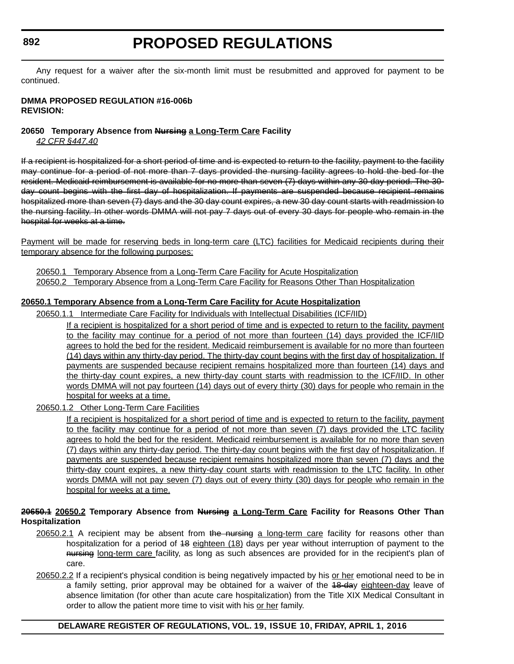# **PROPOSED REGULATIONS**

Any request for a waiver after the six-month limit must be resubmitted and approved for payment to be continued.

#### **DMMA PROPOSED REGULATION #16-006b REVISION:**

### **20650 Temporary Absence from Nursing a Long-Term Care Facility**

*42 CFR §447.40*

If a recipient is hospitalized for a short period of time and is expected to return to the facility, payment to the facility may continue for a period of not more than 7 days provided the nursing facility agrees to hold the bed for the resident. Medicaid reimbursement is available for no more than seven (7) days within any 30-day period. The 30 day count begins with the first day of hospitalization. If payments are suspended because recipient remains hospitalized more than seven (7) days and the 30 day count expires, a new 30 day count starts with readmission to the nursing facility. In other words DMMA will not pay 7 days out of every 30 days for people who remain in the hospital for weeks at a time.

Payment will be made for reserving beds in long-term care (LTC) facilities for Medicaid recipients during their temporary absence for the following purposes:

20650.1 Temporary Absence from a Long-Term Care Facility for Acute Hospitalization 20650.2 Temporary Absence from a Long-Term Care Facility for Reasons Other Than Hospitalization

### **20650.1 Temporary Absence from a Long-Term Care Facility for Acute Hospitalization**

20650.1.1 Intermediate Care Facility for Individuals with Intellectual Disabilities (ICF/IID)

If a recipient is hospitalized for a short period of time and is expected to return to the facility, payment to the facility may continue for a period of not more than fourteen (14) days provided the ICF/IID agrees to hold the bed for the resident. Medicaid reimbursement is available for no more than fourteen (14) days within any thirty-day period. The thirty-day count begins with the first day of hospitalization. If payments are suspended because recipient remains hospitalized more than fourteen (14) days and the thirty-day count expires, a new thirty-day count starts with readmission to the ICF/IID. In other words DMMA will not pay fourteen (14) days out of every thirty (30) days for people who remain in the hospital for weeks at a time.

20650.1.2 Other Long-Term Care Facilities

If a recipient is hospitalized for a short period of time and is expected to return to the facility, payment to the facility may continue for a period of not more than seven (7) days provided the LTC facility agrees to hold the bed for the resident. Medicaid reimbursement is available for no more than seven (7) days within any thirty-day period. The thirty-day count begins with the first day of hospitalization. If payments are suspended because recipient remains hospitalized more than seven (7) days and the thirty-day count expires, a new thirty-day count starts with readmission to the LTC facility. In other words DMMA will not pay seven (7) days out of every thirty (30) days for people who remain in the hospital for weeks at a time.

#### **20650.1 20650.2 Temporary Absence from Nursing a Long-Term Care Facility for Reasons Other Than Hospitalization**

- 20650.2.1 A recipient may be absent from the nursing a long-term care facility for reasons other than hospitalization for a period of 48 eighteen (18) days per year without interruption of payment to the nursing long-term care facility, as long as such absences are provided for in the recipient's plan of care.
- 20650.2.2 If a recipient's physical condition is being negatively impacted by his or her emotional need to be in a family setting, prior approval may be obtained for a waiver of the 48-day eighteen-day leave of absence limitation (for other than acute care hospitalization) from the Title XIX Medical Consultant in order to allow the patient more time to visit with his or her family.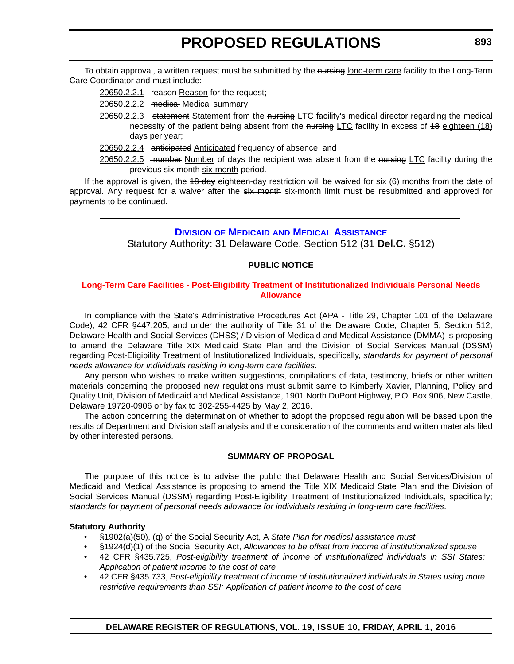<span id="page-26-0"></span>To obtain approval, a written request must be submitted by the nursing long-term care facility to the Long-Term Care Coordinator and must include:

20650.2.2.1 reason Reason for the request;

- 20650.2.2.2 medical Medical summary;
- 20650.2.2.3 statement Statement from the nursing LTC facility's medical director regarding the medical necessity of the patient being absent from the nursing LTC facility in excess of 48 eighteen (18) days per year;
- 20650.2.2.4 anticipated Anticipated frequency of absence; and
- 20650.2.2.5 -number Number of days the recipient was absent from the nursing LTC facility during the previous six month six-month period.

If the approval is given, the 48-day eighteen-day restriction will be waived for six (6) months from the date of approval. Any request for a waiver after the six month six-month limit must be resubmitted and approved for payments to be continued.

#### **DIVISION OF MEDICAID [AND MEDICAL ASSISTANCE](http://www.dhss.delaware.gov/dhss/dmma/)**

Statutory Authority: 31 Delaware Code, Section 512 (31 **Del.C.** §512)

#### **PUBLIC NOTICE**

#### **[Long-Term Care Facilities - Post-Eligibility Treatment of Institutionalized Individuals Personal Needs](#page-3-0)  Allowance**

In compliance with the State's Administrative Procedures Act (APA - Title 29, Chapter 101 of the Delaware Code), 42 CFR §447.205, and under the authority of Title 31 of the Delaware Code, Chapter 5, Section 512, Delaware Health and Social Services (DHSS) / Division of Medicaid and Medical Assistance (DMMA) is proposing to amend the Delaware Title XIX Medicaid State Plan and the Division of Social Services Manual (DSSM) regarding Post-Eligibility Treatment of Institutionalized Individuals, specifically, *standards for payment of personal needs allowance for individuals residing in long-term care facilities*.

Any person who wishes to make written suggestions, compilations of data, testimony, briefs or other written materials concerning the proposed new regulations must submit same to Kimberly Xavier, Planning, Policy and Quality Unit, Division of Medicaid and Medical Assistance, 1901 North DuPont Highway, P.O. Box 906, New Castle, Delaware 19720-0906 or by fax to 302-255-4425 by May 2, 2016.

The action concerning the determination of whether to adopt the proposed regulation will be based upon the results of Department and Division staff analysis and the consideration of the comments and written materials filed by other interested persons.

#### **SUMMARY OF PROPOSAL**

The purpose of this notice is to advise the public that Delaware Health and Social Services/Division of Medicaid and Medical Assistance is proposing to amend the Title XIX Medicaid State Plan and the Division of Social Services Manual (DSSM) regarding Post-Eligibility Treatment of Institutionalized Individuals, specifically; *standards for payment of personal needs allowance for individuals residing in long-term care facilities*.

#### **Statutory Authority**

- §1902(a)(50), (q) of the Social Security Act, A *State Plan for medical assistance must*
- §1924(d)(1) of the Social Security Act, *Allowances to be offset from income of institutionalized spouse*
- 42 CFR §435.725, *Post-eligibility treatment of income of institutionalized individuals in SSI States: Application of patient income to the cost of care*
- 42 CFR §435.733, *Post-eligibility treatment of income of institutionalized individuals in States using more restrictive requirements than SSI: Application of patient income to the cost of care*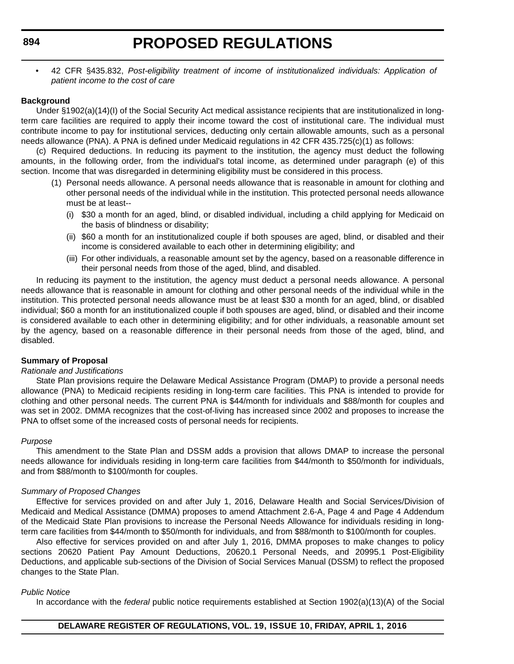• 42 CFR §435.832, *Post-eligibility treatment of income of institutionalized individuals: Application of patient income to the cost of care*

#### **Background**

Under §1902(a)(14)(I) of the Social Security Act medical assistance recipients that are institutionalized in longterm care facilities are required to apply their income toward the cost of institutional care. The individual must contribute income to pay for institutional services, deducting only certain allowable amounts, such as a personal needs allowance (PNA). A PNA is defined under Medicaid regulations in 42 CFR 435.725(c)(1) as follows:

(c) Required deductions. In reducing its payment to the institution, the agency must deduct the following amounts, in the following order, from the individual's total income, as determined under paragraph (e) of this section. Income that was disregarded in determining eligibility must be considered in this process.

- (1) Personal needs allowance. A personal needs allowance that is reasonable in amount for clothing and other personal needs of the individual while in the institution. This protected personal needs allowance must be at least--
	- (i) \$30 a month for an aged, blind, or disabled individual, including a child applying for Medicaid on the basis of blindness or disability;
	- (ii) \$60 a month for an institutionalized couple if both spouses are aged, blind, or disabled and their income is considered available to each other in determining eligibility; and
	- (iii) For other individuals, a reasonable amount set by the agency, based on a reasonable difference in their personal needs from those of the aged, blind, and disabled.

In reducing its payment to the institution, the agency must deduct a personal needs allowance. A personal needs allowance that is reasonable in amount for clothing and other personal needs of the individual while in the institution. This protected personal needs allowance must be at least \$30 a month for an aged, blind, or disabled individual; \$60 a month for an institutionalized couple if both spouses are aged, blind, or disabled and their income is considered available to each other in determining eligibility; and for other individuals, a reasonable amount set by the agency, based on a reasonable difference in their personal needs from those of the aged, blind, and disabled.

#### **Summary of Proposal**

#### *Rationale and Justifications*

State Plan provisions require the Delaware Medical Assistance Program (DMAP) to provide a personal needs allowance (PNA) to Medicaid recipients residing in long-term care facilities. This PNA is intended to provide for clothing and other personal needs. The current PNA is \$44/month for individuals and \$88/month for couples and was set in 2002. DMMA recognizes that the cost-of-living has increased since 2002 and proposes to increase the PNA to offset some of the increased costs of personal needs for recipients.

#### *Purpose*

This amendment to the State Plan and DSSM adds a provision that allows DMAP to increase the personal needs allowance for individuals residing in long-term care facilities from \$44/month to \$50/month for individuals, and from \$88/month to \$100/month for couples.

#### *Summary of Proposed Changes*

Effective for services provided on and after July 1, 2016, Delaware Health and Social Services/Division of Medicaid and Medical Assistance (DMMA) proposes to amend Attachment 2.6-A, Page 4 and Page 4 Addendum of the Medicaid State Plan provisions to increase the Personal Needs Allowance for individuals residing in longterm care facilities from \$44/month to \$50/month for individuals, and from \$88/month to \$100/month for couples.

Also effective for services provided on and after July 1, 2016, DMMA proposes to make changes to policy sections 20620 Patient Pay Amount Deductions, 20620.1 Personal Needs, and 20995.1 Post-Eligibility Deductions, and applicable sub-sections of the Division of Social Services Manual (DSSM) to reflect the proposed changes to the State Plan.

#### *Public Notice*

In accordance with the *federal* public notice requirements established at Section 1902(a)(13)(A) of the Social

#### **894**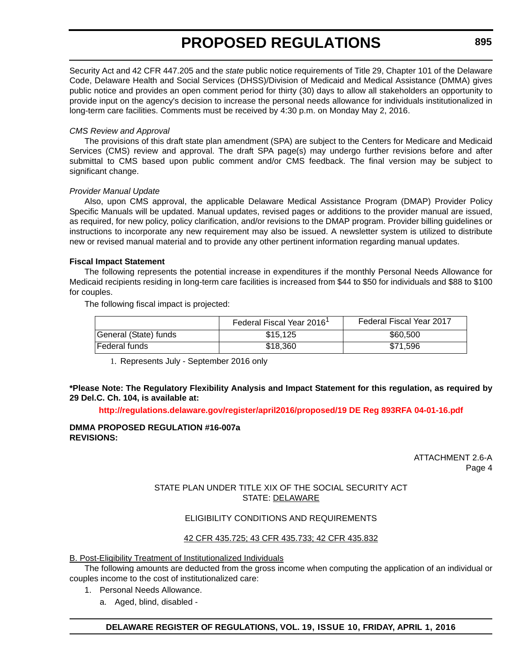Security Act and 42 CFR 447.205 and the *state* public notice requirements of Title 29, Chapter 101 of the Delaware Code, Delaware Health and Social Services (DHSS)/Division of Medicaid and Medical Assistance (DMMA) gives public notice and provides an open comment period for thirty (30) days to allow all stakeholders an opportunity to provide input on the agency's decision to increase the personal needs allowance for individuals institutionalized in long-term care facilities. Comments must be received by 4:30 p.m. on Monday May 2, 2016.

#### *CMS Review and Approval*

The provisions of this draft state plan amendment (SPA) are subject to the Centers for Medicare and Medicaid Services (CMS) review and approval. The draft SPA page(s) may undergo further revisions before and after submittal to CMS based upon public comment and/or CMS feedback. The final version may be subject to significant change.

#### *Provider Manual Update*

Also, upon CMS approval, the applicable Delaware Medical Assistance Program (DMAP) Provider Policy Specific Manuals will be updated. Manual updates, revised pages or additions to the provider manual are issued, as required, for new policy, policy clarification, and/or revisions to the DMAP program. Provider billing guidelines or instructions to incorporate any new requirement may also be issued. A newsletter system is utilized to distribute new or revised manual material and to provide any other pertinent information regarding manual updates.

#### **Fiscal Impact Statement**

The following represents the potential increase in expenditures if the monthly Personal Needs Allowance for Medicaid recipients residing in long-term care facilities is increased from \$44 to \$50 for individuals and \$88 to \$100 for couples.

The following fiscal impact is projected:

|                       | Federal Fiscal Year 2016 <sup>1</sup> | Federal Fiscal Year 2017 |
|-----------------------|---------------------------------------|--------------------------|
| General (State) funds | \$15.125                              | \$60,500                 |
| Federal funds         | \$18,360                              | \$71.596                 |

1. Represents July - September 2016 only

#### **\*Please Note: The Regulatory Flexibility Analysis and Impact Statement for this regulation, as required by 29 Del.C. Ch. 104, is available at:**

**<http://regulations.delaware.gov/register/april2016/proposed/19 DE Reg 893RFA 04-01-16.pdf>**

#### **DMMA PROPOSED REGULATION #16-007a REVISIONS:**

ATTACHMENT 2.6-A Page 4

#### STATE PLAN UNDER TITLE XIX OF THE SOCIAL SECURITY ACT STATE: DELAWARE

#### ELIGIBILITY CONDITIONS AND REQUIREMENTS

#### 42 CFR 435.725; 43 CFR 435.733; 42 CFR 435.832

#### B. Post-Eligibility Treatment of Institutionalized Individuals

The following amounts are deducted from the gross income when computing the application of an individual or couples income to the cost of institutionalized care:

- 1. Personal Needs Allowance.
	- a. Aged, blind, disabled -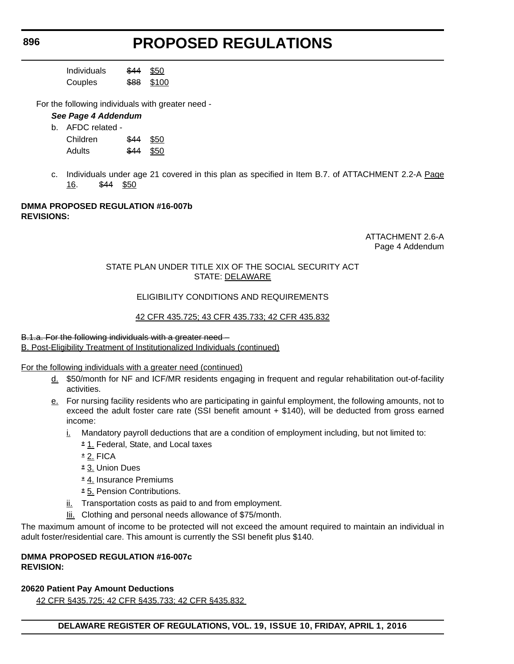| Individuals | \$44 | \$50  |
|-------------|------|-------|
| Couples     | \$88 | \$100 |

For the following individuals with greater need -

#### *See Page 4 Addendum*

| AFDC related - |            |  |
|----------------|------------|--|
| Children       | $$44$ \$50 |  |
| <b>Adults</b>  | \$44 \$50  |  |

c. Individuals under age 21 covered in this plan as specified in Item B.7. of ATTACHMENT 2.2-A Page 16. \$44 \$50

#### **DMMA PROPOSED REGULATION #16-007b REVISIONS:**

ATTACHMENT 2.6-A Page 4 Addendum

#### STATE PLAN UNDER TITLE XIX OF THE SOCIAL SECURITY ACT STATE: DELAWARE

#### ELIGIBILITY CONDITIONS AND REQUIREMENTS

#### 42 CFR 435.725; 43 CFR 435.733; 42 CFR 435.832

#### B.1.a. For the following individuals with a greater need – B. Post-Eligibility Treatment of Institutionalized Individuals (continued)

For the following individuals with a greater need (continued)

- d. \$50/month for NF and ICF/MR residents engaging in frequent and regular rehabilitation out-of-facility activities.
- e. For nursing facility residents who are participating in gainful employment, the following amounts, not to exceed the adult foster care rate (SSI benefit amount + \$140), will be deducted from gross earned income:
	- $i.$  Mandatory payroll deductions that are a condition of employment including, but not limited to:
		- \* 1. Federal, State, and Local taxes
		- $*$  2. FICA
		- \* 3. Union Dues
		- \* 4. Insurance Premiums
		- \* 5. Pension Contributions.
	- ii. Transportation costs as paid to and from employment.
	- lii. Clothing and personal needs allowance of \$75/month.

The maximum amount of income to be protected will not exceed the amount required to maintain an individual in adult foster/residential care. This amount is currently the SSI benefit plus \$140.

#### **DMMA PROPOSED REGULATION #16-007c REVISION:**

### **20620 Patient Pay Amount Deductions**

42 CFR §435.725; 42 CFR §435.733; 42 CFR §435.832

**896**

 $b<sub>r</sub>$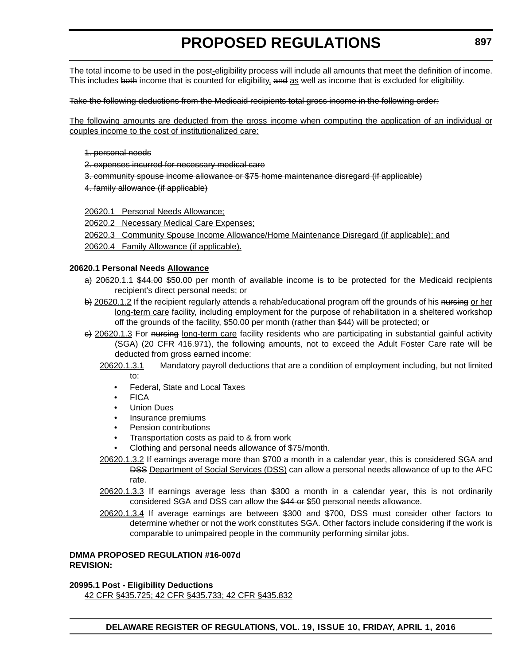The total income to be used in the post-eligibility process will include all amounts that meet the definition of income. This includes both income that is counted for eligibility, and as well as income that is excluded for eligibility.

#### Take the following deductions from the Medicaid recipients total gross income in the following order:

The following amounts are deducted from the gross income when computing the application of an individual or couples income to the cost of institutionalized care:

- 1. personal needs
- 2. expenses incurred for necessary medical care
- 3. community spouse income allowance or \$75 home maintenance disregard (if applicable)
- 4. family allowance (if applicable)
- 20620.1 Personal Needs Allowance;
- 20620.2 Necessary Medical Care Expenses;
- 20620.3 Community Spouse Income Allowance/Home Maintenance Disregard (if applicable); and
- 20620.4 Family Allowance (if applicable).

#### **20620.1 Personal Needs Allowance**

- a) 20620.1.1 \$44.00 \$50.00 per month of available income is to be protected for the Medicaid recipients recipient's direct personal needs; or
- b) 20620.1.2 If the recipient regularly attends a rehab/educational program off the grounds of his nursing or her long-term care facility, including employment for the purpose of rehabilitation in a sheltered workshop off the grounds of the facility, \$50.00 per month (rather than \$44) will be protected; or
- $\epsilon$ ) 20620.1.3 For nursing long-term care facility residents who are participating in substantial gainful activity (SGA) (20 CFR 416.971), the following amounts, not to exceed the Adult Foster Care rate will be deducted from gross earned income:
	- 20620.1.3.1 Mandatory payroll deductions that are a condition of employment including, but not limited to:
		- Federal, State and Local Taxes
		- FICA
		- Union Dues
		- Insurance premiums
		- Pension contributions
		- Transportation costs as paid to & from work
		- Clothing and personal needs allowance of \$75/month.
	- 20620.1.3.2 If earnings average more than \$700 a month in a calendar year, this is considered SGA and DSS Department of Social Services (DSS) can allow a personal needs allowance of up to the AFC rate.
	- 20620.1.3.3 If earnings average less than \$300 a month in a calendar year, this is not ordinarily considered SGA and DSS can allow the \$44 or \$50 personal needs allowance.
	- 20620.1.3.4 If average earnings are between \$300 and \$700, DSS must consider other factors to determine whether or not the work constitutes SGA. Other factors include considering if the work is comparable to unimpaired people in the community performing similar jobs.

#### **DMMA PROPOSED REGULATION #16-007d REVISION:**

**20995.1 Post - Eligibility Deductions**

42 CFR §435.725; 42 CFR §435.733; 42 CFR §435.832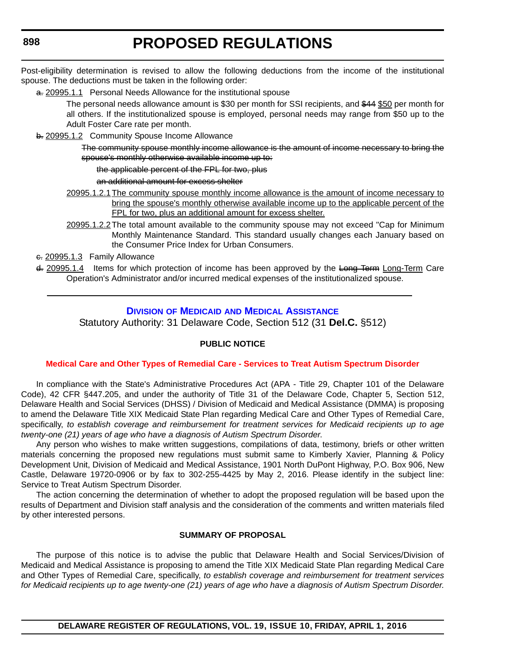Post-eligibility determination is revised to allow the following deductions from the income of the institutional spouse. The deductions must be taken in the following order:

a. 20995.1.1 Personal Needs Allowance for the institutional spouse

The personal needs allowance amount is \$30 per month for SSI recipients, and \$44 \$50 per month for all others. If the institutionalized spouse is employed, personal needs may range from \$50 up to the Adult Foster Care rate per month.

b. 20995.1.2 Community Spouse Income Allowance

The community spouse monthly income allowance is the amount of income necessary to bring the spouse's monthly otherwise available income up to:

the applicable percent of the FPL for two, plus

an additional amount for excess shelter

- 20995.1.2.1The community spouse monthly income allowance is the amount of income necessary to bring the spouse's monthly otherwise available income up to the applicable percent of the FPL for two, plus an additional amount for excess shelter.
- 20995.1.2.2The total amount available to the community spouse may not exceed "Cap for Minimum Monthly Maintenance Standard. This standard usually changes each January based on the Consumer Price Index for Urban Consumers.

e. 20995.1.3 Family Allowance

d. 20995.1.4 Items for which protection of income has been approved by the Long Term Long-Term Care Operation's Administrator and/or incurred medical expenses of the institutionalized spouse.

#### **DIVISION OF MEDICAID [AND MEDICAL ASSISTANCE](http://www.dhss.delaware.gov/dhss/dmma/)**

Statutory Authority: 31 Delaware Code, Section 512 (31 **Del.C.** §512)

#### **PUBLIC NOTICE**

#### **[Medical Care and Other Types of Remedial Care - Services to Treat Autism Spectrum Disorder](#page-3-0)**

In compliance with the State's Administrative Procedures Act (APA - Title 29, Chapter 101 of the Delaware Code), 42 CFR §447.205, and under the authority of Title 31 of the Delaware Code, Chapter 5, Section 512, Delaware Health and Social Services (DHSS) / Division of Medicaid and Medical Assistance (DMMA) is proposing to amend the Delaware Title XIX Medicaid State Plan regarding Medical Care and Other Types of Remedial Care, specifically, *to establish coverage and reimbursement for treatment services for Medicaid recipients up to age twenty-one (21) years of age who have a diagnosis of Autism Spectrum Disorder*.

Any person who wishes to make written suggestions, compilations of data, testimony, briefs or other written materials concerning the proposed new regulations must submit same to Kimberly Xavier, Planning & Policy Development Unit, Division of Medicaid and Medical Assistance, 1901 North DuPont Highway, P.O. Box 906, New Castle, Delaware 19720-0906 or by fax to 302-255-4425 by May 2, 2016. Please identify in the subject line: Service to Treat Autism Spectrum Disorder.

The action concerning the determination of whether to adopt the proposed regulation will be based upon the results of Department and Division staff analysis and the consideration of the comments and written materials filed by other interested persons.

#### **SUMMARY OF PROPOSAL**

The purpose of this notice is to advise the public that Delaware Health and Social Services/Division of Medicaid and Medical Assistance is proposing to amend the Title XIX Medicaid State Plan regarding Medical Care and Other Types of Remedial Care, specifically, *to establish coverage and reimbursement for treatment services for Medicaid recipients up to age twenty-one (21) years of age who have a diagnosis of Autism Spectrum Disorder.*

<span id="page-31-0"></span>**898**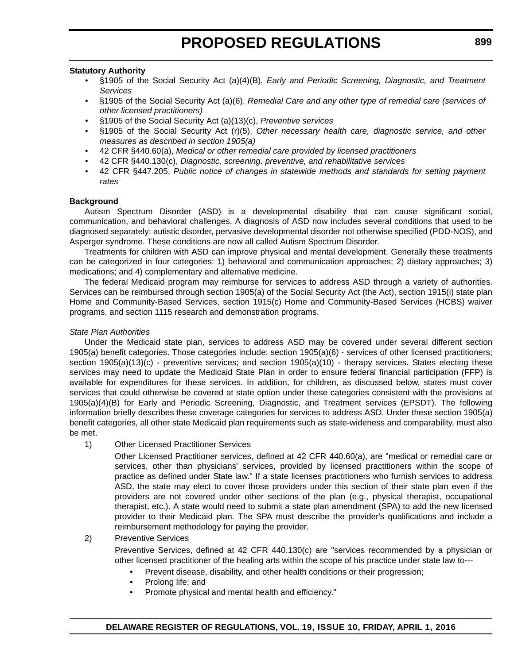#### **Statutory Authority**

- §1905 of the Social Security Act (a)(4)(B), *Early and Periodic Screening, Diagnostic, and Treatment Services*
- §1905 of the Social Security Act (a)(6), *Remedial Care and any other type of remedial care (services of other licensed practitioners)*
- §1905 of the Social Security Act (a)(13)(c), *Preventive services*
- §1905 of the Social Security Act (r)(5), *Other necessary health care, diagnostic service, and other measures as described in section 1905(a)*
- 42 CFR §440.60(a), *Medical or other remedial care provided by licensed practitioners*
- 42 CFR §440.130(c), *Diagnostic, screening, preventive, and rehabilitative services*
- 42 CFR §447.205, *Public notice of changes in statewide methods and standards for setting payment rates*

#### **Background**

Autism Spectrum Disorder (ASD) is a developmental disability that can cause significant social, communication, and behavioral challenges. A diagnosis of ASD now includes several conditions that used to be diagnosed separately: autistic disorder, pervasive developmental disorder not otherwise specified (PDD-NOS), and Asperger syndrome. These conditions are now all called Autism Spectrum Disorder.

Treatments for children with ASD can improve physical and mental development. Generally these treatments can be categorized in four categories: 1) behavioral and communication approaches; 2) dietary approaches; 3) medications; and 4) complementary and alternative medicine.

The federal Medicaid program may reimburse for services to address ASD through a variety of authorities. Services can be reimbursed through section 1905(a) of the Social Security Act (the Act), section 1915(i) state plan Home and Community-Based Services, section 1915(c) Home and Community-Based Services (HCBS) waiver programs, and section 1115 research and demonstration programs.

#### *State Plan Authorities*

Under the Medicaid state plan, services to address ASD may be covered under several different section 1905(a) benefit categories. Those categories include: section 1905(a)(6) - services of other licensed practitioners; section 1905(a)(13)(c) - preventive services; and section 1905(a)(10) - therapy services. States electing these services may need to update the Medicaid State Plan in order to ensure federal financial participation (FFP) is available for expenditures for these services. In addition, for children, as discussed below, states must cover services that could otherwise be covered at state option under these categories consistent with the provisions at 1905(a)(4)(B) for Early and Periodic Screening, Diagnostic, and Treatment services (EPSDT). The following information briefly describes these coverage categories for services to address ASD. Under these section 1905(a) benefit categories, all other state Medicaid plan requirements such as state-wideness and comparability, must also be met.

#### 1) Other Licensed Practitioner Services

Other Licensed Practitioner services, defined at 42 CFR 440.60(a), are "medical or remedial care or services, other than physicians' services, provided by licensed practitioners within the scope of practice as defined under State law." If a state licenses practitioners who furnish services to address ASD, the state may elect to cover those providers under this section of their state plan even if the providers are not covered under other sections of the plan (e.g., physical therapist, occupational therapist, etc.). A state would need to submit a state plan amendment (SPA) to add the new licensed provider to their Medicaid plan. The SPA must describe the provider's qualifications and include a reimbursement methodology for paying the provider.

#### 2) Preventive Services

Preventive Services, defined at 42 CFR 440.130(c) are "services recommended by a physician or other licensed practitioner of the healing arts within the scope of his practice under state law to---

- Prevent disease, disability, and other health conditions or their progression;
- Prolong life; and
- Promote physical and mental health and efficiency."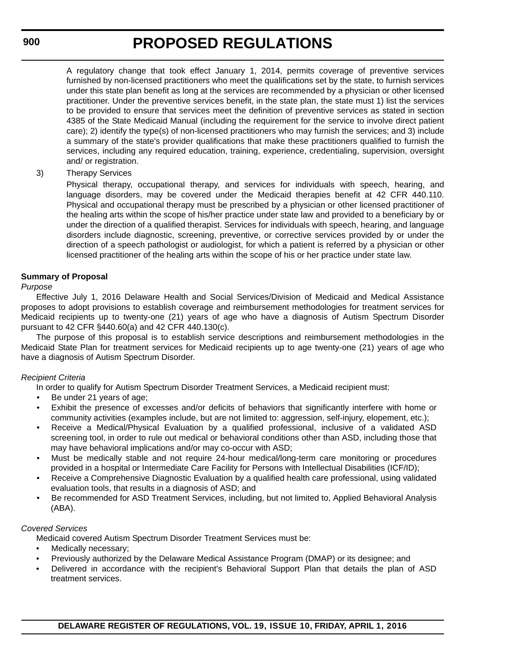A regulatory change that took effect January 1, 2014, permits coverage of preventive services furnished by non-licensed practitioners who meet the qualifications set by the state, to furnish services under this state plan benefit as long at the services are recommended by a physician or other licensed practitioner. Under the preventive services benefit, in the state plan, the state must 1) list the services to be provided to ensure that services meet the definition of preventive services as stated in section 4385 of the State Medicaid Manual (including the requirement for the service to involve direct patient care); 2) identify the type(s) of non-licensed practitioners who may furnish the services; and 3) include a summary of the state's provider qualifications that make these practitioners qualified to furnish the services, including any required education, training, experience, credentialing, supervision, oversight and/ or registration.

3) Therapy Services

Physical therapy, occupational therapy, and services for individuals with speech, hearing, and language disorders, may be covered under the Medicaid therapies benefit at 42 CFR 440.110. Physical and occupational therapy must be prescribed by a physician or other licensed practitioner of the healing arts within the scope of his/her practice under state law and provided to a beneficiary by or under the direction of a qualified therapist. Services for individuals with speech, hearing, and language disorders include diagnostic, screening, preventive, or corrective services provided by or under the direction of a speech pathologist or audiologist, for which a patient is referred by a physician or other licensed practitioner of the healing arts within the scope of his or her practice under state law.

#### **Summary of Proposal**

#### *Purpose*

Effective July 1, 2016 Delaware Health and Social Services/Division of Medicaid and Medical Assistance proposes to adopt provisions to establish coverage and reimbursement methodologies for treatment services for Medicaid recipients up to twenty-one (21) years of age who have a diagnosis of Autism Spectrum Disorder pursuant to 42 CFR §440.60(a) and 42 CFR 440.130(c).

The purpose of this proposal is to establish service descriptions and reimbursement methodologies in the Medicaid State Plan for treatment services for Medicaid recipients up to age twenty-one (21) years of age who have a diagnosis of Autism Spectrum Disorder.

#### *Recipient Criteria*

In order to qualify for Autism Spectrum Disorder Treatment Services, a Medicaid recipient must:

- Be under 21 years of age;
- Exhibit the presence of excesses and/or deficits of behaviors that significantly interfere with home or community activities (examples include, but are not limited to: aggression, self-injury, elopement, etc.);
- Receive a Medical/Physical Evaluation by a qualified professional, inclusive of a validated ASD screening tool, in order to rule out medical or behavioral conditions other than ASD, including those that may have behavioral implications and/or may co-occur with ASD;
- Must be medically stable and not require 24-hour medical/long-term care monitoring or procedures provided in a hospital or Intermediate Care Facility for Persons with Intellectual Disabilities (ICF/ID);
- Receive a Comprehensive Diagnostic Evaluation by a qualified health care professional, using validated evaluation tools, that results in a diagnosis of ASD; and
- Be recommended for ASD Treatment Services, including, but not limited to, Applied Behavioral Analysis (ABA).

#### *Covered Services*

Medicaid covered Autism Spectrum Disorder Treatment Services must be:

- Medically necessary;
- Previously authorized by the Delaware Medical Assistance Program (DMAP) or its designee; and
- Delivered in accordance with the recipient's Behavioral Support Plan that details the plan of ASD treatment services.

**900**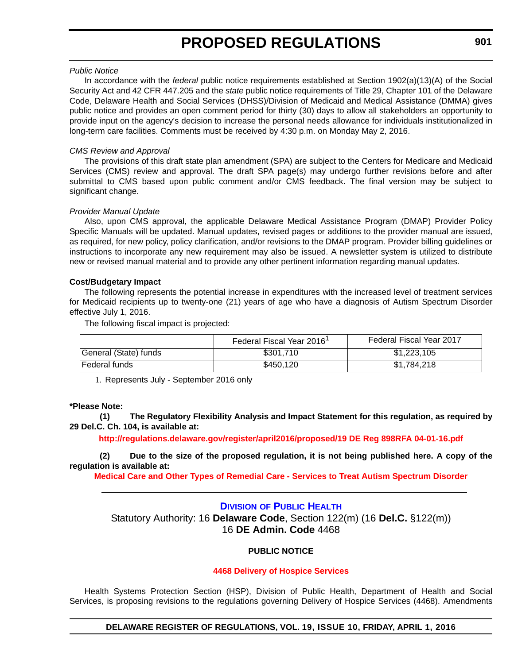#### <span id="page-34-0"></span>*Public Notice*

In accordance with the *federal* public notice requirements established at Section 1902(a)(13)(A) of the Social Security Act and 42 CFR 447.205 and the *state* public notice requirements of Title 29, Chapter 101 of the Delaware Code, Delaware Health and Social Services (DHSS)/Division of Medicaid and Medical Assistance (DMMA) gives public notice and provides an open comment period for thirty (30) days to allow all stakeholders an opportunity to provide input on the agency's decision to increase the personal needs allowance for individuals institutionalized in long-term care facilities. Comments must be received by 4:30 p.m. on Monday May 2, 2016.

#### *CMS Review and Approval*

The provisions of this draft state plan amendment (SPA) are subject to the Centers for Medicare and Medicaid Services (CMS) review and approval. The draft SPA page(s) may undergo further revisions before and after submittal to CMS based upon public comment and/or CMS feedback. The final version may be subject to significant change.

#### *Provider Manual Update*

Also, upon CMS approval, the applicable Delaware Medical Assistance Program (DMAP) Provider Policy Specific Manuals will be updated. Manual updates, revised pages or additions to the provider manual are issued, as required, for new policy, policy clarification, and/or revisions to the DMAP program. Provider billing guidelines or instructions to incorporate any new requirement may also be issued. A newsletter system is utilized to distribute new or revised manual material and to provide any other pertinent information regarding manual updates.

#### **Cost/Budgetary Impact**

The following represents the potential increase in expenditures with the increased level of treatment services for Medicaid recipients up to twenty-one (21) years of age who have a diagnosis of Autism Spectrum Disorder effective July 1, 2016.

The following fiscal impact is projected:

|                       | Federal Fiscal Year 2016 <sup>1</sup> | Federal Fiscal Year 2017 |
|-----------------------|---------------------------------------|--------------------------|
| General (State) funds | \$301.710                             | \$1,223,105              |
| l Federal funds       | \$450,120                             | \$1.784.218              |

1. Represents July - September 2016 only

#### **\*Please Note:**

**(1) The Regulatory Flexibility Analysis and Impact Statement for this regulation, as required by 29 Del.C. Ch. 104, is available at:**

**[http://regulations.delaware.gov/register/april2016/proposed/19 DE Reg 898RFA 04-01-16.pdf](http://regulations.delaware.gov/register/april2016/proposed/19 DE Reg 893RFA 04-01-16.pdf)**

**(2) Due to the size of the proposed regulation, it is not being published here. A copy of the regulation is available at:**

**[Medical Care and Other Types of Remedial Care - Services to Treat Autism Spectrum Disorder](http://regulations.delaware.gov/register/april2016/proposed/19 DE Reg 898 04-01-16.htm)**

#### **DIVISION [OF PUBLIC HEALTH](http://www.dhss.delaware.gov/dhss/dph/index.html)**

Statutory Authority: 16 **Delaware Code**, Section 122(m) (16 **Del.C.** §122(m)) 16 **DE Admin. Code** 4468

#### **PUBLIC NOTICE**

#### **[4468 Delivery of Hospice Services](#page-3-0)**

Health Systems Protection Section (HSP), Division of Public Health, Department of Health and Social Services, is proposing revisions to the regulations governing Delivery of Hospice Services (4468). Amendments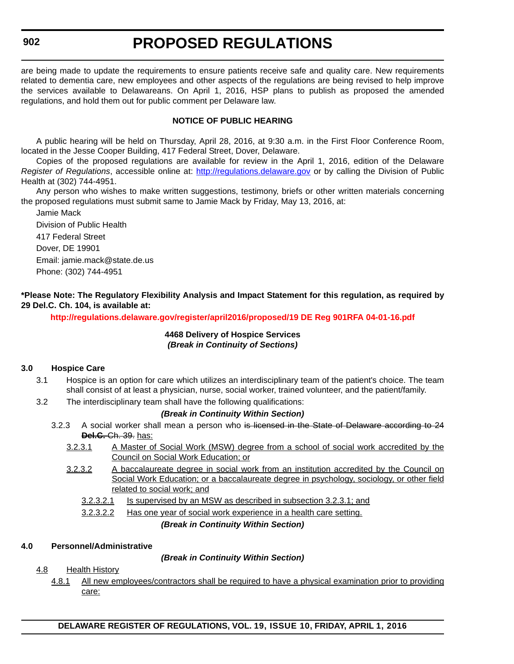# **PROPOSED REGULATIONS**

are being made to update the requirements to ensure patients receive safe and quality care. New requirements related to dementia care, new employees and other aspects of the regulations are being revised to help improve the services available to Delawareans. On April 1, 2016, HSP plans to publish as proposed the amended regulations, and hold them out for public comment per Delaware law.

#### **NOTICE OF PUBLIC HEARING**

A public hearing will be held on Thursday, April 28, 2016, at 9:30 a.m. in the First Floor Conference Room, located in the Jesse Cooper Building, 417 Federal Street, Dover, Delaware.

Copies of the proposed regulations are available for review in the April 1, 2016, edition of the Delaware *Register of Regulations*, accessible online at: <http://regulations.delaware.gov> or by calling the Division of Public Health at (302) 744-4951.

Any person who wishes to make written suggestions, testimony, briefs or other written materials concerning the proposed regulations must submit same to Jamie Mack by Friday, May 13, 2016, at:

Jamie Mack Division of Public Health 417 Federal Street Dover, DE 19901 Email: jamie.mack@state.de.us Phone: (302) 744-4951

**\*Please Note: The Regulatory Flexibility Analysis and Impact Statement for this regulation, as required by 29 Del.C. Ch. 104, is available at:**

**<http://regulations.delaware.gov/register/april2016/proposed/19 DE Reg 901RFA 04-01-16.pdf>**

#### **4468 Delivery of Hospice Services** *(Break in Continuity of Sections)*

#### **3.0 Hospice Care**

- 3.1 Hospice is an option for care which utilizes an interdisciplinary team of the patient's choice. The team shall consist of at least a physician, nurse, social worker, trained volunteer, and the patient/family.
- 3.2 The interdisciplinary team shall have the following qualifications:

#### *(Break in Continuity Within Section)*

- 3.2.3 A social worker shall mean a person who is licensed in the State of Delaware according to 24 **Del.C.** Ch. 39. has:
	- 3.2.3.1 A Master of Social Work (MSW) degree from a school of social work accredited by the Council on Social Work Education; or
	- 3.2.3.2 A baccalaureate degree in social work from an institution accredited by the Council on Social Work Education; or a baccalaureate degree in psychology, sociology, or other field related to social work; and
		- 3.2.3.2.1 Is supervised by an MSW as described in subsection 3.2.3.1; and

3.2.3.2.2 Has one year of social work experience in a health care setting.

*(Break in Continuity Within Section)*

#### **4.0 Personnel/Administrative**

*(Break in Continuity Within Section)*

#### 4.8 Health History

4.8.1 All new employees/contractors shall be required to have a physical examination prior to providing care: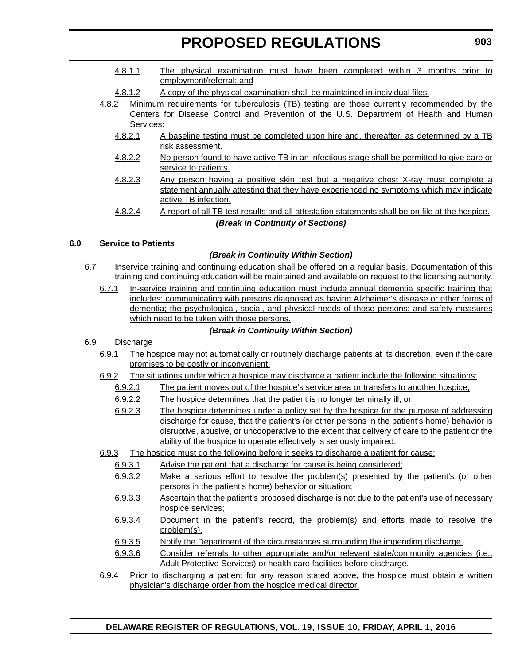- 4.8.1.1 The physical examination must have been completed within 3 months prior to employment/referral; and
- 4.8.1.2 A copy of the physical examination shall be maintained in individual files.
- 4.8.2 Minimum requirements for tuberculosis (TB) testing are those currently recommended by the Centers for Disease Control and Prevention of the U.S. Department of Health and Human Services:
	- 4.8.2.1 A baseline testing must be completed upon hire and, thereafter, as determined by a TB risk assessment.
	- 4.8.2.2 No person found to have active TB in an infectious stage shall be permitted to give care or service to patients.
	- 4.8.2.3 Any person having a positive skin test but a negative chest X-ray must complete a statement annually attesting that they have experienced no symptoms which may indicate active TB infection.
	- 4.8.2.4 A report of all TB test results and all attestation statements shall be on file at the hospice. *(Break in Continuity of Sections)*

# **6.0 Service to Patients**

# *(Break in Continuity Within Section)*

- 6.7 Inservice training and continuing education shall be offered on a regular basis. Documentation of this training and continuing education will be maintained and available on request to the licensing authority.
	- 6.7.1 In-service training and continuing education must include annual dementia specific training that includes: communicating with persons diagnosed as having Alzheimer's disease or other forms of dementia; the psychological, social, and physical needs of those persons; and safety measures which need to be taken with those persons.

# *(Break in Continuity Within Section)*

# 6.9 Discharge

- 6.9.1 The hospice may not automatically or routinely discharge patients at its discretion, even if the care promises to be costly or inconvenient.
- 6.9.2 The situations under which a hospice may discharge a patient include the following situations:
	- 6.9.2.1 The patient moves out of the hospice's service area or transfers to another hospice;
	- 6.9.2.2 The hospice determines that the patient is no longer terminally ill; or
	- 6.9.2.3 The hospice determines under a policy set by the hospice for the purpose of addressing discharge for cause, that the patient's (or other persons in the patient's home) behavior is disruptive, abusive, or uncooperative to the extent that delivery of care to the patient or the ability of the hospice to operate effectively is seriously impaired.
- 6.9.3 The hospice must do the following before it seeks to discharge a patient for cause:
	- 6.9.3.1 Advise the patient that a discharge for cause is being considered;
	- 6.9.3.2 Make a serious effort to resolve the problem(s) presented by the patient's (or other persons in the patient's home) behavior or situation;
	- 6.9.3.3 Ascertain that the patient's proposed discharge is not due to the patient's use of necessary hospice services;
	- 6.9.3.4 Document in the patient's record, the problem(s) and efforts made to resolve the problem(s).
	- 6.9.3.5 Notify the Department of the circumstances surrounding the impending discharge.
	- 6.9.3.6 Consider referrals to other appropriate and/or relevant state/community agencies (i.e., Adult Protective Services) or health care facilities before discharge.
- 6.9.4 Prior to discharging a patient for any reason stated above, the hospice must obtain a written physician's discharge order from the hospice medical director.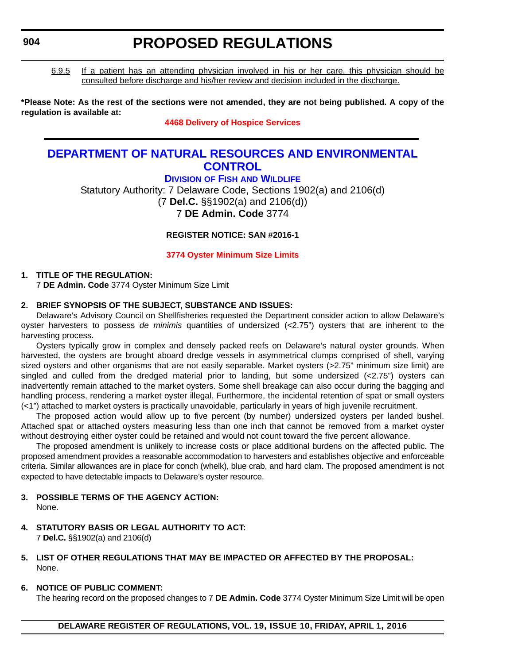6.9.5 If a patient has an attending physician involved in his or her care, this physician should be consulted before discharge and his/her review and decision included in the discharge.

**\*Please Note: As the rest of the sections were not amended, they are not being published. A copy of the regulation is available at:**

### **[4468 Delivery of Hospice Services](http://regulations.delaware.gov/register/april2016/proposed/19 DE Reg 901 04-01-16.htm)**

# **[DEPARTMENT OF NATURAL RESOURCES AND ENVIRONMENTAL](http://www.dnrec.delaware.gov/Pages/Portal.aspx)  CONTROL**

**DIVISION OF FISH [AND WILDLIFE](http://www.dnrec.delaware.gov/fw/Pages/DFW-Portal.aspx)** Statutory Authority: 7 Delaware Code, Sections 1902(a) and 2106(d) (7 **Del.C.** §§1902(a) and 2106(d)) 7 **DE Admin. Code** 3774

**REGISTER NOTICE: SAN #2016-1**

**[3774 Oyster Minimum Size Limits](#page-3-0)**

# **1. TITLE OF THE REGULATION:**

7 **DE Admin. Code** 3774 Oyster Minimum Size Limit

# **2. BRIEF SYNOPSIS OF THE SUBJECT, SUBSTANCE AND ISSUES:**

Delaware's Advisory Council on Shellfisheries requested the Department consider action to allow Delaware's oyster harvesters to possess *de minimis* quantities of undersized (<2.75") oysters that are inherent to the harvesting process.

Oysters typically grow in complex and densely packed reefs on Delaware's natural oyster grounds. When harvested, the oysters are brought aboard dredge vessels in asymmetrical clumps comprised of shell, varying sized oysters and other organisms that are not easily separable. Market oysters (>2.75" minimum size limit) are singled and culled from the dredged material prior to landing, but some undersized (<2.75") oysters can inadvertently remain attached to the market oysters. Some shell breakage can also occur during the bagging and handling process, rendering a market oyster illegal. Furthermore, the incidental retention of spat or small oysters (<1") attached to market oysters is practically unavoidable, particularly in years of high juvenile recruitment.

The proposed action would allow up to five percent (by number) undersized oysters per landed bushel. Attached spat or attached oysters measuring less than one inch that cannot be removed from a market oyster without destroying either oyster could be retained and would not count toward the five percent allowance.

The proposed amendment is unlikely to increase costs or place additional burdens on the affected public. The proposed amendment provides a reasonable accommodation to harvesters and establishes objective and enforceable criteria. Similar allowances are in place for conch (whelk), blue crab, and hard clam. The proposed amendment is not expected to have detectable impacts to Delaware's oyster resource.

# **3. POSSIBLE TERMS OF THE AGENCY ACTION:**

None.

**4. STATUTORY BASIS OR LEGAL AUTHORITY TO ACT:**  7 **Del.C.** §§1902(a) and 2106(d)

### **5. LIST OF OTHER REGULATIONS THAT MAY BE IMPACTED OR AFFECTED BY THE PROPOSAL:** None.

**6. NOTICE OF PUBLIC COMMENT:**

The hearing record on the proposed changes to 7 **DE Admin. Code** 3774 Oyster Minimum Size Limit will be open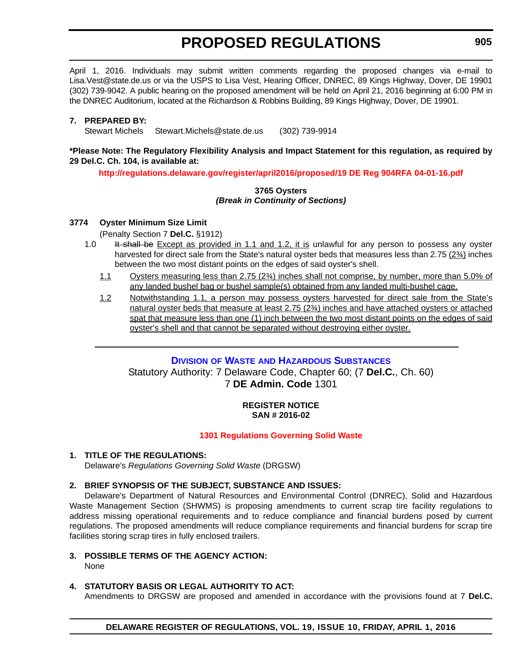April 1, 2016. Individuals may submit written comments regarding the proposed changes via e-mail to Lisa.Vest@state.de.us or via the USPS to Lisa Vest, Hearing Officer, DNREC, 89 Kings Highway, Dover, DE 19901 (302) 739-9042. A public hearing on the proposed amendment will be held on April 21, 2016 beginning at 6:00 PM in the DNREC Auditorium, located at the Richardson & Robbins Building, 89 Kings Highway, Dover, DE 19901.

### **7. PREPARED BY:**

Stewart Michels Stewart.Michels@state.de.us (302) 739-9914

### **\*Please Note: The Regulatory Flexibility Analysis and Impact Statement for this regulation, as required by 29 Del.C. Ch. 104, is available at:**

**<http://regulations.delaware.gov/register/april2016/proposed/19 DE Reg 904RFA 04-01-16.pdf>**

### **3765 Oysters** *(Break in Continuity of Sections)*

# **3774 Oyster Minimum Size Limit**

(Penalty Section 7 **Del.C.** §1912)

- 1.0 It shall be Except as provided in 1.1 and 1.2, it is unlawful for any person to possess any oyster harvested for direct sale from the State's natural oyster beds that measures less than 2.75 ( $2\frac{3}{4}$ ) inches between the two most distant points on the edges of said oyster's shell.
	- 1.1 Oysters measuring less than 2.75 (2¾) inches shall not comprise, by number, more than 5.0% of any landed bushel bag or bushel sample(s) obtained from any landed multi-bushel cage.
	- 1.2 Notwithstanding 1.1, a person may possess oysters harvested for direct sale from the State's natural oyster beds that measure at least 2.75 (2¾) inches and have attached oysters or attached spat that measure less than one (1) inch between the two most distant points on the edges of said oyster's shell and that cannot be separated without destroying either oyster.

# **DIVISION OF WASTE [AND HAZARDOUS SUBSTANCES](http://www.dnrec.delaware.gov/dwhs/Pages/default.aspx )**

Statutory Authority: 7 Delaware Code, Chapter 60; (7 **Del.C.**, Ch. 60) 7 **DE Admin. Code** 1301

# **REGISTER NOTICE SAN # 2016-02**

# **[1301 Regulations Governing Solid Waste](#page-3-0)**

# **1. TITLE OF THE REGULATIONS:**

Delaware's *Regulations Governing Solid Waste* (DRGSW)

# **2. BRIEF SYNOPSIS OF THE SUBJECT, SUBSTANCE AND ISSUES:**

Delaware's Department of Natural Resources and Environmental Control (DNREC), Solid and Hazardous Waste Management Section (SHWMS) is proposing amendments to current scrap tire facility regulations to address missing operational requirements and to reduce compliance and financial burdens posed by current regulations. The proposed amendments will reduce compliance requirements and financial burdens for scrap tire facilities storing scrap tires in fully enclosed trailers.

- **3. POSSIBLE TERMS OF THE AGENCY ACTION:**
	- None

# **4. STATUTORY BASIS OR LEGAL AUTHORITY TO ACT:**

Amendments to DRGSW are proposed and amended in accordance with the provisions found at 7 **Del.C.**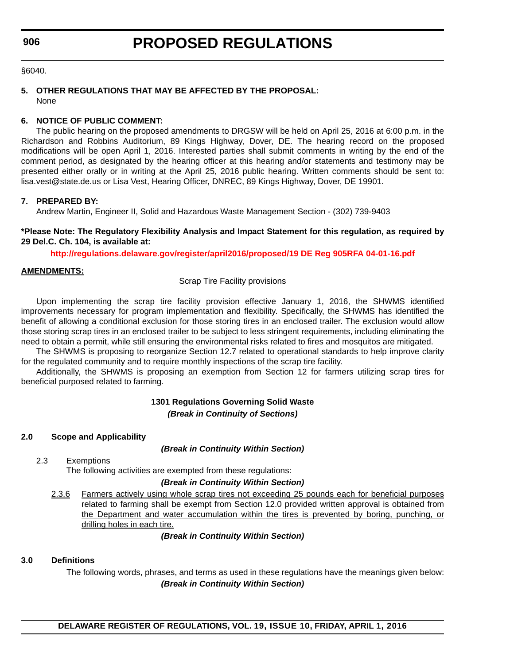§6040.

# **5. OTHER REGULATIONS THAT MAY BE AFFECTED BY THE PROPOSAL:** None

# **6. NOTICE OF PUBLIC COMMENT:**

The public hearing on the proposed amendments to DRGSW will be held on April 25, 2016 at 6:00 p.m. in the Richardson and Robbins Auditorium, 89 Kings Highway, Dover, DE. The hearing record on the proposed modifications will be open April 1, 2016. Interested parties shall submit comments in writing by the end of the comment period, as designated by the hearing officer at this hearing and/or statements and testimony may be presented either orally or in writing at the April 25, 2016 public hearing. Written comments should be sent to: lisa.vest@state.de.us or Lisa Vest, Hearing Officer, DNREC, 89 Kings Highway, Dover, DE 19901.

# **7. PREPARED BY:**

Andrew Martin, Engineer II, Solid and Hazardous Waste Management Section - (302) 739-9403

**\*Please Note: The Regulatory Flexibility Analysis and Impact Statement for this regulation, as required by 29 Del.C. Ch. 104, is available at:**

**<http://regulations.delaware.gov/register/april2016/proposed/19 DE Reg 905RFA 04-01-16.pdf>**

# **AMENDMENTS:**

Scrap Tire Facility provisions

Upon implementing the scrap tire facility provision effective January 1, 2016, the SHWMS identified improvements necessary for program implementation and flexibility. Specifically, the SHWMS has identified the benefit of allowing a conditional exclusion for those storing tires in an enclosed trailer. The exclusion would allow those storing scrap tires in an enclosed trailer to be subject to less stringent requirements, including eliminating the need to obtain a permit, while still ensuring the environmental risks related to fires and mosquitos are mitigated.

The SHWMS is proposing to reorganize Section 12.7 related to operational standards to help improve clarity for the regulated community and to require monthly inspections of the scrap tire facility.

Additionally, the SHWMS is proposing an exemption from Section 12 for farmers utilizing scrap tires for beneficial purposed related to farming.

# **1301 Regulations Governing Solid Waste** *(Break in Continuity of Sections)*

# **2.0 Scope and Applicability**

# *(Break in Continuity Within Section)*

2.3 Exemptions

The following activities are exempted from these regulations:

# *(Break in Continuity Within Section)*

2.3.6 Farmers actively using whole scrap tires not exceeding 25 pounds each for beneficial purposes related to farming shall be exempt from Section 12.0 provided written approval is obtained from the Department and water accumulation within the tires is prevented by boring, punching, or drilling holes in each tire.

*(Break in Continuity Within Section)*

# **3.0 Definitions**

The following words, phrases, and terms as used in these regulations have the meanings given below: *(Break in Continuity Within Section)*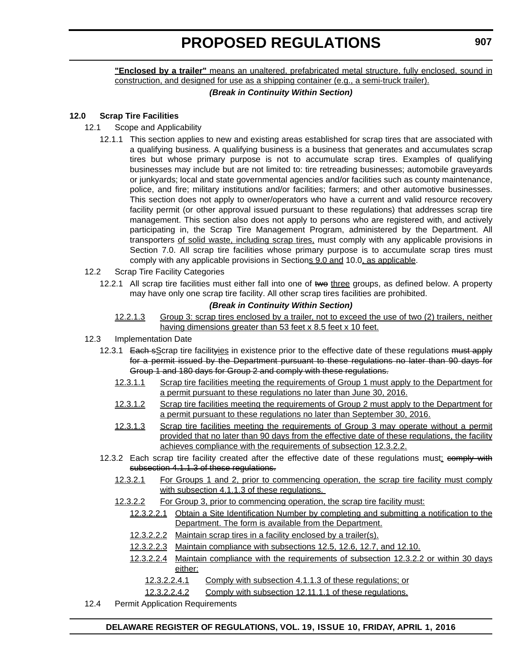**"Enclosed by a trailer"** means an unaltered, prefabricated metal structure, fully enclosed, sound in construction, and designed for use as a shipping container (e.g., a semi-truck trailer).

# *(Break in Continuity Within Section)*

# **12.0 Scrap Tire Facilities**

# 12.1 Scope and Applicability

- 12.1.1 This section applies to new and existing areas established for scrap tires that are associated with a qualifying business. A qualifying business is a business that generates and accumulates scrap tires but whose primary purpose is not to accumulate scrap tires. Examples of qualifying businesses may include but are not limited to: tire retreading businesses; automobile graveyards or junkyards; local and state governmental agencies and/or facilities such as county maintenance, police, and fire; military institutions and/or facilities; farmers; and other automotive businesses. This section does not apply to owner/operators who have a current and valid resource recovery facility permit (or other approval issued pursuant to these regulations) that addresses scrap tire management. This section also does not apply to persons who are registered with, and actively participating in, the Scrap Tire Management Program, administered by the Department. All transporters of solid waste, including scrap tires, must comply with any applicable provisions in Section 7.0. All scrap tire facilities whose primary purpose is to accumulate scrap tires must comply with any applicable provisions in Sections 9.0 and 10.0, as applicable.
- 12.2 Scrap Tire Facility Categories
	- 12.2.1 All scrap tire facilities must either fall into one of two three groups, as defined below. A property may have only one scrap tire facility. All other scrap tires facilities are prohibited.

# *(Break in Continuity Within Section)*

12.2.1.3 Group 3: scrap tires enclosed by a trailer, not to exceed the use of two (2) trailers, neither having dimensions greater than 53 feet x 8.5 feet x 10 feet.

# 12.3 Implementation Date

- 12.3.1 Each sScrap tire facilityies in existence prior to the effective date of these regulations must apply for a permit issued by the Department pursuant to these regulations no later than 90 days for Group 1 and 180 days for Group 2 and comply with these regulations.
	- 12.3.1.1 Scrap tire facilities meeting the requirements of Group 1 must apply to the Department for a permit pursuant to these regulations no later than June 30, 2016.
	- 12.3.1.2 Scrap tire facilities meeting the requirements of Group 2 must apply to the Department for a permit pursuant to these regulations no later than September 30, 2016.
	- 12.3.1.3 Scrap tire facilities meeting the requirements of Group 3 may operate without a permit provided that no later than 90 days from the effective date of these regulations, the facility achieves compliance with the requirements of subsection 12.3.2.2.
- 12.3.2 Each scrap tire facility created after the effective date of these regulations must: comply with subsection 4.1.1.3 of these regulations.
	- 12.3.2.1 For Groups 1 and 2, prior to commencing operation, the scrap tire facility must comply with subsection 4.1.1.3 of these regulations.
	- 12.3.2.2 For Group 3, prior to commencing operation, the scrap tire facility must:
		- 12.3.2.2.1 Obtain a Site Identification Number by completing and submitting a notification to the Department. The form is available from the Department.
		- 12.3.2.2.2 Maintain scrap tires in a facility enclosed by a trailer(s).
		- 12.3.2.2.3 Maintain compliance with subsections 12.5, 12.6, 12.7, and 12.10.
		- 12.3.2.2.4 Maintain compliance with the requirements of subsection 12.3.2.2 or within 30 days either:
			- 12.3.2.2.4.1 Comply with subsection 4.1.1.3 of these regulations; or
			- 12.3.2.2.4.2 Comply with subsection 12.11.1.1 of these regulations.
- 12.4 Permit Application Requirements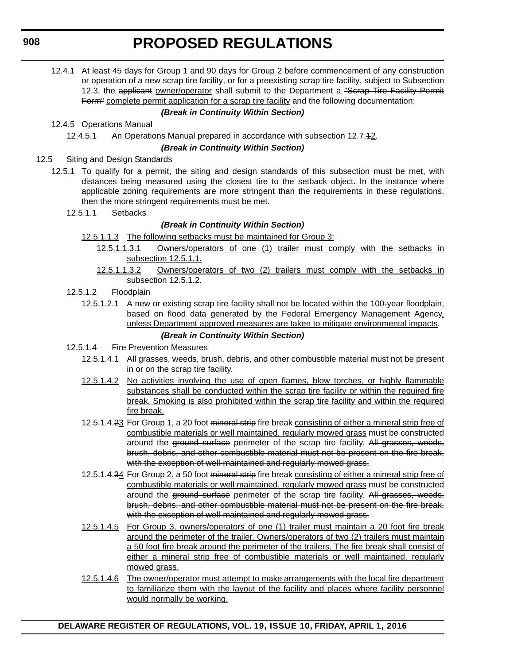12.4.1 At least 45 days for Group 1 and 90 days for Group 2 before commencement of any construction or operation of a new scrap tire facility, or for a preexisting scrap tire facility, subject to Subsection 12.3, the applicant owner/operator shall submit to the Department a "Scrap Tire Facility Permit Form" complete permit application for a scrap tire facility and the following documentation:

# *(Break in Continuity Within Section)*

12.4.5 Operations Manual

12.4.5.1 An Operations Manual prepared in accordance with subsection 12.7.12.

# *(Break in Continuity Within Section)*

- 12.5 Siting and Design Standards
	- 12.5.1 To qualify for a permit, the siting and design standards of this subsection must be met, with distances being measured using the closest tire to the setback object. In the instance where applicable zoning requirements are more stringent than the requirements in these regulations, then the more stringent requirements must be met.
		- 12.5.1.1 Setbacks

# *(Break in Continuity Within Section)*

- 12.5.1.1.3 The following setbacks must be maintained for Group 3:
	- 12.5.1.1.3.1 Owners/operators of one (1) trailer must comply with the setbacks in subsection 12.5.1.1.
	- 12.5.1.1.3.2 Owners/operators of two (2) trailers must comply with the setbacks in subsection 12.5.1.2.
- 12.5.1.2 Floodplain
	- 12.5.1.2.1 A new or existing scrap tire facility shall not be located within the 100-year floodplain, based on flood data generated by the Federal Emergency Management Agency, unless Department approved measures are taken to mitigate environmental impacts. *(Break in Continuity Within Section)*
- 12.5.1.4 Fire Prevention Measures
	- 12.5.1.4.1 All grasses, weeds, brush, debris, and other combustible material must not be present in or on the scrap tire facility.
	- 12.5.1.4.2 No activities involving the use of open flames, blow torches, or highly flammable substances shall be conducted within the scrap tire facility or within the required fire break. Smoking is also prohibited within the scrap tire facility and within the required fire break.
	- 12.5.1.4.23 For Group 1, a 20 foot mineral strip fire break consisting of either a mineral strip free of combustible materials or well maintained, regularly mowed grass must be constructed around the ground surface perimeter of the scrap tire facility. All grasses, weeds, brush, debris, and other combustible material must not be present on the fire break, with the exception of well-maintained and regularly mowed grass.
	- 12.5.1.4.34 For Group 2, a 50 foot mineral strip fire break consisting of either a mineral strip free of combustible materials or well maintained, regularly mowed grass must be constructed around the ground surface perimeter of the scrap tire facility. All grasses, weeds, brush, debris, and other combustible material must not be present on the fire break, with the exception of well-maintained and regularly mowed grass.
	- 12.5.1.4.5 For Group 3, owners/operators of one (1) trailer must maintain a 20 foot fire break around the perimeter of the trailer. Owners/operators of two (2) trailers must maintain a 50 foot fire break around the perimeter of the trailers. The fire break shall consist of either a mineral strip free of combustible materials or well maintained, regularly mowed grass.
	- 12.5.1.4.6 The owner/operator must attempt to make arrangements with the local fire department to familiarize them with the layout of the facility and places where facility personnel would normally be working.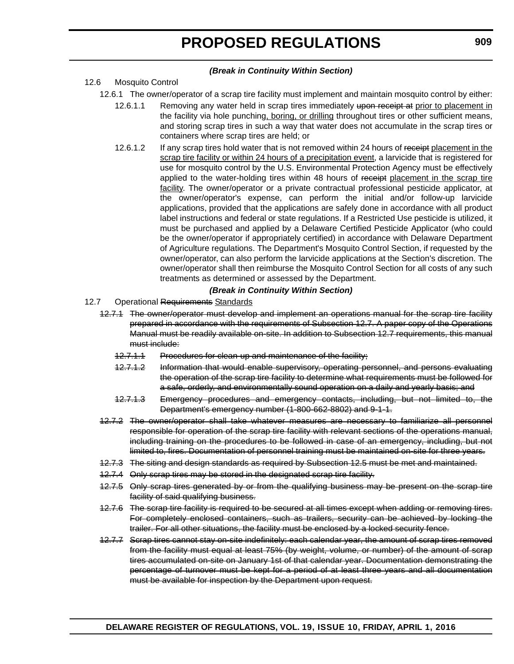#### *(Break in Continuity Within Section)*

# 12.6 Mosquito Control

- 12.6.1 The owner/operator of a scrap tire facility must implement and maintain mosquito control by either:
	- 12.6.1.1 Removing any water held in scrap tires immediately upon receipt at prior to placement in the facility via hole punching, boring, or drilling throughout tires or other sufficient means, and storing scrap tires in such a way that water does not accumulate in the scrap tires or containers where scrap tires are held; or
	- 12.6.1.2 If any scrap tires hold water that is not removed within 24 hours of receipt placement in the scrap tire facility or within 24 hours of a precipitation event, a larvicide that is registered for use for mosquito control by the U.S. Environmental Protection Agency must be effectively applied to the water-holding tires within 48 hours of receipt placement in the scrap tire facility. The owner/operator or a private contractual professional pesticide applicator, at the owner/operator's expense, can perform the initial and/or follow-up larvicide applications, provided that the applications are safely done in accordance with all product label instructions and federal or state regulations. If a Restricted Use pesticide is utilized, it must be purchased and applied by a Delaware Certified Pesticide Applicator (who could be the owner/operator if appropriately certified) in accordance with Delaware Department of Agriculture regulations. The Department's Mosquito Control Section, if requested by the owner/operator, can also perform the larvicide applications at the Section's discretion. The owner/operator shall then reimburse the Mosquito Control Section for all costs of any such treatments as determined or assessed by the Department.

#### *(Break in Continuity Within Section)*

- 12.7 Operational Requirements Standards
	- 12.7.1 The owner/operator must develop and implement an operations manual for the scrap tire facility prepared in accordance with the requirements of Subsection 12.7. A paper copy of the Operations Manual must be readily available on-site. In addition to Subsection 12.7 requirements, this manual must include:
		- 12.7.1.1 Procedures for clean-up and maintenance of the facility;
		- 12.7.1.2 Information that would enable supervisory, operating personnel, and persons evaluating the operation of the scrap tire facility to determine what requirements must be followed for a safe, orderly, and environmentally sound operation on a daily and yearly basis; and
		- 12.7.1.3 Emergency procedures and emergency contacts, including, but not limited to, the Department's emergency number (1-800-662-8802) and 9-1-1.
	- 12.7.2 The owner/operator shall take whatever measures are necessary to familiarize all personnel responsible for operation of the scrap tire facility with relevant sections of the operations manual, including training on the procedures to be followed in case of an emergency, including, but not limited to, fires. Documentation of personnel training must be maintained on-site for three years.
	- 12.7.3 The siting and design standards as required by Subsection 12.5 must be met and maintained.
	- 12.7.4 Only scrap tires may be stored in the designated scrap tire facility.
	- 12.7.5 Only scrap tires generated by or from the qualifying business may be present on the scrap tire facility of said qualifying business.
	- 12.7.6 The scrap tire facility is required to be secured at all times except when adding or removing tires. For completely enclosed containers, such as trailers, security can be achieved by locking the trailer. For all other situations, the facility must be enclosed by a locked security fence.
	- 12.7.7 Scrap tires cannot stay on-site indefinitely: each calendar year, the amount of scrap tires removed from the facility must equal at least 75% (by weight, volume, or number) of the amount of scrap tires accumulated on-site on January 1st of that calendar year. Documentation demonstrating the percentage of turnover must be kept for a period of at least three years and all documentation must be available for inspection by the Department upon request.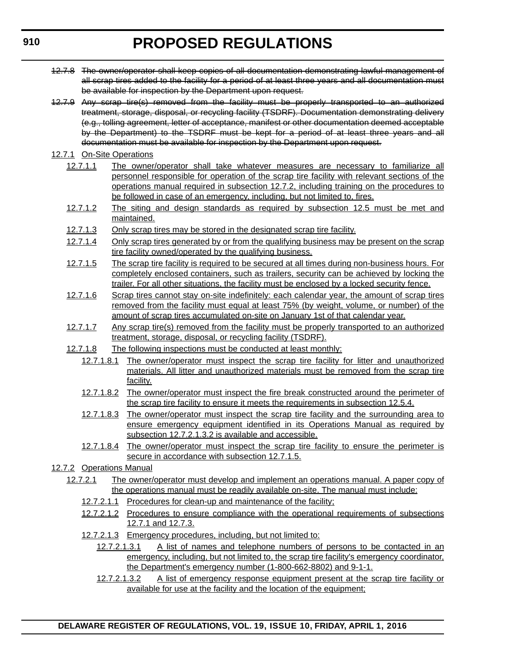- 12.7.8 The owner/operator shall keep copies of all documentation demonstrating lawful management of all scrap tires added to the facility for a period of at least three years and all documentation must be available for inspection by the Department upon request.
- 12.7.9 Any scrap tire(s) removed from the facility must be properly transported to an authorized treatment, storage, disposal, or recycling facility (TSDRF). Documentation demonstrating delivery (e.g., tolling agreement, letter of acceptance, manifest or other documentation deemed acceptable by the Department) to the TSDRF must be kept for a period of at least three years and all documentation must be available for inspection by the Department upon request.
- 12.7.1 On-Site Operations
	- 12.7.1.1 The owner/operator shall take whatever measures are necessary to familiarize all personnel responsible for operation of the scrap tire facility with relevant sections of the operations manual required in subsection 12.7.2, including training on the procedures to be followed in case of an emergency, including, but not limited to, fires.
	- 12.7.1.2 The siting and design standards as required by subsection 12.5 must be met and maintained.
	- 12.7.1.3 Only scrap tires may be stored in the designated scrap tire facility.
	- 12.7.1.4 Only scrap tires generated by or from the qualifying business may be present on the scrap tire facility owned/operated by the qualifying business.
	- 12.7.1.5 The scrap tire facility is required to be secured at all times during non-business hours. For completely enclosed containers, such as trailers, security can be achieved by locking the trailer. For all other situations, the facility must be enclosed by a locked security fence.
	- 12.7.1.6 Scrap tires cannot stay on-site indefinitely: each calendar year, the amount of scrap tires removed from the facility must equal at least 75% (by weight, volume, or number) of the amount of scrap tires accumulated on-site on January 1st of that calendar year.
	- 12.7.1.7 Any scrap tire(s) removed from the facility must be properly transported to an authorized treatment, storage, disposal, or recycling facility (TSDRF).
	- 12.7.1.8 The following inspections must be conducted at least monthly:
		- 12.7.1.8.1 The owner/operator must inspect the scrap tire facility for litter and unauthorized materials. All litter and unauthorized materials must be removed from the scrap tire facility.
		- 12.7.1.8.2 The owner/operator must inspect the fire break constructed around the perimeter of the scrap tire facility to ensure it meets the requirements in subsection 12.5.4.
		- 12.7.1.8.3 The owner/operator must inspect the scrap tire facility and the surrounding area to ensure emergency equipment identified in its Operations Manual as required by subsection 12.7.2.1.3.2 is available and accessible.
		- 12.7.1.8.4 The owner/operator must inspect the scrap tire facility to ensure the perimeter is secure in accordance with subsection 12.7.1.5.
- 12.7.2 Operations Manual
	- 12.7.2.1 The owner/operator must develop and implement an operations manual. A paper copy of the operations manual must be readily available on-site. The manual must include:
		- 12.7.2.1.1 Procedures for clean-up and maintenance of the facility;
		- 12.7.2.1.2 Procedures to ensure compliance with the operational requirements of subsections 12.7.1 and 12.7.3.
		- 12.7.2.1.3 Emergency procedures, including, but not limited to:
			- 12.7.2.1.3.1 A list of names and telephone numbers of persons to be contacted in an emergency, including, but not limited to, the scrap tire facility's emergency coordinator, the Department's emergency number (1-800-662-8802) and 9-1-1.
			- 12.7.2.1.3.2 A list of emergency response equipment present at the scrap tire facility or available for use at the facility and the location of the equipment;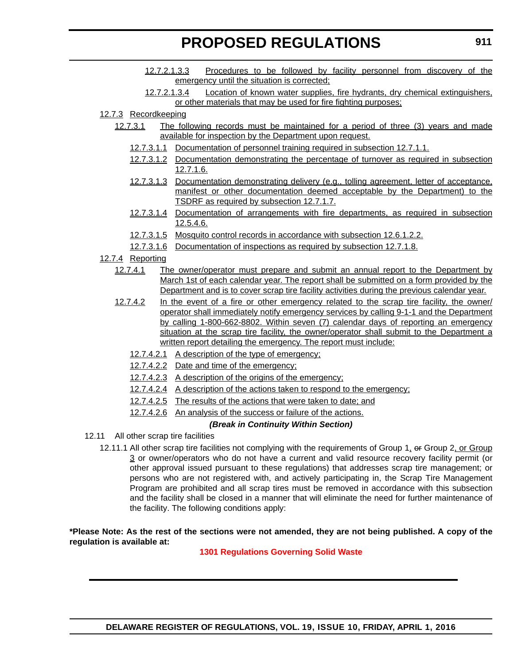- 12.7.2.1.3.3 Procedures to be followed by facility personnel from discovery of the emergency until the situation is corrected;
- 12.7.2.1.3.4 Location of known water supplies, fire hydrants, dry chemical extinguishers, or other materials that may be used for fire fighting purposes;

# 12.7.3 Recordkeeping

- 12.7.3.1 The following records must be maintained for a period of three (3) years and made available for inspection by the Department upon request.
	- 12.7.3.1.1 Documentation of personnel training required in subsection 12.7.1.1.
	- 12.7.3.1.2 Documentation demonstrating the percentage of turnover as required in subsection 12.7.1.6.
	- 12.7.3.1.3 Documentation demonstrating delivery (e.g., tolling agreement, letter of acceptance, manifest or other documentation deemed acceptable by the Department) to the TSDRF as required by subsection 12.7.1.7.
	- 12.7.3.1.4 Documentation of arrangements with fire departments, as required in subsection 12.5.4.6.
	- 12.7.3.1.5 Mosquito control records in accordance with subsection 12.6.1.2.2.
	- 12.7.3.1.6 Documentation of inspections as required by subsection 12.7.1.8.

# 12.7.4 Reporting

- 12.7.4.1 The owner/operator must prepare and submit an annual report to the Department by March 1st of each calendar year. The report shall be submitted on a form provided by the Department and is to cover scrap tire facility activities during the previous calendar year.
- 12.7.4.2 In the event of a fire or other emergency related to the scrap tire facility, the owner/ operator shall immediately notify emergency services by calling 9-1-1 and the Department by calling 1-800-662-8802. Within seven (7) calendar days of reporting an emergency situation at the scrap tire facility, the owner/operator shall submit to the Department a written report detailing the emergency. The report must include:
	- 12.7.4.2.1 A description of the type of emergency;
	- 12.7.4.2.2 Date and time of the emergency;
	- 12.7.4.2.3 A description of the origins of the emergency;
	- 12.7.4.2.4 A description of the actions taken to respond to the emergency;
	- 12.7.4.2.5 The results of the actions that were taken to date; and
	- 12.7.4.2.6 An analysis of the success or failure of the actions.

# *(Break in Continuity Within Section)*

- 12.11 All other scrap tire facilities
	- 12.11.1 All other scrap tire facilities not complying with the requirements of Group 1, or Group 2, or Group 3 or owner/operators who do not have a current and valid resource recovery facility permit (or other approval issued pursuant to these regulations) that addresses scrap tire management; or persons who are not registered with, and actively participating in, the Scrap Tire Management Program are prohibited and all scrap tires must be removed in accordance with this subsection and the facility shall be closed in a manner that will eliminate the need for further maintenance of the facility. The following conditions apply:

# **\*Please Note: As the rest of the sections were not amended, they are not being published. A copy of the regulation is available at:**

# **[1301 Regulations Governing Solid Waste](http://regulations.delaware.gov/register/april2016/proposed/19 DE Reg 905 04-01-16.htm)**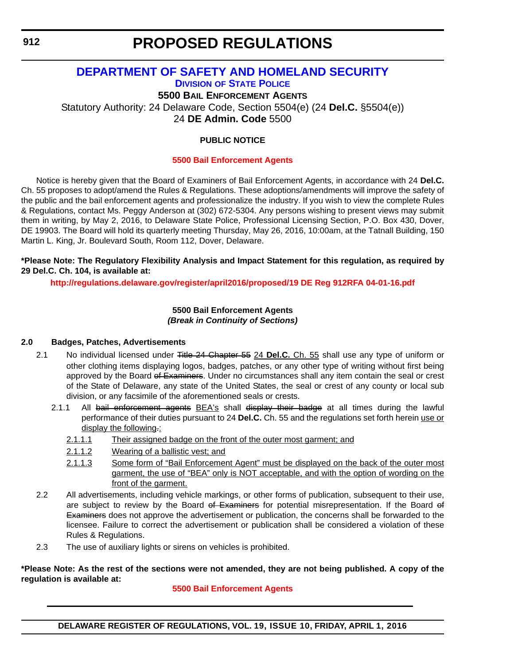# **PROPOSED REGULATIONS**

# **[DEPARTMENT OF SAFETY AND HOMELAND SECURITY](http://dshs.delaware.gov/) DIVISION [OF STATE POLICE](http://dsp.delaware.gov/)**

**5500 BAIL ENFORCEMENT AGENTS**

Statutory Authority: 24 Delaware Code, Section 5504(e) (24 **Del.C.** §5504(e))

24 **DE Admin. Code** 5500

# **PUBLIC NOTICE**

# **[5500 Bail Enforcement Agents](#page-3-0)**

Notice is hereby given that the Board of Examiners of Bail Enforcement Agents, in accordance with 24 **Del.C.** Ch. 55 proposes to adopt/amend the Rules & Regulations. These adoptions/amendments will improve the safety of the public and the bail enforcement agents and professionalize the industry. If you wish to view the complete Rules & Regulations, contact Ms. Peggy Anderson at (302) 672-5304. Any persons wishing to present views may submit them in writing, by May 2, 2016, to Delaware State Police, Professional Licensing Section, P.O. Box 430, Dover, DE 19903. The Board will hold its quarterly meeting Thursday, May 26, 2016, 10:00am, at the Tatnall Building, 150 Martin L. King, Jr. Boulevard South, Room 112, Dover, Delaware.

### **\*Please Note: The Regulatory Flexibility Analysis and Impact Statement for this regulation, as required by 29 Del.C. Ch. 104, is available at:**

**<http://regulations.delaware.gov/register/april2016/proposed/19 DE Reg 912RFA 04-01-16.pdf>**

# **5500 Bail Enforcement Agents** *(Break in Continuity of Sections)*

# **2.0 Badges, Patches, Advertisements**

- 2.1 No individual licensed under Title 24 Chapter 55 24 **Del.C.** Ch. 55 shall use any type of uniform or other clothing items displaying logos, badges, patches, or any other type of writing without first being approved by the Board of Examiners. Under no circumstances shall any item contain the seal or crest of the State of Delaware, any state of the United States, the seal or crest of any county or local sub division, or any facsimile of the aforementioned seals or crests.
	- 2.1.1 All bail enforcement agents BEA's shall display their badge at all times during the lawful performance of their duties pursuant to 24 **Del.C.** Ch. 55 and the regulations set forth herein use or display the following.:
		- 2.1.1.1 Their assigned badge on the front of the outer most garment; and
		- 2.1.1.2 Wearing of a ballistic vest; and
		- 2.1.1.3 Some form of "Bail Enforcement Agent" must be displayed on the back of the outer most garment, the use of "BEA" only is NOT acceptable, and with the option of wording on the front of the garment.
- 2.2 All advertisements, including vehicle markings, or other forms of publication, subsequent to their use, are subject to review by the Board of Examiners for potential misrepresentation. If the Board of Examiners does not approve the advertisement or publication, the concerns shall be forwarded to the licensee. Failure to correct the advertisement or publication shall be considered a violation of these Rules & Regulations.
- 2.3 The use of auxiliary lights or sirens on vehicles is prohibited.

#### **\*Please Note: As the rest of the sections were not amended, they are not being published. A copy of the regulation is available at:**

# **[5500 Bail Enforcement Agents](http://regulations.delaware.gov/register/april2016/proposed/19 DE Reg 912 04-01-16.htm)**

**DELAWARE REGISTER OF REGULATIONS, VOL. 19, ISSUE 10, FRIDAY, APRIL 1, 2016**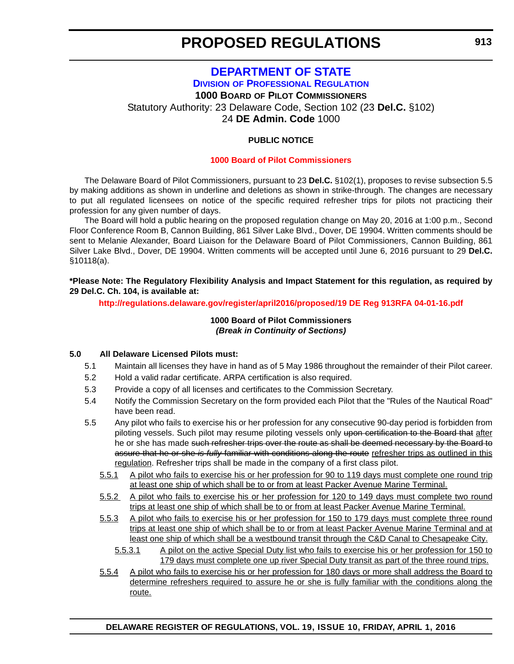# **[DEPARTMENT OF STATE](http://sos.delaware.gov/) DIVISION [OF PROFESSIONAL REGULATION](http://dpr.delaware.gov/) 1000 BOARD OF PILOT COMMISSIONERS** Statutory Authority: 23 Delaware Code, Section 102 (23 **Del.C.** §102)

24 **DE Admin. Code** 1000

# **PUBLIC NOTICE**

#### **[1000 Board of Pilot Commissioners](#page-3-0)**

The Delaware Board of Pilot Commissioners, pursuant to 23 **Del.C.** §102(1), proposes to revise subsection 5.5 by making additions as shown in underline and deletions as shown in strike-through. The changes are necessary to put all regulated licensees on notice of the specific required refresher trips for pilots not practicing their profession for any given number of days.

The Board will hold a public hearing on the proposed regulation change on May 20, 2016 at 1:00 p.m., Second Floor Conference Room B, Cannon Building, 861 Silver Lake Blvd., Dover, DE 19904. Written comments should be sent to Melanie Alexander, Board Liaison for the Delaware Board of Pilot Commissioners, Cannon Building, 861 Silver Lake Blvd., Dover, DE 19904. Written comments will be accepted until June 6, 2016 pursuant to 29 **Del.C.** §10118(a).

**\*Please Note: The Regulatory Flexibility Analysis and Impact Statement for this regulation, as required by 29 Del.C. Ch. 104, is available at:**

#### **<http://regulations.delaware.gov/register/april2016/proposed/19 DE Reg 913RFA 04-01-16.pdf>**

#### **1000 Board of Pilot Commissioners** *(Break in Continuity of Sections)*

#### **5.0 All Delaware Licensed Pilots must:**

- 5.1 Maintain all licenses they have in hand as of 5 May 1986 throughout the remainder of their Pilot career.
- 5.2 Hold a valid radar certificate. ARPA certification is also required.
- 5.3 Provide a copy of all licenses and certificates to the Commission Secretary.
- 5.4 Notify the Commission Secretary on the form provided each Pilot that the "Rules of the Nautical Road" have been read.
- 5.5 Any pilot who fails to exercise his or her profession for any consecutive 90-day period is forbidden from piloting vessels. Such pilot may resume piloting vessels only upon certification to the Board that after he or she has made such refresher trips over the route as shall be deemed necessary by the Board to assure that he or she *is fully* familiar with conditions along the route refresher trips as outlined in this regulation. Refresher trips shall be made in the company of a first class pilot.
	- 5.5.1 A pilot who fails to exercise his or her profession for 90 to 119 days must complete one round trip at least one ship of which shall be to or from at least Packer Avenue Marine Terminal.
	- 5.5.2 A pilot who fails to exercise his or her profession for 120 to 149 days must complete two round trips at least one ship of which shall be to or from at least Packer Avenue Marine Terminal.
	- 5.5.3 A pilot who fails to exercise his or her profession for 150 to 179 days must complete three round trips at least one ship of which shall be to or from at least Packer Avenue Marine Terminal and at least one ship of which shall be a westbound transit through the C&D Canal to Chesapeake City.
		- 5.5.3.1 A pilot on the active Special Duty list who fails to exercise his or her profession for 150 to 179 days must complete one up river Special Duty transit as part of the three round trips.
	- 5.5.4 A pilot who fails to exercise his or her profession for 180 days or more shall address the Board to determine refreshers required to assure he or she is fully familiar with the conditions along the route.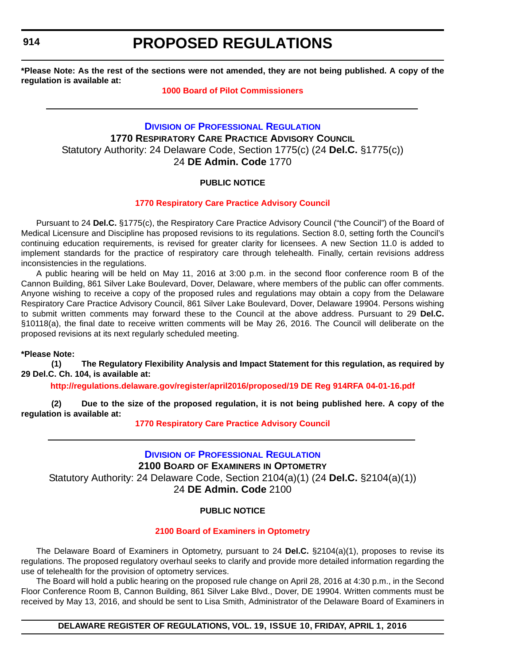# **PROPOSED REGULATIONS**

**\*Please Note: As the rest of the sections were not amended, they are not being published. A copy of the regulation is available at:**

# **[1000 Board of Pilot Commissioners](http://regulations.delaware.gov/register/april2016/proposed/19 DE Reg 913 04-01-16.htm)**

# **DIVISION [OF PROFESSIONAL REGULATION](http://dpr.delaware.gov/) 1770 RESPIRATORY CARE PRACTICE ADVISORY COUNCIL** Statutory Authority: 24 Delaware Code, Section 1775(c) (24 **Del.C.** §1775(c)) 24 **DE Admin. Code** 1770

# **PUBLIC NOTICE**

# **[1770 Respiratory Care Practice Advisory Council](#page-3-0)**

Pursuant to 24 **Del.C.** §1775(c), the Respiratory Care Practice Advisory Council ("the Council") of the Board of Medical Licensure and Discipline has proposed revisions to its regulations. Section 8.0, setting forth the Council's continuing education requirements, is revised for greater clarity for licensees. A new Section 11.0 is added to implement standards for the practice of respiratory care through telehealth. Finally, certain revisions address inconsistencies in the regulations.

A public hearing will be held on May 11, 2016 at 3:00 p.m. in the second floor conference room B of the Cannon Building, 861 Silver Lake Boulevard, Dover, Delaware, where members of the public can offer comments. Anyone wishing to receive a copy of the proposed rules and regulations may obtain a copy from the Delaware Respiratory Care Practice Advisory Council, 861 Silver Lake Boulevard, Dover, Delaware 19904. Persons wishing to submit written comments may forward these to the Council at the above address. Pursuant to 29 **Del.C.** §10118(a), the final date to receive written comments will be May 26, 2016. The Council will deliberate on the proposed revisions at its next regularly scheduled meeting.

#### **\*Please Note:**

**(1) The Regulatory Flexibility Analysis and Impact Statement for this regulation, as required by 29 Del.C. Ch. 104, is available at:**

**<http://regulations.delaware.gov/register/april2016/proposed/19 DE Reg 914RFA 04-01-16.pdf>**

**(2) Due to the size of the proposed regulation, it is not being published here. A copy of the regulation is available at:**

**[1770 Respiratory Care Practice Advisory Council](http://regulations.delaware.gov/register/april2016/proposed/19 DE Reg 914 04-01-16.htm)**

# **DIVISION [OF PROFESSIONAL REGULATION](http://dpr.delaware.gov/)**

**2100 BOARD OF EXAMINERS IN OPTOMETRY** Statutory Authority: 24 Delaware Code, Section 2104(a)(1) (24 **Del.C.** §2104(a)(1))

24 **DE Admin. Code** 2100

# **PUBLIC NOTICE**

# **[2100 Board of Examiners in Optometry](#page-3-0)**

The Delaware Board of Examiners in Optometry, pursuant to 24 **Del.C.** §2104(a)(1), proposes to revise its regulations. The proposed regulatory overhaul seeks to clarify and provide more detailed information regarding the use of telehealth for the provision of optometry services.

The Board will hold a public hearing on the proposed rule change on April 28, 2016 at 4:30 p.m., in the Second Floor Conference Room B, Cannon Building, 861 Silver Lake Blvd., Dover, DE 19904. Written comments must be received by May 13, 2016, and should be sent to Lisa Smith, Administrator of the Delaware Board of Examiners in

**DELAWARE REGISTER OF REGULATIONS, VOL. 19, ISSUE 10, FRIDAY, APRIL 1, 2016**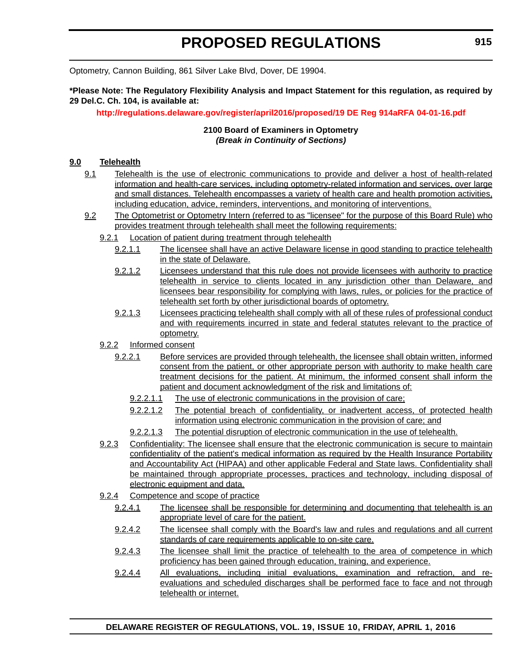Optometry, Cannon Building, 861 Silver Lake Blvd, Dover, DE 19904.

**\*Please Note: The Regulatory Flexibility Analysis and Impact Statement for this regulation, as required by 29 Del.C. Ch. 104, is available at:**

**<http://regulations.delaware.gov/register/april2016/proposed/19 DE Reg 914aRFA 04-01-16.pdf>**

# **2100 Board of Examiners in Optometry** *(Break in Continuity of Sections)*

# **9.0 Telehealth**

- 9.1 Telehealth is the use of electronic communications to provide and deliver a host of health-related information and health-care services, including optometry-related information and services, over large and small distances. Telehealth encompasses a variety of health care and health promotion activities, including education, advice, reminders, interventions, and monitoring of interventions.
- 9.2 The Optometrist or Optometry Intern (referred to as "licensee" for the purpose of this Board Rule) who provides treatment through telehealth shall meet the following requirements:
	- 9.2.1 Location of patient during treatment through telehealth
		- 9.2.1.1 The licensee shall have an active Delaware license in good standing to practice telehealth in the state of Delaware.
		- 9.2.1.2 Licensees understand that this rule does not provide licensees with authority to practice telehealth in service to clients located in any jurisdiction other than Delaware, and licensees bear responsibility for complying with laws, rules, or policies for the practice of telehealth set forth by other jurisdictional boards of optometry.
		- 9.2.1.3 Licensees practicing telehealth shall comply with all of these rules of professional conduct and with requirements incurred in state and federal statutes relevant to the practice of optometry.
	- 9.2.2 Informed consent
		- 9.2.2.1 Before services are provided through telehealth, the licensee shall obtain written, informed consent from the patient, or other appropriate person with authority to make health care treatment decisions for the patient. At minimum, the informed consent shall inform the patient and document acknowledgment of the risk and limitations of:
			- 9.2.2.1.1 The use of electronic communications in the provision of care;
			- 9.2.2.1.2 The potential breach of confidentiality, or inadvertent access, of protected health information using electronic communication in the provision of care; and
			- 9.2.2.1.3 The potential disruption of electronic communication in the use of telehealth.
	- 9.2.3 Confidentiality: The licensee shall ensure that the electronic communication is secure to maintain confidentiality of the patient's medical information as required by the Health Insurance Portability and Accountability Act (HIPAA) and other applicable Federal and State laws. Confidentiality shall be maintained through appropriate processes, practices and technology, including disposal of electronic equipment and data.
	- 9.2.4 Competence and scope of practice
		- 9.2.4.1 The licensee shall be responsible for determining and documenting that telehealth is an appropriate level of care for the patient.
		- 9.2.4.2 The licensee shall comply with the Board's law and rules and regulations and all current standards of care requirements applicable to on-site care.
		- 9.2.4.3 The licensee shall limit the practice of telehealth to the area of competence in which proficiency has been gained through education, training, and experience.
		- 9.2.4.4 All evaluations, including initial evaluations, examination and refraction, and reevaluations and scheduled discharges shall be performed face to face and not through telehealth or internet.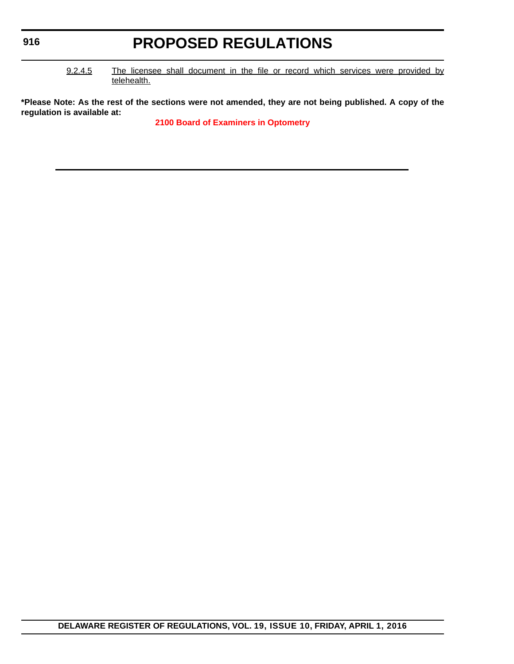# **PROPOSED REGULATIONS**

9.2.4.5 The licensee shall document in the file or record which services were provided by telehealth.

**\*Please Note: As the rest of the sections were not amended, they are not being published. A copy of the regulation is available at:**

**[2100 Board of Examiners in Optometry](http://regulations.delaware.gov/register/april2016/proposed/19 DE Reg 914a 04-01-16.htm)**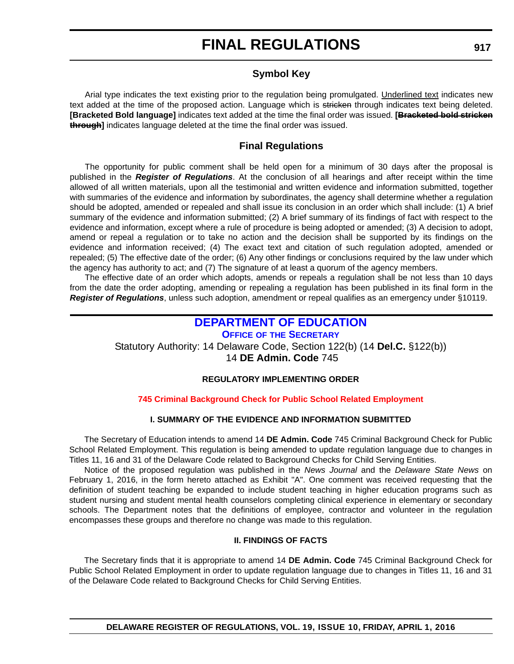# **Symbol Key**

Arial type indicates the text existing prior to the regulation being promulgated. Underlined text indicates new text added at the time of the proposed action. Language which is stricken through indicates text being deleted. **[Bracketed Bold language]** indicates text added at the time the final order was issued. **[Bracketed bold stricken through]** indicates language deleted at the time the final order was issued.

# **Final Regulations**

The opportunity for public comment shall be held open for a minimum of 30 days after the proposal is published in the *Register of Regulations*. At the conclusion of all hearings and after receipt within the time allowed of all written materials, upon all the testimonial and written evidence and information submitted, together with summaries of the evidence and information by subordinates, the agency shall determine whether a regulation should be adopted, amended or repealed and shall issue its conclusion in an order which shall include: (1) A brief summary of the evidence and information submitted; (2) A brief summary of its findings of fact with respect to the evidence and information, except where a rule of procedure is being adopted or amended; (3) A decision to adopt, amend or repeal a regulation or to take no action and the decision shall be supported by its findings on the evidence and information received; (4) The exact text and citation of such regulation adopted, amended or repealed; (5) The effective date of the order; (6) Any other findings or conclusions required by the law under which the agency has authority to act; and (7) The signature of at least a quorum of the agency members.

The effective date of an order which adopts, amends or repeals a regulation shall be not less than 10 days from the date the order adopting, amending or repealing a regulation has been published in its final form in the *Register of Regulations*, unless such adoption, amendment or repeal qualifies as an emergency under §10119.

# **[DEPARTMENT OF EDUCATION](https://pubapps.doe.k12.de.us/EducationalDirectoryPublic/pages/DDOE/Default.aspx)**

**OFFICE OF [THE SECRETARY](https://pubapps.doe.k12.de.us/EducationalDirectoryPublic/pages/DDOE/Branches.aspx?page=branches&BID=1)**

Statutory Authority: 14 Delaware Code, Section 122(b) (14 **Del.C.** §122(b))

14 **DE Admin. Code** 745

# **REGULATORY IMPLEMENTING ORDER**

# **[745 Criminal Background Check for Public School Related Employment](#page-3-0)**

# **I. SUMMARY OF THE EVIDENCE AND INFORMATION SUBMITTED**

The Secretary of Education intends to amend 14 **DE Admin. Code** 745 Criminal Background Check for Public School Related Employment. This regulation is being amended to update regulation language due to changes in Titles 11, 16 and 31 of the Delaware Code related to Background Checks for Child Serving Entities.

Notice of the proposed regulation was published in the *News Journal* and the *Delaware State News* on February 1, 2016, in the form hereto attached as Exhibit "A". One comment was received requesting that the definition of student teaching be expanded to include student teaching in higher education programs such as student nursing and student mental health counselors completing clinical experience in elementary or secondary schools. The Department notes that the definitions of employee, contractor and volunteer in the regulation encompasses these groups and therefore no change was made to this regulation.

# **II. FINDINGS OF FACTS**

The Secretary finds that it is appropriate to amend 14 **DE Admin. Code** 745 Criminal Background Check for Public School Related Employment in order to update regulation language due to changes in Titles 11, 16 and 31 of the Delaware Code related to Background Checks for Child Serving Entities.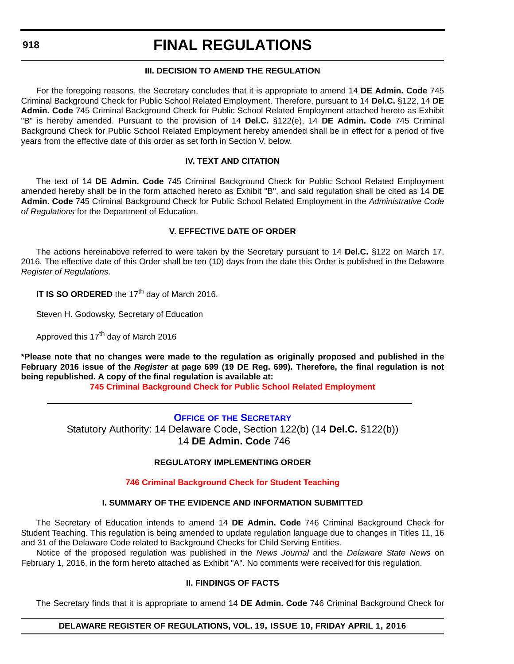# **III. DECISION TO AMEND THE REGULATION**

For the foregoing reasons, the Secretary concludes that it is appropriate to amend 14 **DE Admin. Code** 745 Criminal Background Check for Public School Related Employment. Therefore, pursuant to 14 **Del.C.** §122, 14 **DE Admin. Code** 745 Criminal Background Check for Public School Related Employment attached hereto as Exhibit "B" is hereby amended. Pursuant to the provision of 14 **Del.C.** §122(e), 14 **DE Admin. Code** 745 Criminal Background Check for Public School Related Employment hereby amended shall be in effect for a period of five years from the effective date of this order as set forth in Section V. below.

# **IV. TEXT AND CITATION**

The text of 14 **DE Admin. Code** 745 Criminal Background Check for Public School Related Employment amended hereby shall be in the form attached hereto as Exhibit "B", and said regulation shall be cited as 14 **DE Admin. Code** 745 Criminal Background Check for Public School Related Employment in the *Administrative Code of Regulations* for the Department of Education.

#### **V. EFFECTIVE DATE OF ORDER**

The actions hereinabove referred to were taken by the Secretary pursuant to 14 **Del.C.** §122 on March 17, 2016. The effective date of this Order shall be ten (10) days from the date this Order is published in the Delaware *Register of Regulations*.

**IT IS SO ORDERED** the 17<sup>th</sup> day of March 2016.

Steven H. Godowsky, Secretary of Education

Approved this 17<sup>th</sup> day of March 2016

**\*Please note that no changes were made to the regulation as originally proposed and published in the February 2016 issue of the** *Register* **at page 699 (19 DE Reg. 699). Therefore, the final regulation is not being republished. A copy of the final regulation is available at:**

**[745 Criminal Background Check for Public School Related Employment](http://regulations.delaware.gov/register/april2016/final/19 DE Reg 917 04-01-16.htm)**

**OFFICE OF [THE SECRETARY](https://pubapps.doe.k12.de.us/EducationalDirectoryPublic/pages/DDOE/Branches.aspx?page=branches&BID=1)** Statutory Authority: 14 Delaware Code, Section 122(b) (14 **Del.C.** §122(b)) 14 **DE Admin. Code** 746

# **REGULATORY IMPLEMENTING ORDER**

# **[746 Criminal Background Check for Student Teaching](#page-3-0)**

# **I. SUMMARY OF THE EVIDENCE AND INFORMATION SUBMITTED**

The Secretary of Education intends to amend 14 **DE Admin. Code** 746 Criminal Background Check for Student Teaching. This regulation is being amended to update regulation language due to changes in Titles 11, 16 and 31 of the Delaware Code related to Background Checks for Child Serving Entities.

Notice of the proposed regulation was published in the *News Journal* and the *Delaware State News* on February 1, 2016, in the form hereto attached as Exhibit "A". No comments were received for this regulation.

# **II. FINDINGS OF FACTS**

The Secretary finds that it is appropriate to amend 14 **DE Admin. Code** 746 Criminal Background Check for

# **DELAWARE REGISTER OF REGULATIONS, VOL. 19, ISSUE 10, FRIDAY APRIL 1, 2016**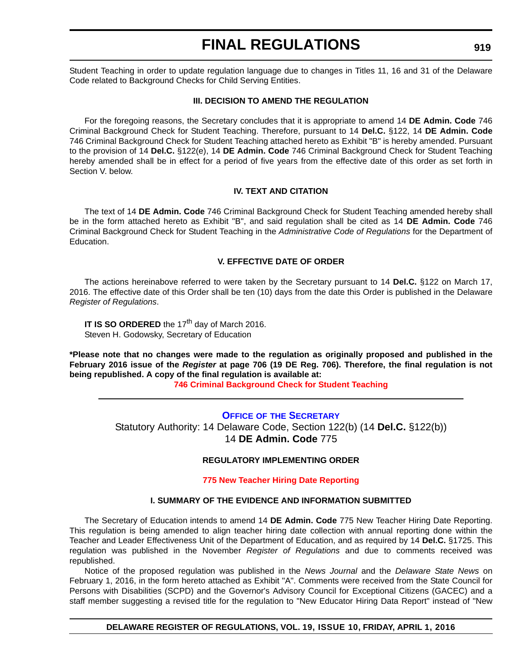Student Teaching in order to update regulation language due to changes in Titles 11, 16 and 31 of the Delaware Code related to Background Checks for Child Serving Entities.

#### **III. DECISION TO AMEND THE REGULATION**

For the foregoing reasons, the Secretary concludes that it is appropriate to amend 14 **DE Admin. Code** 746 Criminal Background Check for Student Teaching. Therefore, pursuant to 14 **Del.C.** §122, 14 **DE Admin. Code** 746 Criminal Background Check for Student Teaching attached hereto as Exhibit "B" is hereby amended. Pursuant to the provision of 14 **Del.C.** §122(e), 14 **DE Admin. Code** 746 Criminal Background Check for Student Teaching hereby amended shall be in effect for a period of five years from the effective date of this order as set forth in Section V. below.

# **IV. TEXT AND CITATION**

The text of 14 **DE Admin. Code** 746 Criminal Background Check for Student Teaching amended hereby shall be in the form attached hereto as Exhibit "B", and said regulation shall be cited as 14 **DE Admin. Code** 746 Criminal Background Check for Student Teaching in the *Administrative Code of Regulations* for the Department of Education.

#### **V. EFFECTIVE DATE OF ORDER**

The actions hereinabove referred to were taken by the Secretary pursuant to 14 **Del.C.** §122 on March 17, 2016. The effective date of this Order shall be ten (10) days from the date this Order is published in the Delaware *Register of Regulations*.

**IT IS SO ORDERED** the 17<sup>th</sup> day of March 2016. Steven H. Godowsky, Secretary of Education

**\*Please note that no changes were made to the regulation as originally proposed and published in the February 2016 issue of the** *Register* **at page 706 (19 DE Reg. 706). Therefore, the final regulation is not being republished. A copy of the final regulation is available at:**

**[746 Criminal Background Check for Student Teaching](http://regulations.delaware.gov/register/april2016/final/19 DE Reg 918 04-01-16.htm)**

# **OFFICE OF [THE SECRETARY](https://pubapps.doe.k12.de.us/EducationalDirectoryPublic/pages/DDOE/Branches.aspx?page=branches&BID=1)**

Statutory Authority: 14 Delaware Code, Section 122(b) (14 **Del.C.** §122(b)) 14 **DE Admin. Code** 775

#### **REGULATORY IMPLEMENTING ORDER**

#### **[775 New Teacher Hiring Date Reporting](#page-3-0)**

# **I. SUMMARY OF THE EVIDENCE AND INFORMATION SUBMITTED**

The Secretary of Education intends to amend 14 **DE Admin. Code** 775 New Teacher Hiring Date Reporting. This regulation is being amended to align teacher hiring date collection with annual reporting done within the Teacher and Leader Effectiveness Unit of the Department of Education, and as required by 14 **Del.C.** §1725. This regulation was published in the November *Register of Regulations* and due to comments received was republished.

Notice of the proposed regulation was published in the *News Journal* and the *Delaware State News* on February 1, 2016, in the form hereto attached as Exhibit "A". Comments were received from the State Council for Persons with Disabilities (SCPD) and the Governor's Advisory Council for Exceptional Citizens (GACEC) and a staff member suggesting a revised title for the regulation to "New Educator Hiring Data Report" instead of "New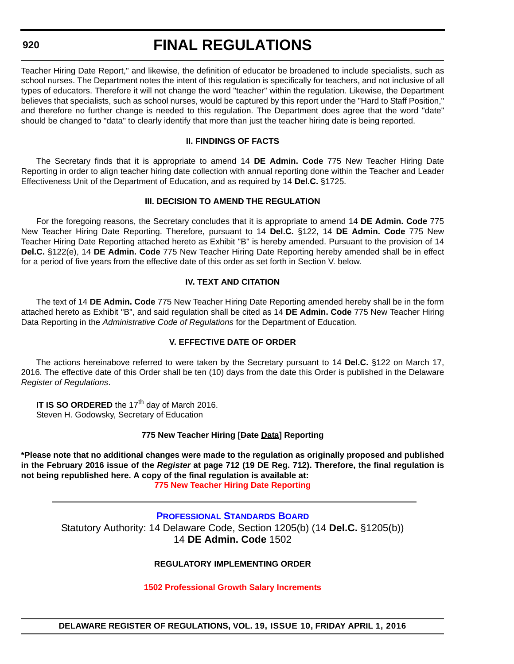# **FINAL REGULATIONS**

Teacher Hiring Date Report," and likewise, the definition of educator be broadened to include specialists, such as school nurses. The Department notes the intent of this regulation is specifically for teachers, and not inclusive of all types of educators. Therefore it will not change the word "teacher" within the regulation. Likewise, the Department believes that specialists, such as school nurses, would be captured by this report under the "Hard to Staff Position," and therefore no further change is needed to this regulation. The Department does agree that the word "date" should be changed to "data" to clearly identify that more than just the teacher hiring date is being reported.

### **II. FINDINGS OF FACTS**

The Secretary finds that it is appropriate to amend 14 **DE Admin. Code** 775 New Teacher Hiring Date Reporting in order to align teacher hiring date collection with annual reporting done within the Teacher and Leader Effectiveness Unit of the Department of Education, and as required by 14 **Del.C.** §1725.

#### **III. DECISION TO AMEND THE REGULATION**

For the foregoing reasons, the Secretary concludes that it is appropriate to amend 14 **DE Admin. Code** 775 New Teacher Hiring Date Reporting. Therefore, pursuant to 14 **Del.C.** §122, 14 **DE Admin. Code** 775 New Teacher Hiring Date Reporting attached hereto as Exhibit "B" is hereby amended. Pursuant to the provision of 14 **Del.C.** §122(e), 14 **DE Admin. Code** 775 New Teacher Hiring Date Reporting hereby amended shall be in effect for a period of five years from the effective date of this order as set forth in Section V. below.

# **IV. TEXT AND CITATION**

The text of 14 **DE Admin. Code** 775 New Teacher Hiring Date Reporting amended hereby shall be in the form attached hereto as Exhibit "B", and said regulation shall be cited as 14 **DE Admin. Code** 775 New Teacher Hiring Data Reporting in the *Administrative Code of Regulations* for the Department of Education.

# **V. EFFECTIVE DATE OF ORDER**

The actions hereinabove referred to were taken by the Secretary pursuant to 14 **Del.C.** §122 on March 17, 2016. The effective date of this Order shall be ten (10) days from the date this Order is published in the Delaware *Register of Regulations*.

**IT IS SO ORDERED** the 17<sup>th</sup> day of March 2016. Steven H. Godowsky, Secretary of Education

# **775 New Teacher Hiring [Date Data] Reporting**

**\*Please note that no additional changes were made to the regulation as originally proposed and published in the February 2016 issue of the** *Register* **at page 712 (19 DE Reg. 712). Therefore, the final regulation is not being republished here. A copy of the final regulation is available at:**

**[775 New Teacher Hiring Date Reporting](http://regulations.delaware.gov/register/april2016/final/19 DE Reg 919 04-01-16.htm)**

**[PROFESSIONAL STANDARDS BOARD](https://pubapps.doe.k12.de.us/EducationalDirectoryPublic/pages/DDOE/WorkGroupStaff.aspx?page=branches&WGID=75&BID=1)** Statutory Authority: 14 Delaware Code, Section 1205(b) (14 **Del.C.** §1205(b)) 14 **DE Admin. Code** 1502

# **REGULATORY IMPLEMENTING ORDER**

#### **[1502 Professional Growth Salary Increments](#page-4-0)**

**DELAWARE REGISTER OF REGULATIONS, VOL. 19, ISSUE 10, FRIDAY APRIL 1, 2016**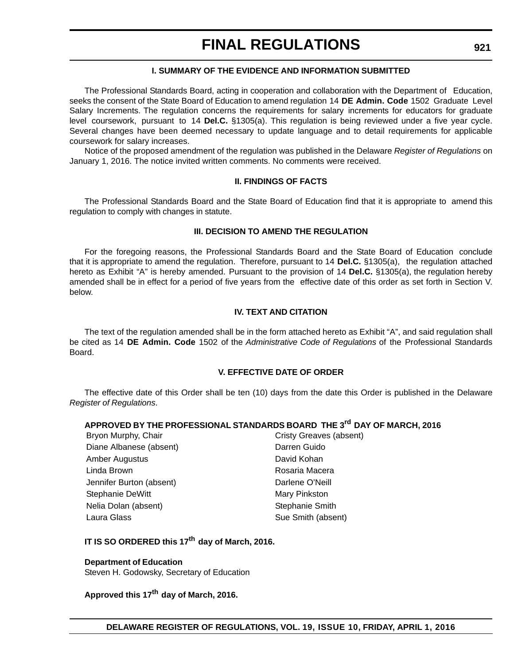# **I. SUMMARY OF THE EVIDENCE AND INFORMATION SUBMITTED**

The Professional Standards Board, acting in cooperation and collaboration with the Department of Education, seeks the consent of the State Board of Education to amend regulation 14 **DE Admin. Code** 1502 Graduate Level Salary Increments. The regulation concerns the requirements for salary increments for educators for graduate level coursework, pursuant to 14 **Del.C.** §1305(a). This regulation is being reviewed under a five year cycle. Several changes have been deemed necessary to update language and to detail requirements for applicable coursework for salary increases.

Notice of the proposed amendment of the regulation was published in the Delaware *Register of Regulations* on January 1, 2016. The notice invited written comments. No comments were received.

#### **II. FINDINGS OF FACTS**

The Professional Standards Board and the State Board of Education find that it is appropriate to amend this regulation to comply with changes in statute.

#### **III. DECISION TO AMEND THE REGULATION**

For the foregoing reasons, the Professional Standards Board and the State Board of Education conclude that it is appropriate to amend the regulation. Therefore, pursuant to 14 **Del.C.** §1305(a), the regulation attached hereto as Exhibit "A" is hereby amended. Pursuant to the provision of 14 **Del.C.** §1305(a), the regulation hereby amended shall be in effect for a period of five years from the effective date of this order as set forth in Section V. below.

#### **IV. TEXT AND CITATION**

The text of the regulation amended shall be in the form attached hereto as Exhibit "A", and said regulation shall be cited as 14 **DE Admin. Code** 1502 of the *Administrative Code of Regulations* of the Professional Standards Board.

#### **V. EFFECTIVE DATE OF ORDER**

The effective date of this Order shall be ten (10) days from the date this Order is published in the Delaware *Register of Regulations*.

# **APPROVED BY THE PROFESSIONAL STANDARDS BOARD THE 3rd DAY OF MARCH, 2016**

| Bryon Murphy, Chair      | Cristy Greaves (absent) |
|--------------------------|-------------------------|
| Diane Albanese (absent)  | Darren Guido            |
| Amber Augustus           | David Kohan             |
| Linda Brown              | Rosaria Macera          |
| Jennifer Burton (absent) | Darlene O'Neill         |
| Stephanie DeWitt         | Mary Pinkston           |
| Nelia Dolan (absent)     | Stephanie Smith         |
| Laura Glass              | Sue Smith (absent)      |

# **IT IS SO ORDERED this 17th day of March, 2016.**

#### **Department of Education**

Steven H. Godowsky, Secretary of Education

**Approved this 17th day of March, 2016.**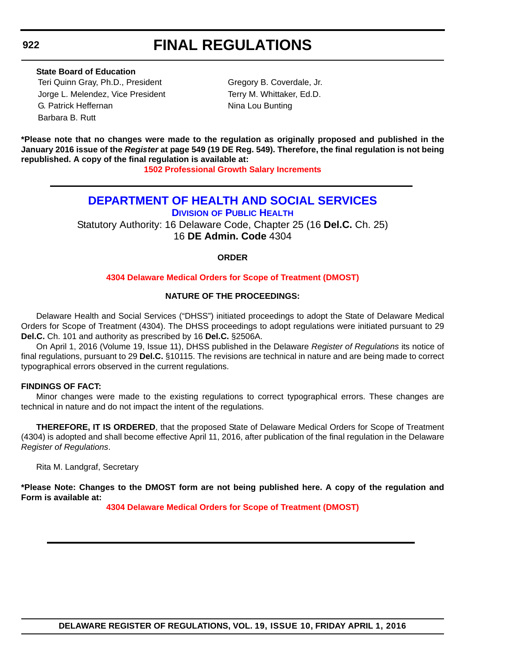# **State Board of Education**

Teri Quinn Gray, Ph.D., President Gregory B. Coverdale, Jr. Jorge L. Melendez, Vice President Terry M. Whittaker, Ed.D. G. Patrick Heffernan Nina Lou Bunting Barbara B. Rutt

**\*Please note that no changes were made to the regulation as originally proposed and published in the January 2016 issue of the** *Register* **at page 549 (19 DE Reg. 549). Therefore, the final regulation is not being republished. A copy of the final regulation is available at:**

**[1502 Professional Growth Salary Increments](http://regulations.delaware.gov/register/april2016/final/19 DE Reg 920 04-01-16.htm)**

# **[DEPARTMENT OF HEALTH AND SOCIAL SERVICES](http://www.dhss.delaware.gov/dhss/index.html) DIVISION [OF PUBLIC HEALTH](http://www.dhss.delaware.gov/dhss/dph/index.html)**

Statutory Authority: 16 Delaware Code, Chapter 25 (16 **Del.C.** Ch. 25) 16 **DE Admin. Code** 4304

# **ORDER**

# **[4304 Delaware Medical Orders for Scope of Treatment \(DMOST\)](#page-4-0)**

# **NATURE OF THE PROCEEDINGS:**

Delaware Health and Social Services ("DHSS") initiated proceedings to adopt the State of Delaware Medical Orders for Scope of Treatment (4304). The DHSS proceedings to adopt regulations were initiated pursuant to 29 **Del.C.** Ch. 101 and authority as prescribed by 16 **Del.C.** §2506A.

On April 1, 2016 (Volume 19, Issue 11), DHSS published in the Delaware *Register of Regulations* its notice of final regulations, pursuant to 29 **Del.C.** §10115. The revisions are technical in nature and are being made to correct typographical errors observed in the current regulations.

# **FINDINGS OF FACT:**

Minor changes were made to the existing regulations to correct typographical errors. These changes are technical in nature and do not impact the intent of the regulations.

**THEREFORE, IT IS ORDERED**, that the proposed State of Delaware Medical Orders for Scope of Treatment (4304) is adopted and shall become effective April 11, 2016, after publication of the final regulation in the Delaware *Register of Regulations*.

Rita M. Landgraf, Secretary

**\*Please Note: Changes to the DMOST form are not being published here. A copy of the regulation and Form is available at:**

**[4304 Delaware Medical Orders for Scope of Treatment \(DMOST\)](http://regulations.delaware.gov/register/april2016/final/19 DE Reg 922 04-01-16.htm)**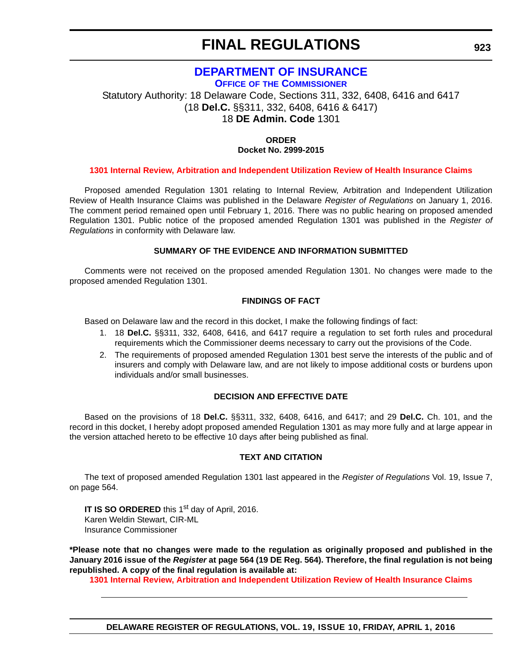# **[DEPARTMENT OF INSURANCE](http://www.delawareinsurance.gov/)**

**OFFICE OF [THE COMMISSIONER](http://www.delawareinsurance.gov/contact.shtml)**

Statutory Authority: 18 Delaware Code, Sections 311, 332, 6408, 6416 and 6417 (18 **Del.C.** §§311, 332, 6408, 6416 & 6417) 18 **DE Admin. Code** 1301

# **ORDER Docket No. 2999-2015**

# **[1301 Internal Review, Arbitration and Independent Utilization Review of Health Insurance Claims](#page-4-0)**

Proposed amended Regulation 1301 relating to Internal Review, Arbitration and Independent Utilization Review of Health Insurance Claims was published in the Delaware *Register of Regulations* on January 1, 2016. The comment period remained open until February 1, 2016. There was no public hearing on proposed amended Regulation 1301. Public notice of the proposed amended Regulation 1301 was published in the *Register of Regulations* in conformity with Delaware law.

# **SUMMARY OF THE EVIDENCE AND INFORMATION SUBMITTED**

Comments were not received on the proposed amended Regulation 1301. No changes were made to the proposed amended Regulation 1301.

# **FINDINGS OF FACT**

Based on Delaware law and the record in this docket, I make the following findings of fact:

- 1. 18 **Del.C.** §§311, 332, 6408, 6416, and 6417 require a regulation to set forth rules and procedural requirements which the Commissioner deems necessary to carry out the provisions of the Code.
- 2. The requirements of proposed amended Regulation 1301 best serve the interests of the public and of insurers and comply with Delaware law, and are not likely to impose additional costs or burdens upon individuals and/or small businesses.

# **DECISION AND EFFECTIVE DATE**

Based on the provisions of 18 **Del.C.** §§311, 332, 6408, 6416, and 6417; and 29 **Del.C.** Ch. 101, and the record in this docket, I hereby adopt proposed amended Regulation 1301 as may more fully and at large appear in the version attached hereto to be effective 10 days after being published as final.

# **TEXT AND CITATION**

The text of proposed amended Regulation 1301 last appeared in the *Register of Regulations* Vol. 19, Issue 7, on page 564.

**IT IS SO ORDERED** this 1<sup>st</sup> day of April, 2016. Karen Weldin Stewart, CIR-ML Insurance Commissioner

**\*Please note that no changes were made to the regulation as originally proposed and published in the January 2016 issue of the** *Register* **at page 564 (19 DE Reg. 564). Therefore, the final regulation is not being republished. A copy of the final regulation is available at:**

**[1301 Internal Review, Arbitration and Independent Utilization Review of Health Insurance Claims](http://regulations.delaware.gov/register/april2016/final/19 DE Reg 923 04-01-16.htm)**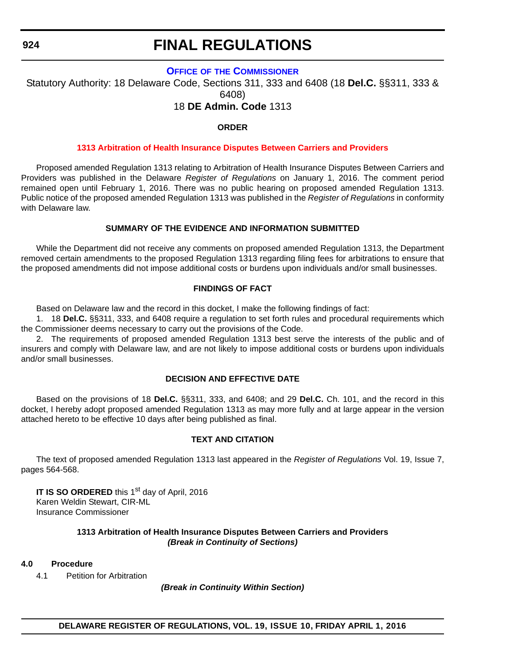# **FINAL REGULATIONS**

# **OFFICE OF [THE COMMISSIONER](http://www.delawareinsurance.gov/contact.shtml)**

Statutory Authority: 18 Delaware Code, Sections 311, 333 and 6408 (18 **Del.C.** §§311, 333 & 6408)

# 18 **DE Admin. Code** 1313

# **ORDER**

# **[1313 Arbitration of Health Insurance Disputes Between Carriers and Providers](#page-4-0)**

Proposed amended Regulation 1313 relating to Arbitration of Health Insurance Disputes Between Carriers and Providers was published in the Delaware *Register of Regulations* on January 1, 2016. The comment period remained open until February 1, 2016. There was no public hearing on proposed amended Regulation 1313. Public notice of the proposed amended Regulation 1313 was published in the *Register of Regulations* in conformity with Delaware law.

# **SUMMARY OF THE EVIDENCE AND INFORMATION SUBMITTED**

While the Department did not receive any comments on proposed amended Regulation 1313, the Department removed certain amendments to the proposed Regulation 1313 regarding filing fees for arbitrations to ensure that the proposed amendments did not impose additional costs or burdens upon individuals and/or small businesses.

#### **FINDINGS OF FACT**

Based on Delaware law and the record in this docket, I make the following findings of fact:

1. 18 **Del.C.** §§311, 333, and 6408 require a regulation to set forth rules and procedural requirements which the Commissioner deems necessary to carry out the provisions of the Code.

2. The requirements of proposed amended Regulation 1313 best serve the interests of the public and of insurers and comply with Delaware law, and are not likely to impose additional costs or burdens upon individuals and/or small businesses.

#### **DECISION AND EFFECTIVE DATE**

Based on the provisions of 18 **Del.C.** §§311, 333, and 6408; and 29 **Del.C.** Ch. 101, and the record in this docket, I hereby adopt proposed amended Regulation 1313 as may more fully and at large appear in the version attached hereto to be effective 10 days after being published as final.

# **TEXT AND CITATION**

The text of proposed amended Regulation 1313 last appeared in the *Register of Regulations* Vol. 19, Issue 7, pages 564-568.

**IT IS SO ORDERED** this 1<sup>st</sup> day of April, 2016 Karen Weldin Stewart, CIR-ML Insurance Commissioner

#### **1313 Arbitration of Health Insurance Disputes Between Carriers and Providers** *(Break in Continuity of Sections)*

#### **4.0 Procedure**

4.1 Petition for Arbitration

*(Break in Continuity Within Section)*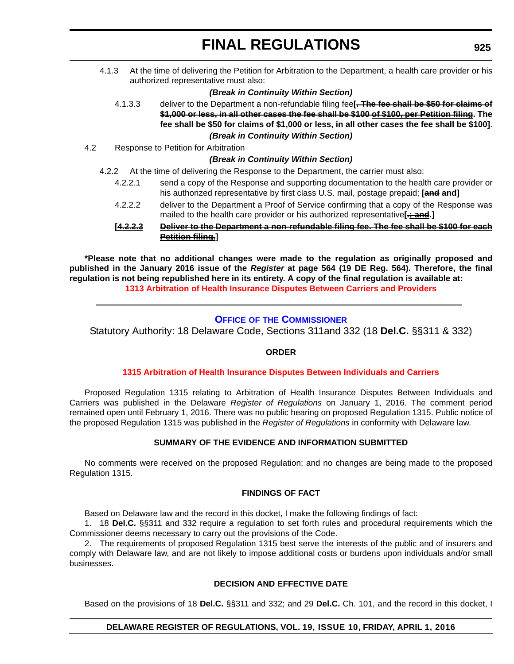4.1.3 At the time of delivering the Petition for Arbitration to the Department, a health care provider or his authorized representative must also:

### *(Break in Continuity Within Section)*

4.1.3.3 deliver to the Department a non-refundable filing fee**[. The fee shall be \$50 for claims of \$1,000 or less, in all other cases the fee shall be \$100 of \$100, per Petition filing. The fee shall be \$50 for claims of \$1,000 or less, in all other cases the fee shall be \$100]**.

*(Break in Continuity Within Section)*

4.2 Response to Petition for Arbitration

#### *(Break in Continuity Within Section)*

- 4.2.2 At the time of delivering the Response to the Department, the carrier must also:
	- 4.2.2.1 send a copy of the Response and supporting documentation to the health care provider or his authorized representative by first class U.S. mail, postage prepaid; **[and and]**
	- 4.2.2.2 deliver to the Department a Proof of Service confirming that a copy of the Response was mailed to the health care provider or his authorized representative<sup>[</sup>: and.]

### **[4.2.2.3 Deliver to the Department a non-refundable filing fee. The fee shall be \$100 for each Petition filing.]**

**\*Please note that no additional changes were made to the regulation as originally proposed and published in the January 2016 issue of the** *Register* **at page 564 (19 DE Reg. 564). Therefore, the final regulation is not being republished here in its entirety. A copy of the final regulation is available at: [1313 Arbitration of Health Insurance Disputes Between Carriers and Providers](http://regulations.delaware.gov/register/april2016/final/19 DE Reg 924 04-01-16.htm)**

# **OFFICE OF [THE COMMISSIONER](http://www.delawareinsurance.gov/contact.shtml)**

Statutory Authority: 18 Delaware Code, Sections 311and 332 (18 **Del.C.** §§311 & 332)

# **ORDER**

#### **[1315 Arbitration of Health Insurance Disputes Between Individuals and Carriers](#page-4-0)**

Proposed Regulation 1315 relating to Arbitration of Health Insurance Disputes Between Individuals and Carriers was published in the Delaware *Register of Regulations* on January 1, 2016. The comment period remained open until February 1, 2016. There was no public hearing on proposed Regulation 1315. Public notice of the proposed Regulation 1315 was published in the *Register of Regulations* in conformity with Delaware law.

# **SUMMARY OF THE EVIDENCE AND INFORMATION SUBMITTED**

No comments were received on the proposed Regulation; and no changes are being made to the proposed Regulation 1315.

# **FINDINGS OF FACT**

Based on Delaware law and the record in this docket, I make the following findings of fact:

1. 18 **Del.C.** §§311 and 332 require a regulation to set forth rules and procedural requirements which the Commissioner deems necessary to carry out the provisions of the Code.

2. The requirements of proposed Regulation 1315 best serve the interests of the public and of insurers and comply with Delaware law, and are not likely to impose additional costs or burdens upon individuals and/or small businesses.

#### **DECISION AND EFFECTIVE DATE**

Based on the provisions of 18 **Del.C.** §§311 and 332; and 29 **Del.C.** Ch. 101, and the record in this docket, I

# **DELAWARE REGISTER OF REGULATIONS, VOL. 19, ISSUE 10, FRIDAY, APRIL 1, 2016**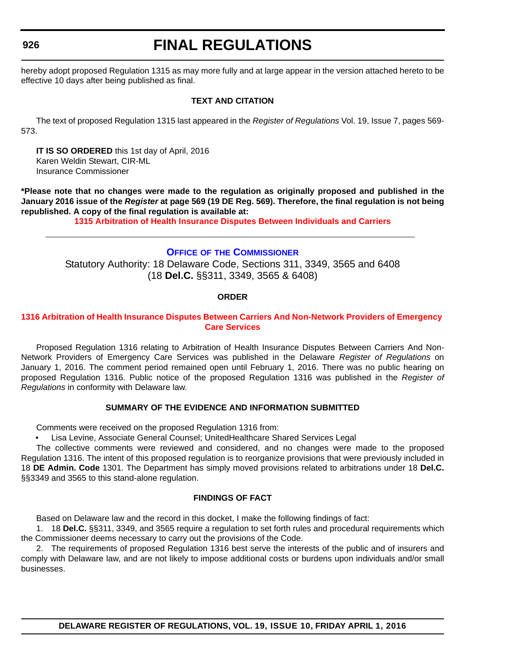# **FINAL REGULATIONS**

hereby adopt proposed Regulation 1315 as may more fully and at large appear in the version attached hereto to be effective 10 days after being published as final.

# **TEXT AND CITATION**

The text of proposed Regulation 1315 last appeared in the *Register of Regulations* Vol. 19, Issue 7, pages 569- 573.

**IT IS SO ORDERED** this 1st day of April, 2016 Karen Weldin Stewart, CIR-ML Insurance Commissioner

**\*Please note that no changes were made to the regulation as originally proposed and published in the January 2016 issue of the** *Register* **at page 569 (19 DE Reg. 569). Therefore, the final regulation is not being republished. A copy of the final regulation is available at:**

**[1315 Arbitration of Health Insurance Disputes Between Individuals and Carriers](http://regulations.delaware.gov/register/april2016/final/19 DE Reg 925 04-01-16.htm)**

#### **OFFICE OF [THE COMMISSIONER](http://www.delawareinsurance.gov/contact.shtml)**

Statutory Authority: 18 Delaware Code, Sections 311, 3349, 3565 and 6408 (18 **Del.C.** §§311, 3349, 3565 & 6408)

# **ORDER**

# **[1316 Arbitration of Health Insurance Disputes Between Carriers And Non-Network Providers of Emergency](#page-4-0)  Care Services**

Proposed Regulation 1316 relating to Arbitration of Health Insurance Disputes Between Carriers And Non-Network Providers of Emergency Care Services was published in the Delaware *Register of Regulations* on January 1, 2016. The comment period remained open until February 1, 2016. There was no public hearing on proposed Regulation 1316. Public notice of the proposed Regulation 1316 was published in the *Register of Regulations* in conformity with Delaware law.

# **SUMMARY OF THE EVIDENCE AND INFORMATION SUBMITTED**

Comments were received on the proposed Regulation 1316 from:

• Lisa Levine, Associate General Counsel; UnitedHealthcare Shared Services Legal

The collective comments were reviewed and considered, and no changes were made to the proposed Regulation 1316. The intent of this proposed regulation is to reorganize provisions that were previously included in 18 **DE Admin. Code** 1301. The Department has simply moved provisions related to arbitrations under 18 **Del.C.** §§3349 and 3565 to this stand-alone regulation.

### **FINDINGS OF FACT**

Based on Delaware law and the record in this docket, I make the following findings of fact:

1. 18 **Del.C.** §§311, 3349, and 3565 require a regulation to set forth rules and procedural requirements which the Commissioner deems necessary to carry out the provisions of the Code.

2. The requirements of proposed Regulation 1316 best serve the interests of the public and of insurers and comply with Delaware law, and are not likely to impose additional costs or burdens upon individuals and/or small businesses.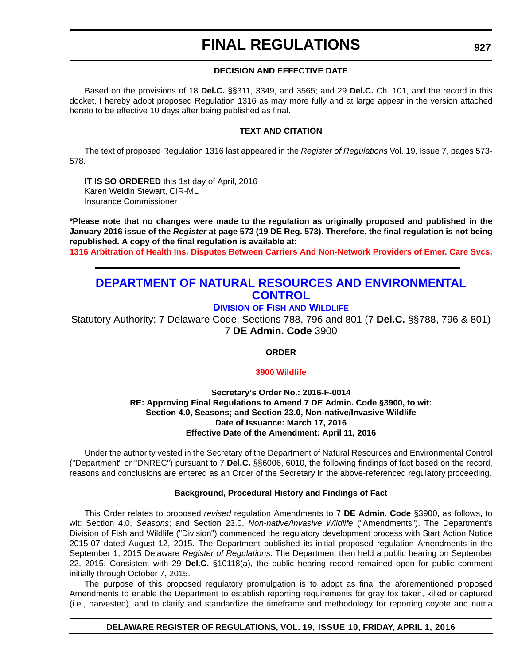### **DECISION AND EFFECTIVE DATE**

Based on the provisions of 18 **Del.C.** §§311, 3349, and 3565; and 29 **Del.C.** Ch. 101, and the record in this docket, I hereby adopt proposed Regulation 1316 as may more fully and at large appear in the version attached hereto to be effective 10 days after being published as final.

#### **TEXT AND CITATION**

The text of proposed Regulation 1316 last appeared in the *Register of Regulations* Vol. 19, Issue 7, pages 573- 578.

**IT IS SO ORDERED** this 1st day of April, 2016 Karen Weldin Stewart, CIR-ML Insurance Commissioner

**\*Please note that no changes were made to the regulation as originally proposed and published in the January 2016 issue of the** *Register* **at page 573 (19 DE Reg. 573). Therefore, the final regulation is not being republished. A copy of the final regulation is available at: [1316 Arbitration of Health Ins. Disputes Between Carriers And Non-Network Providers of Emer. Care Svcs.](http://regulations.delaware.gov/register/april2016/final/19 DE Reg 926 04-01-16.htm)**

# **[DEPARTMENT OF NATURAL RESOURCES AND ENVIRONMENTAL](http://www.dnrec.delaware.gov/Pages/Portal.aspx)  CONTROL**

# **DIVISION OF FISH [AND WILDLIFE](http://www.dnrec.delaware.gov/fw/Pages/DFW-Portal.aspx)**

Statutory Authority: 7 Delaware Code, Sections 788, 796 and 801 (7 **Del.C.** §§788, 796 & 801) 7 **DE Admin. Code** 3900

# **ORDER**

#### **[3900 Wildlife](#page-4-0)**

#### **Secretary's Order No.: 2016-F-0014 RE: Approving Final Regulations to Amend 7 DE Admin. Code §3900, to wit: Section 4.0, Seasons; and Section 23.0, Non-native/Invasive Wildlife Date of Issuance: March 17, 2016 Effective Date of the Amendment: April 11, 2016**

Under the authority vested in the Secretary of the Department of Natural Resources and Environmental Control ("Department" or "DNREC") pursuant to 7 **Del.C.** §§6006, 6010, the following findings of fact based on the record, reasons and conclusions are entered as an Order of the Secretary in the above-referenced regulatory proceeding.

#### **Background, Procedural History and Findings of Fact**

This Order relates to proposed *revised* regulation Amendments to 7 **DE Admin. Code** §3900, as follows, to wit: Section 4.0, *Seasons*; and Section 23.0, *Non-native/Invasive Wildlife* ("Amendments"). The Department's Division of Fish and Wildlife ("Division") commenced the regulatory development process with Start Action Notice 2015-07 dated August 12, 2015. The Department published its initial proposed regulation Amendments in the September 1, 2015 Delaware *Register of Regulations*. The Department then held a public hearing on September 22, 2015. Consistent with 29 **Del.C.** §10118(a), the public hearing record remained open for public comment initially through October 7, 2015.

The purpose of this proposed regulatory promulgation is to adopt as final the aforementioned proposed Amendments to enable the Department to establish reporting requirements for gray fox taken, killed or captured (i.e., harvested), and to clarify and standardize the timeframe and methodology for reporting coyote and nutria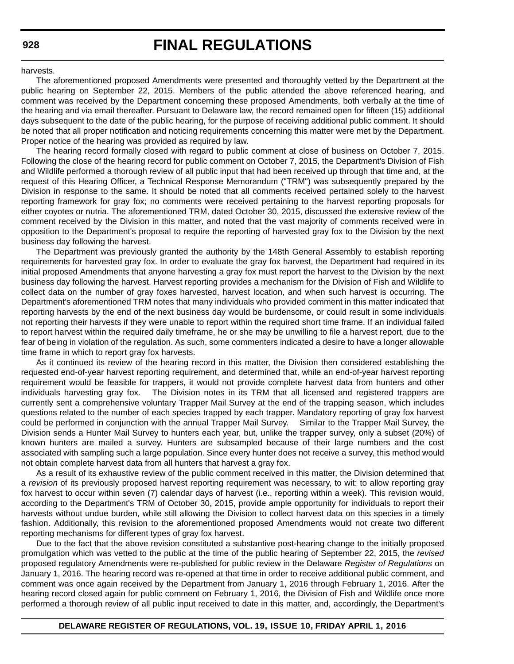harvests.

The aforementioned proposed Amendments were presented and thoroughly vetted by the Department at the public hearing on September 22, 2015. Members of the public attended the above referenced hearing, and comment was received by the Department concerning these proposed Amendments, both verbally at the time of the hearing and via email thereafter. Pursuant to Delaware law, the record remained open for fifteen (15) additional days subsequent to the date of the public hearing, for the purpose of receiving additional public comment. It should be noted that all proper notification and noticing requirements concerning this matter were met by the Department. Proper notice of the hearing was provided as required by law.

The hearing record formally closed with regard to public comment at close of business on October 7, 2015. Following the close of the hearing record for public comment on October 7, 2015, the Department's Division of Fish and Wildlife performed a thorough review of all public input that had been received up through that time and, at the request of this Hearing Officer, a Technical Response Memorandum ("TRM") was subsequently prepared by the Division in response to the same. It should be noted that all comments received pertained solely to the harvest reporting framework for gray fox; no comments were received pertaining to the harvest reporting proposals for either coyotes or nutria. The aforementioned TRM, dated October 30, 2015, discussed the extensive review of the comment received by the Division in this matter, and noted that the vast majority of comments received were in opposition to the Department's proposal to require the reporting of harvested gray fox to the Division by the next business day following the harvest.

The Department was previously granted the authority by the 148th General Assembly to establish reporting requirements for harvested gray fox. In order to evaluate the gray fox harvest, the Department had required in its initial proposed Amendments that anyone harvesting a gray fox must report the harvest to the Division by the next business day following the harvest. Harvest reporting provides a mechanism for the Division of Fish and Wildlife to collect data on the number of gray foxes harvested, harvest location, and when such harvest is occurring. The Department's aforementioned TRM notes that many individuals who provided comment in this matter indicated that reporting harvests by the end of the next business day would be burdensome, or could result in some individuals not reporting their harvests if they were unable to report within the required short time frame. If an individual failed to report harvest within the required daily timeframe, he or she may be unwilling to file a harvest report, due to the fear of being in violation of the regulation. As such, some commenters indicated a desire to have a longer allowable time frame in which to report gray fox harvests.

As it continued its review of the hearing record in this matter, the Division then considered establishing the requested end-of-year harvest reporting requirement, and determined that, while an end-of-year harvest reporting requirement would be feasible for trappers, it would not provide complete harvest data from hunters and other individuals harvesting gray fox. The Division notes in its TRM that all licensed and registered trappers are currently sent a comprehensive voluntary Trapper Mail Survey at the end of the trapping season, which includes questions related to the number of each species trapped by each trapper. Mandatory reporting of gray fox harvest could be performed in conjunction with the annual Trapper Mail Survey. Similar to the Trapper Mail Survey, the Division sends a Hunter Mail Survey to hunters each year, but, unlike the trapper survey, only a subset (20%) of known hunters are mailed a survey. Hunters are subsampled because of their large numbers and the cost associated with sampling such a large population. Since every hunter does not receive a survey, this method would not obtain complete harvest data from all hunters that harvest a gray fox.

As a result of its exhaustive review of the public comment received in this matter, the Division determined that a *revision* of its previously proposed harvest reporting requirement was necessary, to wit: to allow reporting gray fox harvest to occur within seven (7) calendar days of harvest (i.e., reporting within a week). This revision would, according to the Department's TRM of October 30, 2015, provide ample opportunity for individuals to report their harvests without undue burden, while still allowing the Division to collect harvest data on this species in a timely fashion. Additionally, this revision to the aforementioned proposed Amendments would not create two different reporting mechanisms for different types of gray fox harvest.

Due to the fact that the above revision constituted a substantive post-hearing change to the initially proposed promulgation which was vetted to the public at the time of the public hearing of September 22, 2015, the *revised* proposed regulatory Amendments were re-published for public review in the Delaware *Register of Regulations* on January 1, 2016. The hearing record was re-opened at that time in order to receive additional public comment, and comment was once again received by the Department from January 1, 2016 through February 1, 2016. After the hearing record closed again for public comment on February 1, 2016, the Division of Fish and Wildlife once more performed a thorough review of all public input received to date in this matter, and, accordingly, the Department's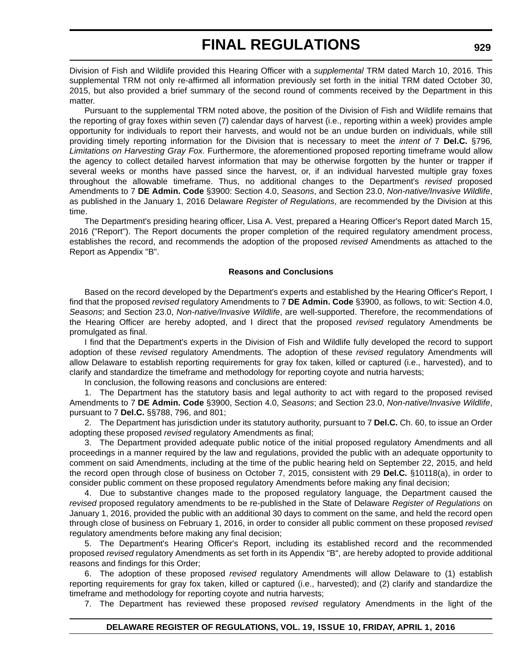Division of Fish and Wildlife provided this Hearing Officer with a *supplemental* TRM dated March 10, 2016. This supplemental TRM not only re-affirmed all information previously set forth in the initial TRM dated October 30, 2015, but also provided a brief summary of the second round of comments received by the Department in this matter.

Pursuant to the supplemental TRM noted above, the position of the Division of Fish and Wildlife remains that the reporting of gray foxes within seven (7) calendar days of harvest (i.e., reporting within a week) provides ample opportunity for individuals to report their harvests, and would not be an undue burden on individuals, while still providing timely reporting information for the Division that is necessary to meet the *intent of* 7 **Del.C.** §796*, Limitations on Harvesting Gray Fox*. Furthermore, the aforementioned proposed reporting timeframe would allow the agency to collect detailed harvest information that may be otherwise forgotten by the hunter or trapper if several weeks or months have passed since the harvest, or, if an individual harvested multiple gray foxes throughout the allowable timeframe. Thus, no additional changes to the Department's *revised* proposed Amendments to 7 **DE Admin. Code** §3900: Section 4.0, *Seasons*, and Section 23.0, *Non-native/Invasive Wildlife*, as published in the January 1, 2016 Delaware *Register of Regulations*, are recommended by the Division at this time.

The Department's presiding hearing officer, Lisa A. Vest, prepared a Hearing Officer's Report dated March 15, 2016 ("Report"). The Report documents the proper completion of the required regulatory amendment process, establishes the record, and recommends the adoption of the proposed *revised* Amendments as attached to the Report as Appendix "B".

#### **Reasons and Conclusions**

Based on the record developed by the Department's experts and established by the Hearing Officer's Report, I find that the proposed *revised* regulatory Amendments to 7 **DE Admin. Code** §3900, as follows, to wit: Section 4.0, *Seasons*; and Section 23.0, *Non-native/Invasive Wildlife*, are well-supported. Therefore, the recommendations of the Hearing Officer are hereby adopted, and I direct that the proposed *revised* regulatory Amendments be promulgated as final.

I find that the Department's experts in the Division of Fish and Wildlife fully developed the record to support adoption of these *revised* regulatory Amendments. The adoption of these *revised* regulatory Amendments will allow Delaware to establish reporting requirements for gray fox taken, killed or captured (i.e., harvested), and to clarify and standardize the timeframe and methodology for reporting coyote and nutria harvests;

In conclusion, the following reasons and conclusions are entered:

1. The Department has the statutory basis and legal authority to act with regard to the proposed revised Amendments to 7 **DE Admin. Code** §3900, Section 4.0, *Seasons*; and Section 23.0, *Non-native/Invasive Wildlife*, pursuant to 7 **Del.C.** §§788, 796, and 801;

2. The Department has jurisdiction under its statutory authority, pursuant to 7 **Del.C.** Ch. 60, to issue an Order adopting these proposed *revised* regulatory Amendments as final;

3. The Department provided adequate public notice of the initial proposed regulatory Amendments and all proceedings in a manner required by the law and regulations, provided the public with an adequate opportunity to comment on said Amendments, including at the time of the public hearing held on September 22, 2015, and held the record open through close of business on October 7, 2015, consistent with 29 **Del.C.** §10118(a), in order to consider public comment on these proposed regulatory Amendments before making any final decision;

4. Due to substantive changes made to the proposed regulatory language, the Department caused the *revised* proposed regulatory amendments to be re-published in the State of Delaware *Register of Regulations* on January 1, 2016, provided the public with an additional 30 days to comment on the same, and held the record open through close of business on February 1, 2016, in order to consider all public comment on these proposed *revised* regulatory amendments before making any final decision;

5. The Department's Hearing Officer's Report, including its established record and the recommended proposed *revised* regulatory Amendments as set forth in its Appendix "B", are hereby adopted to provide additional reasons and findings for this Order;

6. The adoption of these proposed *revised* regulatory Amendments will allow Delaware to (1) establish reporting requirements for gray fox taken, killed or captured (i.e., harvested); and (2) clarify and standardize the timeframe and methodology for reporting coyote and nutria harvests;

7. The Department has reviewed these proposed *revised* regulatory Amendments in the light of the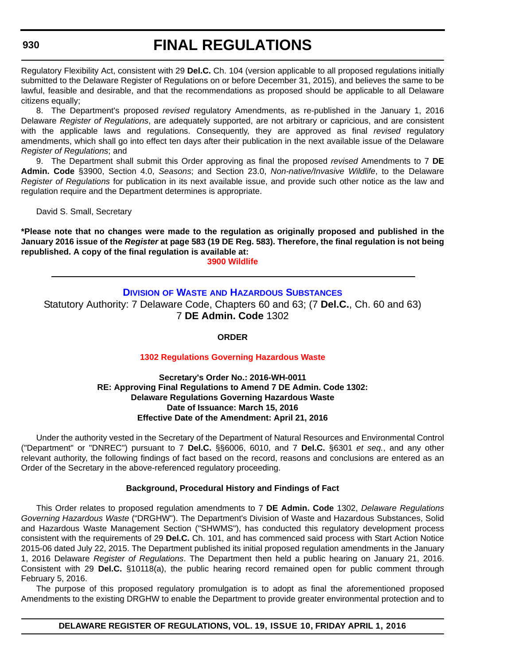# **FINAL REGULATIONS**

Regulatory Flexibility Act, consistent with 29 **Del.C.** Ch. 104 (version applicable to all proposed regulations initially submitted to the Delaware Register of Regulations on or before December 31, 2015), and believes the same to be lawful, feasible and desirable, and that the recommendations as proposed should be applicable to all Delaware citizens equally;

8. The Department's proposed *revised* regulatory Amendments, as re-published in the January 1, 2016 Delaware *Register of Regulations*, are adequately supported, are not arbitrary or capricious, and are consistent with the applicable laws and regulations. Consequently, they are approved as final *revised* regulatory amendments, which shall go into effect ten days after their publication in the next available issue of the Delaware *Register of Regulations*; and

9. The Department shall submit this Order approving as final the proposed *revised* Amendments to 7 **DE Admin. Code** §3900, Section 4.0, *Seasons*; and Section 23.0, *Non-native/Invasive Wildlife*, to the Delaware *Register of Regulations* for publication in its next available issue, and provide such other notice as the law and regulation require and the Department determines is appropriate.

David S. Small, Secretary

**\*Please note that no changes were made to the regulation as originally proposed and published in the January 2016 issue of the** *Register* **at page 583 (19 DE Reg. 583). Therefore, the final regulation is not being republished. A copy of the final regulation is available at:**

**[3900 Wildlife](http://regulations.delaware.gov/register/april2016/final/19 DE Reg 927 04-01-16.htm)**

# **DIVISION OF WASTE [AND HAZARDOUS SUBSTANCES](http://www.dnrec.delaware.gov/dwhs/Pages/default.aspx)** Statutory Authority: 7 Delaware Code, Chapters 60 and 63; (7 **Del.C.**, Ch. 60 and 63) 7 **DE Admin. Code** 1302

**ORDER**

# **[1302 Regulations Governing Hazardous Waste](#page-4-0)**

#### **Secretary's Order No.: 2016-WH-0011 RE: Approving Final Regulations to Amend 7 DE Admin. Code 1302: Delaware Regulations Governing Hazardous Waste Date of Issuance: March 15, 2016 Effective Date of the Amendment: April 21, 2016**

Under the authority vested in the Secretary of the Department of Natural Resources and Environmental Control ("Department" or "DNREC") pursuant to 7 **Del.C.** §§6006, 6010, and 7 **Del.C.** §6301 *et seq.*, and any other relevant authority, the following findings of fact based on the record, reasons and conclusions are entered as an Order of the Secretary in the above-referenced regulatory proceeding.

# **Background, Procedural History and Findings of Fact**

This Order relates to proposed regulation amendments to 7 **DE Admin. Code** 1302, *Delaware Regulations Governing Hazardous Waste* ("DRGHW"). The Department's Division of Waste and Hazardous Substances, Solid and Hazardous Waste Management Section ("SHWMS"), has conducted this regulatory development process consistent with the requirements of 29 **Del.C.** Ch. 101, and has commenced said process with Start Action Notice 2015-06 dated July 22, 2015. The Department published its initial proposed regulation amendments in the January 1, 2016 Delaware *Register of Regulations*. The Department then held a public hearing on January 21, 2016. Consistent with 29 **Del.C.** §10118(a), the public hearing record remained open for public comment through February 5, 2016.

The purpose of this proposed regulatory promulgation is to adopt as final the aforementioned proposed Amendments to the existing DRGHW to enable the Department to provide greater environmental protection and to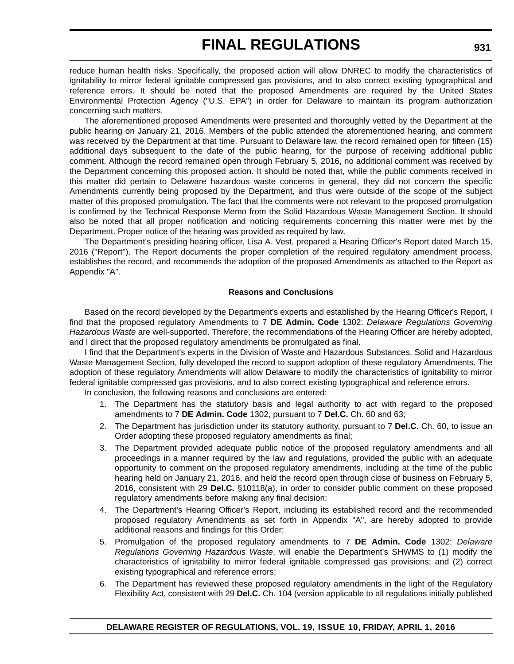reduce human health risks. Specifically, the proposed action will allow DNREC to modify the characteristics of ignitability to mirror federal ignitable compressed gas provisions, and to also correct existing typographical and reference errors. It should be noted that the proposed Amendments are required by the United States Environmental Protection Agency ("U.S. EPA") in order for Delaware to maintain its program authorization concerning such matters.

The aforementioned proposed Amendments were presented and thoroughly vetted by the Department at the public hearing on January 21, 2016. Members of the public attended the aforementioned hearing, and comment was received by the Department at that time. Pursuant to Delaware law, the record remained open for fifteen (15) additional days subsequent to the date of the public hearing, for the purpose of receiving additional public comment. Although the record remained open through February 5, 2016, no additional comment was received by the Department concerning this proposed action. It should be noted that, while the public comments received in this matter did pertain to Delaware hazardous waste concerns in general, they did not concern the specific Amendments currently being proposed by the Department, and thus were outside of the scope of the subject matter of this proposed promulgation. The fact that the comments were not relevant to the proposed promulgation is confirmed by the Technical Response Memo from the Solid Hazardous Waste Management Section. It should also be noted that all proper notification and noticing requirements concerning this matter were met by the Department. Proper notice of the hearing was provided as required by law.

The Department's presiding hearing officer, Lisa A. Vest, prepared a Hearing Officer's Report dated March 15, 2016 ("Report"). The Report documents the proper completion of the required regulatory amendment process, establishes the record, and recommends the adoption of the proposed Amendments as attached to the Report as Appendix "A".

#### **Reasons and Conclusions**

Based on the record developed by the Department's experts and established by the Hearing Officer's Report, I find that the proposed regulatory Amendments to 7 **DE Admin. Code** 1302: *Delaware Regulations Governing Hazardous Waste* are well-supported. Therefore, the recommendations of the Hearing Officer are hereby adopted, and I direct that the proposed regulatory amendments be promulgated as final.

I find that the Department's experts in the Division of Waste and Hazardous Substances, Solid and Hazardous Waste Management Section, fully developed the record to support adoption of these regulatory Amendments. The adoption of these regulatory Amendments will allow Delaware to modify the characteristics of ignitability to mirror federal ignitable compressed gas provisions, and to also correct existing typographical and reference errors.

In conclusion, the following reasons and conclusions are entered:

- 1. The Department has the statutory basis and legal authority to act with regard to the proposed amendments to 7 **DE Admin. Code** 1302, pursuant to 7 **Del.C.** Ch. 60 and 63;
- 2. The Department has jurisdiction under its statutory authority, pursuant to 7 **Del.C.** Ch. 60, to issue an Order adopting these proposed regulatory amendments as final;
- 3. The Department provided adequate public notice of the proposed regulatory amendments and all proceedings in a manner required by the law and regulations, provided the public with an adequate opportunity to comment on the proposed regulatory amendments, including at the time of the public hearing held on January 21, 2016, and held the record open through close of business on February 5, 2016, consistent with 29 **Del.C.** §10118(a), in order to consider public comment on these proposed regulatory amendments before making any final decision;
- 4. The Department's Hearing Officer's Report, including its established record and the recommended proposed regulatory Amendments as set forth in Appendix "A", are hereby adopted to provide additional reasons and findings for this Order;
- 5. Promulgation of the proposed regulatory amendments to 7 **DE Admin. Code** 1302: *Delaware Regulations Governing Hazardous Waste*, will enable the Department's SHWMS to (1) modify the characteristics of ignitability to mirror federal ignitable compressed gas provisions; and (2) correct existing typographical and reference errors;
- 6. The Department has reviewed these proposed regulatory amendments in the light of the Regulatory Flexibility Act, consistent with 29 **Del.C.** Ch. 104 (version applicable to all regulations initially published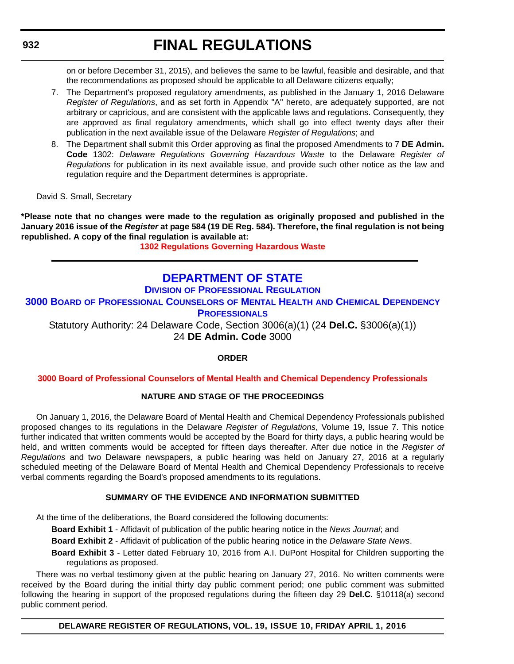on or before December 31, 2015), and believes the same to be lawful, feasible and desirable, and that the recommendations as proposed should be applicable to all Delaware citizens equally;

- 7. The Department's proposed regulatory amendments, as published in the January 1, 2016 Delaware *Register of Regulations*, and as set forth in Appendix "A" hereto, are adequately supported, are not arbitrary or capricious, and are consistent with the applicable laws and regulations. Consequently, they are approved as final regulatory amendments, which shall go into effect twenty days after their publication in the next available issue of the Delaware *Register of Regulations*; and
- 8. The Department shall submit this Order approving as final the proposed Amendments to 7 **DE Admin. Code** 1302: *Delaware Regulations Governing Hazardous Waste* to the Delaware *Register of Regulations* for publication in its next available issue, and provide such other notice as the law and regulation require and the Department determines is appropriate.

David S. Small, Secretary

**\*Please note that no changes were made to the regulation as originally proposed and published in the January 2016 issue of the** *Register* **at page 584 (19 DE Reg. 584). Therefore, the final regulation is not being republished. A copy of the final regulation is available at:**

**[1302 Regulations Governing Hazardous Waste](http://regulations.delaware.gov/register/april2016/final/19 DE Reg 930 04-01-16.htm)**

# **[DEPARTMENT OF STATE](http://sos.delaware.gov/)**

# **DIVISION [OF PROFESSIONAL REGULATION](http://dpr.delaware.gov/)**

# **3000 BOARD [OF PROFESSIONAL COUNSELORS](http://dpr.delaware.gov/boards/profcounselors/index.shtml) OF MENTAL HEALTH AND CHEMICAL DEPENDENCY PROFESSIONALS**

Statutory Authority: 24 Delaware Code, Section 3006(a)(1) (24 **Del.C.** §3006(a)(1)) 24 **DE Admin. Code** 3000

# **ORDER**

# **[3000 Board of Professional Counselors of Mental Health and Chemical Dependency Professionals](#page-4-0)**

# **NATURE AND STAGE OF THE PROCEEDINGS**

On January 1, 2016, the Delaware Board of Mental Health and Chemical Dependency Professionals published proposed changes to its regulations in the Delaware *Register of Regulations*, Volume 19, Issue 7. This notice further indicated that written comments would be accepted by the Board for thirty days, a public hearing would be held, and written comments would be accepted for fifteen days thereafter. After due notice in the *Register of Regulations* and two Delaware newspapers, a public hearing was held on January 27, 2016 at a regularly scheduled meeting of the Delaware Board of Mental Health and Chemical Dependency Professionals to receive verbal comments regarding the Board's proposed amendments to its regulations.

# **SUMMARY OF THE EVIDENCE AND INFORMATION SUBMITTED**

At the time of the deliberations, the Board considered the following documents:

**Board Exhibit 1** - Affidavit of publication of the public hearing notice in the *News Journal*; and

**Board Exhibit 2** - Affidavit of publication of the public hearing notice in the *Delaware State News*.

**Board Exhibit 3** - Letter dated February 10, 2016 from A.I. DuPont Hospital for Children supporting the regulations as proposed.

There was no verbal testimony given at the public hearing on January 27, 2016. No written comments were received by the Board during the initial thirty day public comment period; one public comment was submitted following the hearing in support of the proposed regulations during the fifteen day 29 **Del.C.** §10118(a) second public comment period.

**DELAWARE REGISTER OF REGULATIONS, VOL. 19, ISSUE 10, FRIDAY APRIL 1, 2016**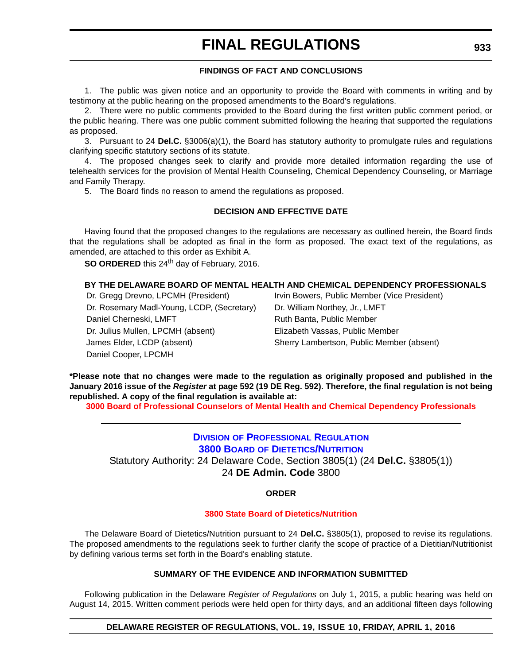# **FINDINGS OF FACT AND CONCLUSIONS**

1. The public was given notice and an opportunity to provide the Board with comments in writing and by testimony at the public hearing on the proposed amendments to the Board's regulations.

2. There were no public comments provided to the Board during the first written public comment period, or the public hearing. There was one public comment submitted following the hearing that supported the regulations as proposed.

3. Pursuant to 24 **Del.C.** §3006(a)(1), the Board has statutory authority to promulgate rules and regulations clarifying specific statutory sections of its statute.

4. The proposed changes seek to clarify and provide more detailed information regarding the use of telehealth services for the provision of Mental Health Counseling, Chemical Dependency Counseling, or Marriage and Family Therapy.

5. The Board finds no reason to amend the regulations as proposed.

#### **DECISION AND EFFECTIVE DATE**

Having found that the proposed changes to the regulations are necessary as outlined herein, the Board finds that the regulations shall be adopted as final in the form as proposed. The exact text of the regulations, as amended, are attached to this order as Exhibit A.

**SO ORDERED** this 24<sup>th</sup> day of February, 2016.

#### **BY THE DELAWARE BOARD OF MENTAL HEALTH AND CHEMICAL DEPENDENCY PROFESSIONALS**

Dr. Gregg Drevno, LPCMH (President) Irvin Bowers, Public Member (Vice President) Dr. Rosemary Madl-Young, LCDP, (Secretary) Dr. William Northey, Jr., LMFT Daniel Cherneski, LMFT **Ruth Banta, Public Member** Dr. Julius Mullen, LPCMH (absent) Elizabeth Vassas, Public Member James Elder, LCDP (absent) Sherry Lambertson, Public Member (absent) Daniel Cooper, LPCMH

**\*Please note that no changes were made to the regulation as originally proposed and published in the January 2016 issue of the** *Register* **at page 592 (19 DE Reg. 592). Therefore, the final regulation is not being republished. A copy of the final regulation is available at:**

**[3000 Board of Professional Counselors of Mental Health and Chemical Dependency Professionals](http://regulations.delaware.gov/register/april2016/final/19 DE Reg 932 04-01-16.htm)**

# **DIVISION [OF PROFESSIONAL REGULATION](http://dpr.delaware.gov/) 3800 BOARD [OF DIETETICS/NUTRITION](http://dpr.delaware.gov/boards/dietitians/index.shtml)** Statutory Authority: 24 Delaware Code, Section 3805(1) (24 **Del.C.** §3805(1))

24 **DE Admin. Code** 3800

#### **ORDER**

#### **[3800 State Board of Dietetics/Nutrition](#page-4-0)**

The Delaware Board of Dietetics/Nutrition pursuant to 24 **Del.C.** §3805(1), proposed to revise its regulations. The proposed amendments to the regulations seek to further clarify the scope of practice of a Dietitian/Nutritionist by defining various terms set forth in the Board's enabling statute.

# **SUMMARY OF THE EVIDENCE AND INFORMATION SUBMITTED**

Following publication in the Delaware *Register of Regulations* on July 1, 2015, a public hearing was held on August 14, 2015. Written comment periods were held open for thirty days, and an additional fifteen days following

#### **DELAWARE REGISTER OF REGULATIONS, VOL. 19, ISSUE 10, FRIDAY, APRIL 1, 2016**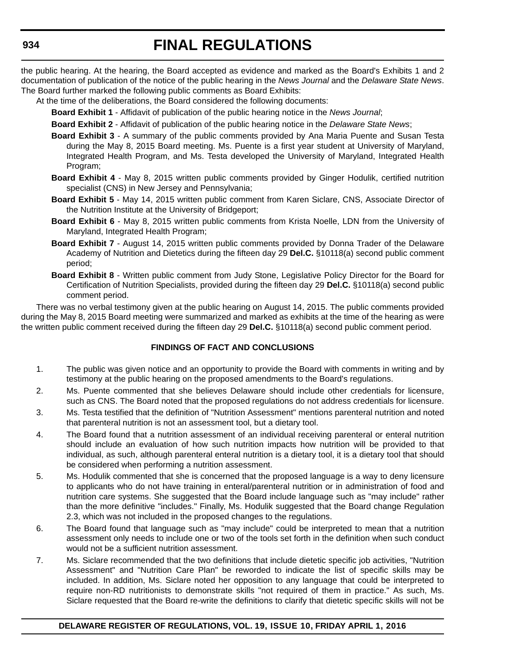the public hearing. At the hearing, the Board accepted as evidence and marked as the Board's Exhibits 1 and 2 documentation of publication of the notice of the public hearing in the *News Journal* and the *Delaware State News*. The Board further marked the following public comments as Board Exhibits:

At the time of the deliberations, the Board considered the following documents:

**Board Exhibit 1** - Affidavit of publication of the public hearing notice in the *News Journal*;

**Board Exhibit 2** - Affidavit of publication of the public hearing notice in the *Delaware State News*;

- **Board Exhibit 3** A summary of the public comments provided by Ana Maria Puente and Susan Testa during the May 8, 2015 Board meeting. Ms. Puente is a first year student at University of Maryland, Integrated Health Program, and Ms. Testa developed the University of Maryland, Integrated Health Program;
- **Board Exhibit 4** May 8, 2015 written public comments provided by Ginger Hodulik, certified nutrition specialist (CNS) in New Jersey and Pennsylvania;
- **Board Exhibit 5** May 14, 2015 written public comment from Karen Siclare, CNS, Associate Director of the Nutrition Institute at the University of Bridgeport;
- **Board Exhibit 6** May 8, 2015 written public comments from Krista Noelle, LDN from the University of Maryland, Integrated Health Program;
- **Board Exhibit 7** August 14, 2015 written public comments provided by Donna Trader of the Delaware Academy of Nutrition and Dietetics during the fifteen day 29 **Del.C.** §10118(a) second public comment period;
- **Board Exhibit 8** Written public comment from Judy Stone, Legislative Policy Director for the Board for Certification of Nutrition Specialists, provided during the fifteen day 29 **Del.C.** §10118(a) second public comment period.

There was no verbal testimony given at the public hearing on August 14, 2015. The public comments provided during the May 8, 2015 Board meeting were summarized and marked as exhibits at the time of the hearing as were the written public comment received during the fifteen day 29 **Del.C.** §10118(a) second public comment period.

# **FINDINGS OF FACT AND CONCLUSIONS**

- 1. The public was given notice and an opportunity to provide the Board with comments in writing and by testimony at the public hearing on the proposed amendments to the Board's regulations.
- 2. Ms. Puente commented that she believes Delaware should include other credentials for licensure, such as CNS. The Board noted that the proposed regulations do not address credentials for licensure.
- 3. Ms. Testa testified that the definition of "Nutrition Assessment" mentions parenteral nutrition and noted that parenteral nutrition is not an assessment tool, but a dietary tool.
- 4. The Board found that a nutrition assessment of an individual receiving parenteral or enteral nutrition should include an evaluation of how such nutrition impacts how nutrition will be provided to that individual, as such, although parenteral enteral nutrition is a dietary tool, it is a dietary tool that should be considered when performing a nutrition assessment.
- 5. Ms. Hodulik commented that she is concerned that the proposed language is a way to deny licensure to applicants who do not have training in enteral/parenteral nutrition or in administration of food and nutrition care systems. She suggested that the Board include language such as "may include" rather than the more definitive "includes." Finally, Ms. Hodulik suggested that the Board change Regulation 2.3, which was not included in the proposed changes to the regulations.
- 6. The Board found that language such as "may include" could be interpreted to mean that a nutrition assessment only needs to include one or two of the tools set forth in the definition when such conduct would not be a sufficient nutrition assessment.
- 7. Ms. Siclare recommended that the two definitions that include dietetic specific job activities, "Nutrition Assessment" and "Nutrition Care Plan" be reworded to indicate the list of specific skills may be included. In addition, Ms. Siclare noted her opposition to any language that could be interpreted to require non-RD nutritionists to demonstrate skills "not required of them in practice." As such, Ms. Siclare requested that the Board re-write the definitions to clarify that dietetic specific skills will not be

# **DELAWARE REGISTER OF REGULATIONS, VOL. 19, ISSUE 10, FRIDAY APRIL 1, 2016**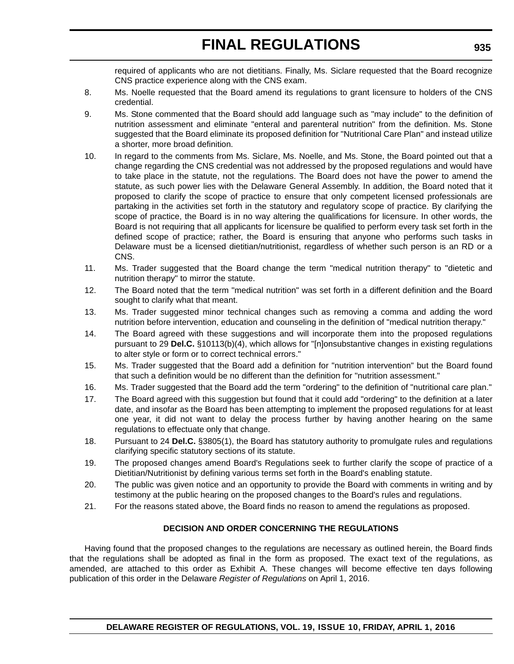required of applicants who are not dietitians. Finally, Ms. Siclare requested that the Board recognize CNS practice experience along with the CNS exam.

- 8. Ms. Noelle requested that the Board amend its regulations to grant licensure to holders of the CNS credential.
- 9. Ms. Stone commented that the Board should add language such as "may include" to the definition of nutrition assessment and eliminate "enteral and parenteral nutrition" from the definition. Ms. Stone suggested that the Board eliminate its proposed definition for "Nutritional Care Plan" and instead utilize a shorter, more broad definition.
- 10. In regard to the comments from Ms. Siclare, Ms. Noelle, and Ms. Stone, the Board pointed out that a change regarding the CNS credential was not addressed by the proposed regulations and would have to take place in the statute, not the regulations. The Board does not have the power to amend the statute, as such power lies with the Delaware General Assembly. In addition, the Board noted that it proposed to clarify the scope of practice to ensure that only competent licensed professionals are partaking in the activities set forth in the statutory and regulatory scope of practice. By clarifying the scope of practice, the Board is in no way altering the qualifications for licensure. In other words, the Board is not requiring that all applicants for licensure be qualified to perform every task set forth in the defined scope of practice; rather, the Board is ensuring that anyone who performs such tasks in Delaware must be a licensed dietitian/nutritionist, regardless of whether such person is an RD or a CNS.
- 11. Ms. Trader suggested that the Board change the term "medical nutrition therapy" to "dietetic and nutrition therapy" to mirror the statute.
- 12. The Board noted that the term "medical nutrition" was set forth in a different definition and the Board sought to clarify what that meant.
- 13. Ms. Trader suggested minor technical changes such as removing a comma and adding the word nutrition before intervention, education and counseling in the definition of "medical nutrition therapy."
- 14. The Board agreed with these suggestions and will incorporate them into the proposed regulations pursuant to 29 **Del.C.** §10113(b)(4), which allows for "[n]onsubstantive changes in existing regulations to alter style or form or to correct technical errors."
- 15. Ms. Trader suggested that the Board add a definition for "nutrition intervention" but the Board found that such a definition would be no different than the definition for "nutrition assessment."
- 16. Ms. Trader suggested that the Board add the term "ordering" to the definition of "nutritional care plan."
- 17. The Board agreed with this suggestion but found that it could add "ordering" to the definition at a later date, and insofar as the Board has been attempting to implement the proposed regulations for at least one year, it did not want to delay the process further by having another hearing on the same regulations to effectuate only that change.
- 18. Pursuant to 24 **Del.C.** §3805(1), the Board has statutory authority to promulgate rules and regulations clarifying specific statutory sections of its statute.
- 19. The proposed changes amend Board's Regulations seek to further clarify the scope of practice of a Dietitian/Nutritionist by defining various terms set forth in the Board's enabling statute.
- 20. The public was given notice and an opportunity to provide the Board with comments in writing and by testimony at the public hearing on the proposed changes to the Board's rules and regulations.
- 21. For the reasons stated above, the Board finds no reason to amend the regulations as proposed.

# **DECISION AND ORDER CONCERNING THE REGULATIONS**

Having found that the proposed changes to the regulations are necessary as outlined herein, the Board finds that the regulations shall be adopted as final in the form as proposed. The exact text of the regulations, as amended, are attached to this order as Exhibit A. These changes will become effective ten days following publication of this order in the Delaware *Register of Regulations* on April 1, 2016.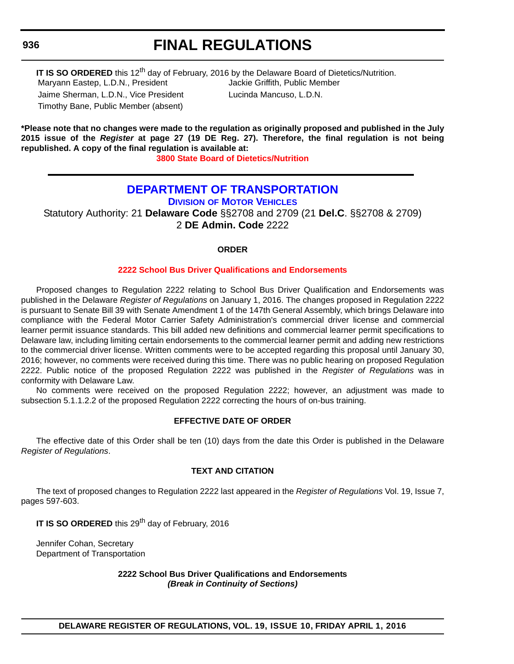# **FINAL REGULATIONS**

**IT IS SO ORDERED** this 12<sup>th</sup> day of February, 2016 by the Delaware Board of Dietetics/Nutrition. Maryann Eastep, L.D.N., President Jackie Griffith, Public Member Jaime Sherman, L.D.N., Vice President Lucinda Mancuso, L.D.N. Timothy Bane, Public Member (absent)

**\*Please note that no changes were made to the regulation as originally proposed and published in the July 2015 issue of the** *Register* **at page 27 (19 DE Reg. 27). Therefore, the final regulation is not being republished. A copy of the final regulation is available at:**

**[3800 State Board of Dietetics/Nutrition](http://regulations.delaware.gov/register/april2016/final/19 DE Reg 933 04-01-16.htm)**

# **[DEPARTMENT OF TRANSPORTATION](http://www.deldot.gov/index.shtml)**

**DIVISION [OF MOTOR VEHICLES](http://dmv.de.gov/)**

Statutory Authority: 21 **Delaware Code** §§2708 and 2709 (21 **Del.C**. §§2708 & 2709) 2 **DE Admin. Code** 2222

#### **ORDER**

#### **[2222 School Bus Driver Qualifications and Endorsements](#page-4-0)**

Proposed changes to Regulation 2222 relating to School Bus Driver Qualification and Endorsements was published in the Delaware *Register of Regulations* on January 1, 2016. The changes proposed in Regulation 2222 is pursuant to Senate Bill 39 with Senate Amendment 1 of the 147th General Assembly, which brings Delaware into compliance with the Federal Motor Carrier Safety Administration's commercial driver license and commercial learner permit issuance standards. This bill added new definitions and commercial learner permit specifications to Delaware law, including limiting certain endorsements to the commercial learner permit and adding new restrictions to the commercial driver license. Written comments were to be accepted regarding this proposal until January 30, 2016; however, no comments were received during this time. There was no public hearing on proposed Regulation 2222. Public notice of the proposed Regulation 2222 was published in the *Register of Regulations* was in conformity with Delaware Law.

No comments were received on the proposed Regulation 2222; however, an adjustment was made to subsection 5.1.1.2.2 of the proposed Regulation 2222 correcting the hours of on-bus training.

#### **EFFECTIVE DATE OF ORDER**

The effective date of this Order shall be ten (10) days from the date this Order is published in the Delaware *Register of Regulations*.

# **TEXT AND CITATION**

The text of proposed changes to Regulation 2222 last appeared in the *Register of Regulations* Vol. 19, Issue 7, pages 597-603.

**IT IS SO ORDERED** this 29<sup>th</sup> day of February, 2016

Jennifer Cohan, Secretary Department of Transportation

> **2222 School Bus Driver Qualifications and Endorsements** *(Break in Continuity of Sections)*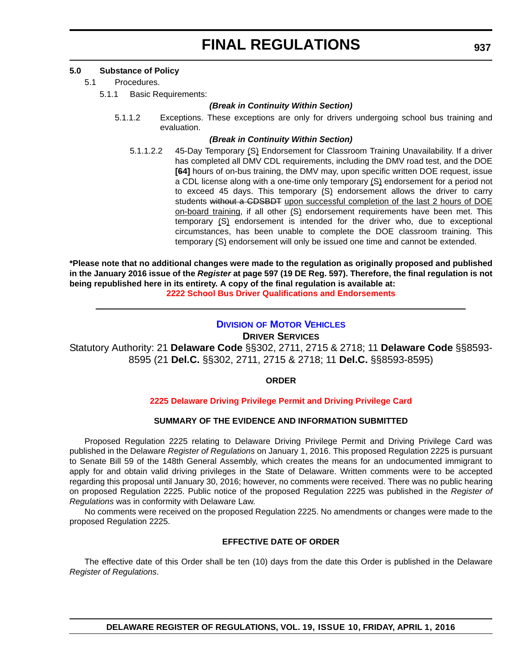### **5.0 Substance of Policy**

- 5.1 Procedures.
	- 5.1.1 Basic Requirements:

#### *(Break in Continuity Within Section)*

5.1.1.2 Exceptions. These exceptions are only for drivers undergoing school bus training and evaluation.

#### *(Break in Continuity Within Section)*

5.1.1.2.2 45-Day Temporary (S) Endorsement for Classroom Training Unavailability. If a driver has completed all DMV CDL requirements, including the DMV road test, and the DOE **[64]** hours of on-bus training, the DMV may, upon specific written DOE request, issue a CDL license along with a one-time only temporary (S) endorsement for a period not to exceed 45 days. This temporary (S) endorsement allows the driver to carry students without a CDSBDT upon successful completion of the last 2 hours of DOE on-board training, if all other (S) endorsement requirements have been met. This temporary (S) endorsement is intended for the driver who, due to exceptional circumstances, has been unable to complete the DOE classroom training. This temporary (S) endorsement will only be issued one time and cannot be extended.

**\*Please note that no additional changes were made to the regulation as originally proposed and published in the January 2016 issue of the** *Register* **at page 597 (19 DE Reg. 597). Therefore, the final regulation is not being republished here in its entirety. A copy of the final regulation is available at: [2222 School Bus Driver Qualifications and Endorsements](http://regulations.delaware.gov/register/april2016/final/19 DE Reg 936 04-01-16.htm)**

# **DIVISION [OF MOTOR VEHICLES](http://dmv.de.gov/)**

**DRIVER SERVICES**

Statutory Authority: 21 **Delaware Code** §§302, 2711, 2715 & 2718; 11 **Delaware Code** §§8593- 8595 (21 **Del.C.** §§302, 2711, 2715 & 2718; 11 **Del.C.** §§8593-8595)

#### **ORDER**

#### **[2225 Delaware Driving Privilege Permit and Driving Privilege Card](#page-4-0)**

#### **SUMMARY OF THE EVIDENCE AND INFORMATION SUBMITTED**

Proposed Regulation 2225 relating to Delaware Driving Privilege Permit and Driving Privilege Card was published in the Delaware *Register of Regulations* on January 1, 2016. This proposed Regulation 2225 is pursuant to Senate Bill 59 of the 148th General Assembly, which creates the means for an undocumented immigrant to apply for and obtain valid driving privileges in the State of Delaware. Written comments were to be accepted regarding this proposal until January 30, 2016; however, no comments were received. There was no public hearing on proposed Regulation 2225. Public notice of the proposed Regulation 2225 was published in the *Register of Regulations* was in conformity with Delaware Law.

No comments were received on the proposed Regulation 2225. No amendments or changes were made to the proposed Regulation 2225.

#### **EFFECTIVE DATE OF ORDER**

The effective date of this Order shall be ten (10) days from the date this Order is published in the Delaware *Register of Regulations*.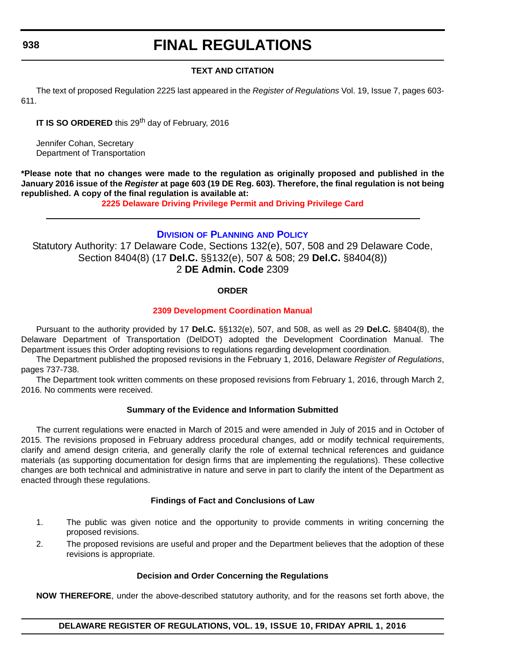# **FINAL REGULATIONS**

# **TEXT AND CITATION**

The text of proposed Regulation 2225 last appeared in the *Register of Regulations* Vol. 19, Issue 7, pages 603- 611.

**IT IS SO ORDERED** this 29<sup>th</sup> day of February, 2016

Jennifer Cohan, Secretary Department of Transportation

**\*Please note that no changes were made to the regulation as originally proposed and published in the January 2016 issue of the** *Register* **at page 603 (19 DE Reg. 603). Therefore, the final regulation is not being republished. A copy of the final regulation is available at:**

**[2225 Delaware Driving Privilege Permit and Driving Privilege Card](http://regulations.delaware.gov/register/april2016/final/19 DE Reg 937 04-01-16.htm)**

# **DIVISION [OF PLANNING](http://www.deldot.gov/home/divisions/) AND POLICY**

Statutory Authority: 17 Delaware Code, Sections 132(e), 507, 508 and 29 Delaware Code, Section 8404(8) (17 **Del.C.** §§132(e), 507 & 508; 29 **Del.C.** §8404(8)) 2 **DE Admin. Code** 2309

# **ORDER**

# **[2309 Development Coordination Manual](#page-4-0)**

Pursuant to the authority provided by 17 **Del.C.** §§132(e), 507, and 508, as well as 29 **Del.C.** §8404(8), the Delaware Department of Transportation (DelDOT) adopted the Development Coordination Manual. The Department issues this Order adopting revisions to regulations regarding development coordination.

The Department published the proposed revisions in the February 1, 2016, Delaware *Register of Regulations*, pages 737-738.

The Department took written comments on these proposed revisions from February 1, 2016, through March 2, 2016. No comments were received.

# **Summary of the Evidence and Information Submitted**

The current regulations were enacted in March of 2015 and were amended in July of 2015 and in October of 2015. The revisions proposed in February address procedural changes, add or modify technical requirements, clarify and amend design criteria, and generally clarify the role of external technical references and guidance materials (as supporting documentation for design firms that are implementing the regulations). These collective changes are both technical and administrative in nature and serve in part to clarify the intent of the Department as enacted through these regulations.

# **Findings of Fact and Conclusions of Law**

- 1. The public was given notice and the opportunity to provide comments in writing concerning the proposed revisions.
- 2. The proposed revisions are useful and proper and the Department believes that the adoption of these revisions is appropriate.

# **Decision and Order Concerning the Regulations**

**NOW THEREFORE**, under the above-described statutory authority, and for the reasons set forth above, the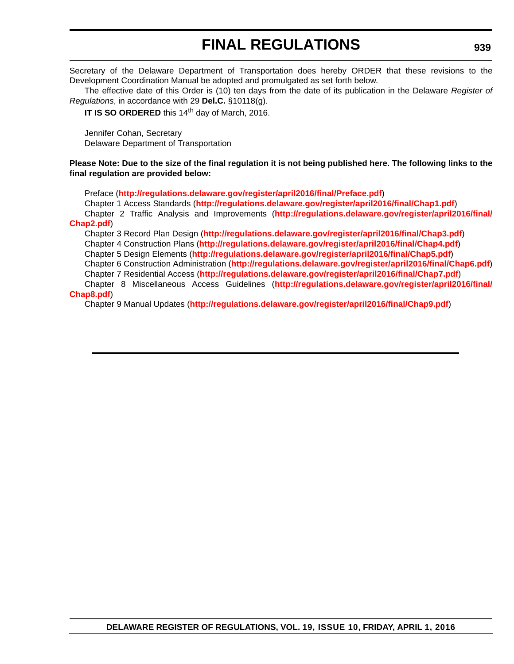# **FINAL REGULATIONS**

Secretary of the Delaware Department of Transportation does hereby ORDER that these revisions to the Development Coordination Manual be adopted and promulgated as set forth below.

The effective date of this Order is (10) ten days from the date of its publication in the Delaware *Register of Regulations*, in accordance with 29 **Del.C.** §10118(g).

**IT IS SO ORDERED** this 14<sup>th</sup> day of March, 2016.

Jennifer Cohan, Secretary Delaware Department of Transportation

**Please Note: Due to the size of the final regulation it is not being published here. The following links to the final regulation are provided below:**

Preface (**<http://regulations.delaware.gov/register/april2016/final/Preface.pdf>**)

Chapter 1 Access Standards (**<http://regulations.delaware.gov/register/april2016/final/Chap1.pdf>**) Chapter 2 Traffic Analysis and Improvements (**[http://regulations.delaware.gov/register/april2016/final/](http://regulations.delaware.gov/register/april2016/final/Chap2.pdf) Chap2.pdf**)

Chapter 3 Record Plan Design (**<http://regulations.delaware.gov/register/april2016/final/Chap3.pdf>**) Chapter 4 Construction Plans (**<http://regulations.delaware.gov/register/april2016/final/Chap4.pdf>**) Chapter 5 Design Elements (**<http://regulations.delaware.gov/register/april2016/final/Chap5.pdf>**) Chapter 6 Construction Administration (**<http://regulations.delaware.gov/register/april2016/final/Chap6.pdf>**) Chapter 7 Residential Access (**<http://regulations.delaware.gov/register/april2016/final/Chap7.pdf>**) Chapter 8 Miscellaneous Access Guidelines (**[http://regulations.delaware.gov/register/april2016/final/](http://regulations.delaware.gov/register/april2016/final/Chap8.pdf)**

### **Chap8.pdf**)

Chapter 9 Manual Updates (**<http://regulations.delaware.gov/register/april2016/final/Chap9.pdf>**)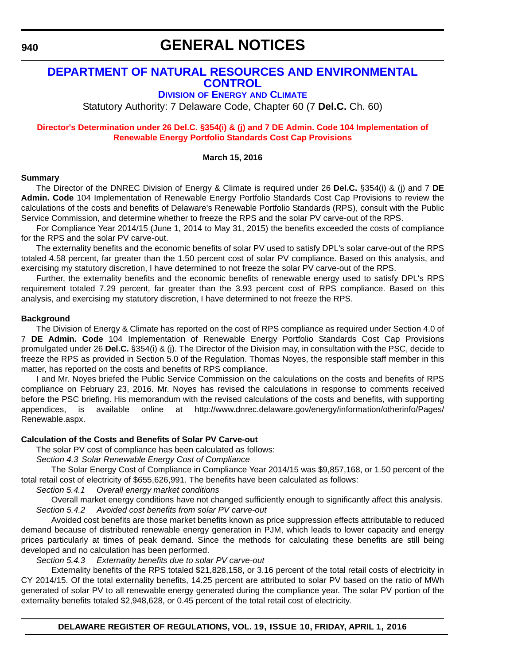**940**

# **GENERAL NOTICES**

## **[DEPARTMENT OF NATURAL RESOURCES AND ENVIRONMENTAL](http://www.dnrec.delaware.gov/energy/Pages/portal.aspx)  CONTROL**

## **DIVISION OF ENERGY AND CLIMATE**

Statutory Authority: 7 Delaware Code, Chapter 60 (7 **Del.C.** Ch. 60)

## **[Director's Determination under 26 Del.C. §354\(i\) & \(j\) and 7 DE Admin. Code 104 Implementation of](#page-4-0)  Renewable Energy Portfolio Standards Cost Cap Provisions**

### **March 15, 2016**

#### **Summary**

The Director of the DNREC Division of Energy & Climate is required under 26 **Del.C.** §354(i) & (j) and 7 **DE Admin. Code** 104 Implementation of Renewable Energy Portfolio Standards Cost Cap Provisions to review the calculations of the costs and benefits of Delaware's Renewable Portfolio Standards (RPS), consult with the Public Service Commission, and determine whether to freeze the RPS and the solar PV carve-out of the RPS.

For Compliance Year 2014/15 (June 1, 2014 to May 31, 2015) the benefits exceeded the costs of compliance for the RPS and the solar PV carve-out.

The externality benefits and the economic benefits of solar PV used to satisfy DPL's solar carve-out of the RPS totaled 4.58 percent, far greater than the 1.50 percent cost of solar PV compliance. Based on this analysis, and exercising my statutory discretion, I have determined to not freeze the solar PV carve-out of the RPS.

Further, the externality benefits and the economic benefits of renewable energy used to satisfy DPL's RPS requirement totaled 7.29 percent, far greater than the 3.93 percent cost of RPS compliance. Based on this analysis, and exercising my statutory discretion, I have determined to not freeze the RPS.

### **Background**

The Division of Energy & Climate has reported on the cost of RPS compliance as required under Section 4.0 of 7 **DE Admin. Code** 104 Implementation of Renewable Energy Portfolio Standards Cost Cap Provisions promulgated under 26 **Del.C.** §354(i) & (j). The Director of the Division may, in consultation with the PSC, decide to freeze the RPS as provided in Section 5.0 of the Regulation. Thomas Noyes, the responsible staff member in this matter, has reported on the costs and benefits of RPS compliance.

I and Mr. Noyes briefed the Public Service Commission on the calculations on the costs and benefits of RPS [compliance on February 23, 2016. Mr. Noyes has revised the calculations in response to comments received](http://www.dnrec.delaware.gov/energy/information/otherinfo/Pages/Renewable.aspx) before the PSC briefing. His memorandum with the revised calculations of the costs and benefits, with supporting appendices, is available online at http://www.dnrec.delaware.gov/energy/information/otherinfo/Pages/ Renewable.aspx.

## **Calculation of the Costs and Benefits of Solar PV Carve-out**

The solar PV cost of compliance has been calculated as follows:

*Section 4.3 Solar Renewable Energy Cost of Compliance*

The Solar Energy Cost of Compliance in Compliance Year 2014/15 was \$9,857,168, or 1.50 percent of the total retail cost of electricity of \$655,626,991. The benefits have been calculated as follows:

*Section 5.4.1 Overall energy market conditions*

Overall market energy conditions have not changed sufficiently enough to significantly affect this analysis. *Section 5.4.2 Avoided cost benefits from solar PV carve-out*

Avoided cost benefits are those market benefits known as price suppression effects attributable to reduced demand because of distributed renewable energy generation in PJM, which leads to lower capacity and energy prices particularly at times of peak demand. Since the methods for calculating these benefits are still being developed and no calculation has been performed.

*Section 5.4.3 Externality benefits due to solar PV carve-out*

Externality benefits of the RPS totaled \$21,828,158, or 3.16 percent of the total retail costs of electricity in CY 2014/15. Of the total externality benefits, 14.25 percent are attributed to solar PV based on the ratio of MWh generated of solar PV to all renewable energy generated during the compliance year. The solar PV portion of the externality benefits totaled \$2,948,628, or 0.45 percent of the total retail cost of electricity.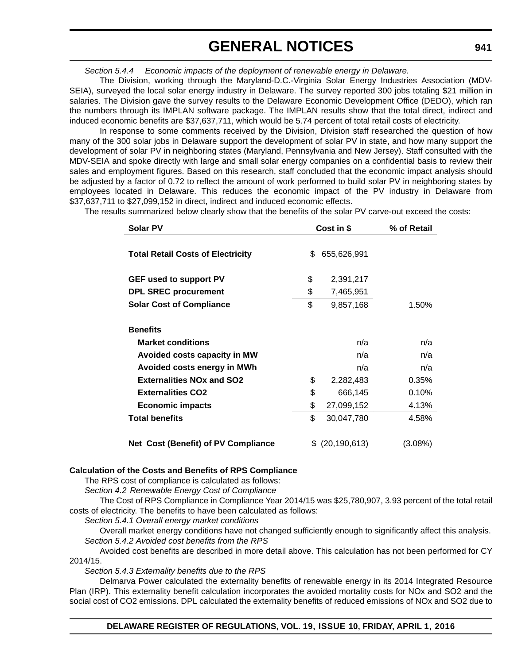*Section 5.4.4 Economic impacts of the deployment of renewable energy in Delaware.*

The Division, working through the Maryland-D.C.-Virginia Solar Energy Industries Association (MDV-SEIA), surveyed the local solar energy industry in Delaware. The survey reported 300 jobs totaling \$21 million in salaries. The Division gave the survey results to the Delaware Economic Development Office (DEDO), which ran the numbers through its IMPLAN software package. The IMPLAN results show that the total direct, indirect and induced economic benefits are \$37,637,711, which would be 5.74 percent of total retail costs of electricity.

In response to some comments received by the Division, Division staff researched the question of how many of the 300 solar jobs in Delaware support the development of solar PV in state, and how many support the development of solar PV in neighboring states (Maryland, Pennsylvania and New Jersey). Staff consulted with the MDV-SEIA and spoke directly with large and small solar energy companies on a confidential basis to review their sales and employment figures. Based on this research, staff concluded that the economic impact analysis should be adjusted by a factor of 0.72 to reflect the amount of work performed to build solar PV in neighboring states by employees located in Delaware. This reduces the economic impact of the PV industry in Delaware from \$37,637,711 to \$27,099,152 in direct, indirect and induced economic effects.

The results summarized below clearly show that the benefits of the solar PV carve-out exceed the costs:

| <b>Solar PV</b>                          | Cost in \$ |                | % of Retail |
|------------------------------------------|------------|----------------|-------------|
| <b>Total Retail Costs of Electricity</b> | \$         | 655,626,991    |             |
| <b>GEF used to support PV</b>            | \$         | 2,391,217      |             |
| <b>DPL SREC procurement</b>              | \$         | 7,465,951      |             |
| <b>Solar Cost of Compliance</b>          | \$         | 9,857,168      | 1.50%       |
| <b>Benefits</b>                          |            |                |             |
| <b>Market conditions</b>                 |            | n/a            | n/a         |
| Avoided costs capacity in MW             |            | n/a            | n/a         |
| Avoided costs energy in MWh              |            | n/a            | n/a         |
| <b>Externalities NOx and SO2</b>         | \$         | 2,282,483      | 0.35%       |
| <b>Externalities CO2</b>                 | \$         | 666,145        | 0.10%       |
| <b>Economic impacts</b>                  | \$         | 27,099,152     | 4.13%       |
| <b>Total benefits</b>                    | \$         | 30,047,780     | 4.58%       |
| Net Cost (Benefit) of PV Compliance      | \$         | (20, 190, 613) | (3.08%)     |

#### **Calculation of the Costs and Benefits of RPS Compliance**

The RPS cost of compliance is calculated as follows:

*Section 4.2 Renewable Energy Cost of Compliance*

The Cost of RPS Compliance in Compliance Year 2014/15 was \$25,780,907, 3.93 percent of the total retail costs of electricity. The benefits to have been calculated as follows:

*Section 5.4.1 Overall energy market conditions*

Overall market energy conditions have not changed sufficiently enough to significantly affect this analysis. *Section 5.4.2 Avoided cost benefits from the RPS*

Avoided cost benefits are described in more detail above. This calculation has not been performed for CY 2014/15.

*Section 5.4.3 Externality benefits due to the RPS*

Delmarva Power calculated the externality benefits of renewable energy in its 2014 Integrated Resource Plan (IRP). This externality benefit calculation incorporates the avoided mortality costs for NOx and SO2 and the social cost of CO2 emissions. DPL calculated the externality benefits of reduced emissions of NOx and SO2 due to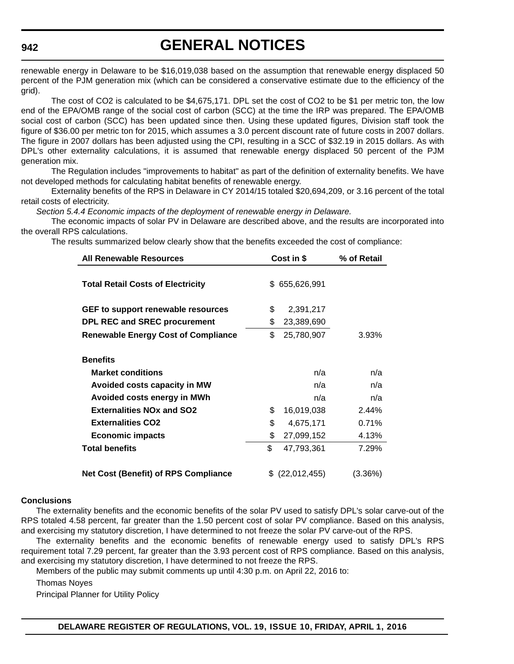# **GENERAL NOTICES**

renewable energy in Delaware to be \$16,019,038 based on the assumption that renewable energy displaced 50 percent of the PJM generation mix (which can be considered a conservative estimate due to the efficiency of the grid).

The cost of CO2 is calculated to be \$4,675,171. DPL set the cost of CO2 to be \$1 per metric ton, the low end of the EPA/OMB range of the social cost of carbon (SCC) at the time the IRP was prepared. The EPA/OMB social cost of carbon (SCC) has been updated since then. Using these updated figures, Division staff took the figure of \$36.00 per metric ton for 2015, which assumes a 3.0 percent discount rate of future costs in 2007 dollars. The figure in 2007 dollars has been adjusted using the CPI, resulting in a SCC of \$32.19 in 2015 dollars. As with DPL's other externality calculations, it is assumed that renewable energy displaced 50 percent of the PJM generation mix.

The Regulation includes "improvements to habitat" as part of the definition of externality benefits. We have not developed methods for calculating habitat benefits of renewable energy.

Externality benefits of the RPS in Delaware in CY 2014/15 totaled \$20,694,209, or 3.16 percent of the total retail costs of electricity.

*Section 5.4.4 Economic impacts of the deployment of renewable energy in Delaware.*

The economic impacts of solar PV in Delaware are described above, and the results are incorporated into the overall RPS calculations.

The results summarized below clearly show that the benefits exceeded the cost of compliance:

| <b>All Renewable Resources</b>              | Cost in \$ |               | % of Retail |
|---------------------------------------------|------------|---------------|-------------|
| <b>Total Retail Costs of Electricity</b>    |            | \$655,626,991 |             |
| GEF to support renewable resources          | \$         | 2,391,217     |             |
| <b>DPL REC and SREC procurement</b>         | \$         | 23,389,690    |             |
| <b>Renewable Energy Cost of Compliance</b>  | \$         | 25,780,907    | 3.93%       |
| <b>Benefits</b><br><b>Market conditions</b> |            | n/a           | n/a         |
| Avoided costs capacity in MW                |            | n/a           | n/a         |
| Avoided costs energy in MWh                 |            | n/a           | n/a         |
| <b>Externalities NOx and SO2</b>            | \$         | 16,019,038    | 2.44%       |
| <b>Externalities CO2</b>                    | \$         | 4,675,171     | 0.71%       |
| <b>Economic impacts</b>                     | \$         | 27,099,152    | 4.13%       |
| <b>Total benefits</b>                       | \$         | 47,793,361    | 7.29%       |
| <b>Net Cost (Benefit) of RPS Compliance</b> |            | (22,012,455)  | (3.36%)     |

#### **Conclusions**

The externality benefits and the economic benefits of the solar PV used to satisfy DPL's solar carve-out of the RPS totaled 4.58 percent, far greater than the 1.50 percent cost of solar PV compliance. Based on this analysis, and exercising my statutory discretion, I have determined to not freeze the solar PV carve-out of the RPS.

The externality benefits and the economic benefits of renewable energy used to satisfy DPL's RPS requirement total 7.29 percent, far greater than the 3.93 percent cost of RPS compliance. Based on this analysis, and exercising my statutory discretion, I have determined to not freeze the RPS.

Members of the public may submit comments up until 4:30 p.m. on April 22, 2016 to:

Thomas Noyes

Principal Planner for Utility Policy

#### **942**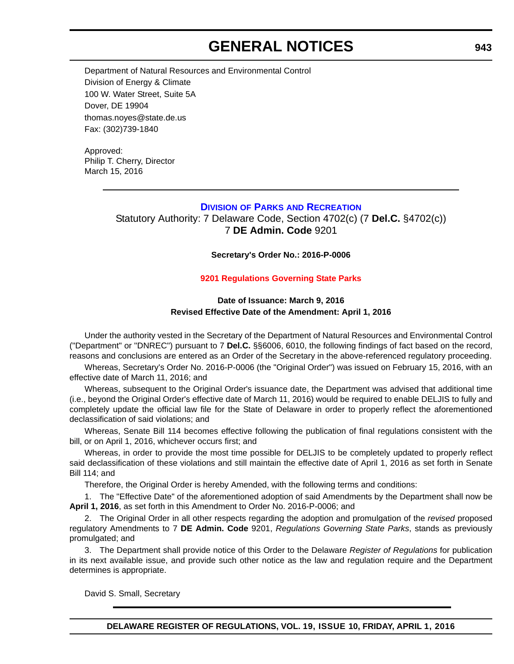# **GENERAL NOTICES**

Department of Natural Resources and Environmental Control Division of Energy & Climate 100 W. Water Street, Suite 5A Dover, DE 19904 thomas.noyes@state.de.us Fax: (302)739-1840

Approved: Philip T. Cherry, Director March 15, 2016

## **DIVISION OF PARKS [AND RECREATION](http://www.destateparks.com/)**

Statutory Authority: 7 Delaware Code, Section 4702(c) (7 **Del.C.** §4702(c)) 7 **DE Admin. Code** 9201

### **Secretary's Order No.: 2016-P-0006**

## **[9201 Regulations Governing State Parks](#page-4-0)**

## **Date of Issuance: March 9, 2016 Revised Effective Date of the Amendment: April 1, 2016**

Under the authority vested in the Secretary of the Department of Natural Resources and Environmental Control ("Department" or "DNREC") pursuant to 7 **Del.C.** §§6006, 6010, the following findings of fact based on the record, reasons and conclusions are entered as an Order of the Secretary in the above-referenced regulatory proceeding.

Whereas, Secretary's Order No. 2016-P-0006 (the "Original Order") was issued on February 15, 2016, with an effective date of March 11, 2016; and

Whereas, subsequent to the Original Order's issuance date, the Department was advised that additional time (i.e., beyond the Original Order's effective date of March 11, 2016) would be required to enable DELJIS to fully and completely update the official law file for the State of Delaware in order to properly reflect the aforementioned declassification of said violations; and

Whereas, Senate Bill 114 becomes effective following the publication of final regulations consistent with the bill, or on April 1, 2016, whichever occurs first; and

Whereas, in order to provide the most time possible for DELJIS to be completely updated to properly reflect said declassification of these violations and still maintain the effective date of April 1, 2016 as set forth in Senate Bill 114; and

Therefore, the Original Order is hereby Amended, with the following terms and conditions:

1. The "Effective Date" of the aforementioned adoption of said Amendments by the Department shall now be **April 1, 2016**, as set forth in this Amendment to Order No. 2016-P-0006; and

2. The Original Order in all other respects regarding the adoption and promulgation of the *revised* proposed regulatory Amendments to 7 **DE Admin. Code** 9201, *Regulations Governing State Parks*, stands as previously promulgated; and

3. The Department shall provide notice of this Order to the Delaware *Register of Regulations* for publication in its next available issue, and provide such other notice as the law and regulation require and the Department determines is appropriate.

David S. Small, Secretary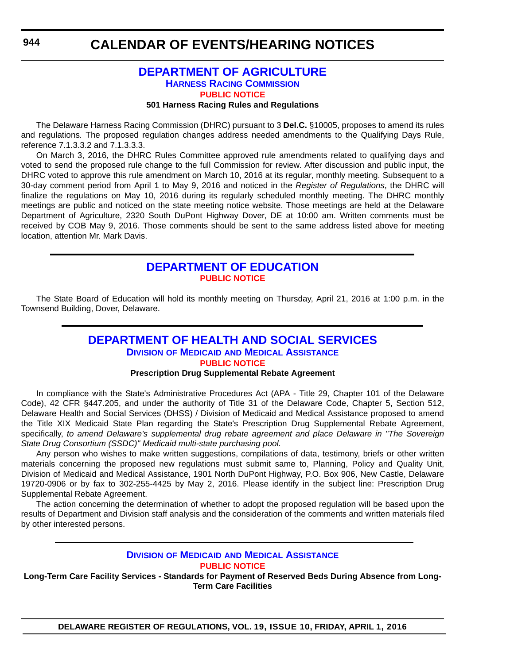## **[DEPARTMENT OF AGRICULTURE](http://dda.delaware.gov/harness/index.shtml) HARNESS RACING COMMISSION [PUBLIC NOTICE](#page-4-0)**

#### **501 Harness Racing Rules and Regulations**

The Delaware Harness Racing Commission (DHRC) pursuant to 3 **Del.C.** §10005, proposes to amend its rules and regulations*.* The proposed regulation changes address needed amendments to the Qualifying Days Rule, reference 7.1.3.3.2 and 7.1.3.3.3.

On March 3, 2016, the DHRC Rules Committee approved rule amendments related to qualifying days and voted to send the proposed rule change to the full Commission for review. After discussion and public input, the DHRC voted to approve this rule amendment on March 10, 2016 at its regular, monthly meeting. Subsequent to a 30-day comment period from April 1 to May 9, 2016 and noticed in the *Register of Regulations*, the DHRC will finalize the regulations on May 10, 2016 during its regularly scheduled monthly meeting. The DHRC monthly meetings are public and noticed on the state meeting notice website. Those meetings are held at the Delaware Department of Agriculture, 2320 South DuPont Highway Dover, DE at 10:00 am. Written comments must be received by COB May 9, 2016. Those comments should be sent to the same address listed above for meeting location, attention Mr. Mark Davis.

## **[DEPARTMENT OF EDUCATION](http://www.doe.k12.de.us/site/default.aspx?PageID=1) [PUBLIC NOTICE](#page-4-0)**

The State Board of Education will hold its monthly meeting on Thursday, April 21, 2016 at 1:00 p.m. in the Townsend Building, Dover, Delaware.

## **[DEPARTMENT OF HEALTH AND SOCIAL SERVICES](http://www.dhss.delaware.gov/dhss/dmma/) DIVISION OF MEDICAID AND MEDICAL ASSISTANCE [PUBLIC NOTICE](#page-4-0)**

## **Prescription Drug Supplemental Rebate Agreement**

In compliance with the State's Administrative Procedures Act (APA - Title 29, Chapter 101 of the Delaware Code), 42 CFR §447.205, and under the authority of Title 31 of the Delaware Code, Chapter 5, Section 512, Delaware Health and Social Services (DHSS) / Division of Medicaid and Medical Assistance proposed to amend the Title XIX Medicaid State Plan regarding the State's Prescription Drug Supplemental Rebate Agreement, specifically, *to amend Delaware's supplemental drug rebate agreement and place Delaware in "The Sovereign State Drug Consortium (SSDC)" Medicaid multi-state purchasing pool*.

Any person who wishes to make written suggestions, compilations of data, testimony, briefs or other written materials concerning the proposed new regulations must submit same to, Planning, Policy and Quality Unit, Division of Medicaid and Medical Assistance, 1901 North DuPont Highway, P.O. Box 906, New Castle, Delaware 19720-0906 or by fax to 302-255-4425 by May 2, 2016. Please identify in the subject line: Prescription Drug Supplemental Rebate Agreement.

The action concerning the determination of whether to adopt the proposed regulation will be based upon the results of Department and Division staff analysis and the consideration of the comments and written materials filed by other interested persons.

#### **DIVISION OF MEDICAID [AND MEDICAL ASSISTANCE](http://www.dhss.delaware.gov/dhss/dmma/) [PUBLIC NOTICE](#page-4-0)**

**Long-Term Care Facility Services - Standards for Payment of Reserved Beds During Absence from Long-Term Care Facilities**

**DELAWARE REGISTER OF REGULATIONS, VOL. 19, ISSUE 10, FRIDAY, APRIL 1, 2016**

**944**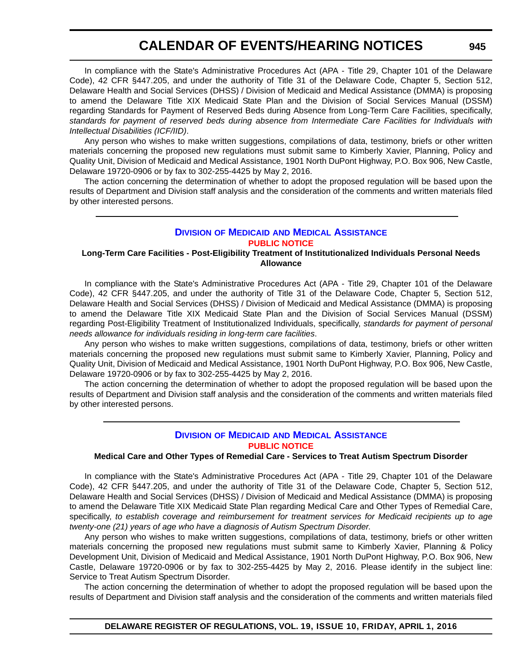In compliance with the State's Administrative Procedures Act (APA - Title 29, Chapter 101 of the Delaware Code), 42 CFR §447.205, and under the authority of Title 31 of the Delaware Code, Chapter 5, Section 512, Delaware Health and Social Services (DHSS) / Division of Medicaid and Medical Assistance (DMMA) is proposing to amend the Delaware Title XIX Medicaid State Plan and the Division of Social Services Manual (DSSM) regarding Standards for Payment of Reserved Beds during Absence from Long-Term Care Facilities, specifically, *standards for payment of reserved beds during absence from Intermediate Care Facilities for Individuals with Intellectual Disabilities (ICF/IID)*.

Any person who wishes to make written suggestions, compilations of data, testimony, briefs or other written materials concerning the proposed new regulations must submit same to Kimberly Xavier, Planning, Policy and Quality Unit, Division of Medicaid and Medical Assistance, 1901 North DuPont Highway, P.O. Box 906, New Castle, Delaware 19720-0906 or by fax to 302-255-4425 by May 2, 2016.

The action concerning the determination of whether to adopt the proposed regulation will be based upon the results of Department and Division staff analysis and the consideration of the comments and written materials filed by other interested persons.

## **DIVISION OF MEDICAID [AND MEDICAL ASSISTANCE](http://www.dhss.delaware.gov/dhss/dmma/) [PUBLIC NOTICE](#page-4-0)**

## **Long-Term Care Facilities - Post-Eligibility Treatment of Institutionalized Individuals Personal Needs Allowance**

In compliance with the State's Administrative Procedures Act (APA - Title 29, Chapter 101 of the Delaware Code), 42 CFR §447.205, and under the authority of Title 31 of the Delaware Code, Chapter 5, Section 512, Delaware Health and Social Services (DHSS) / Division of Medicaid and Medical Assistance (DMMA) is proposing to amend the Delaware Title XIX Medicaid State Plan and the Division of Social Services Manual (DSSM) regarding Post-Eligibility Treatment of Institutionalized Individuals, specifically, *standards for payment of personal needs allowance for individuals residing in long-term care facilities*.

Any person who wishes to make written suggestions, compilations of data, testimony, briefs or other written materials concerning the proposed new regulations must submit same to Kimberly Xavier, Planning, Policy and Quality Unit, Division of Medicaid and Medical Assistance, 1901 North DuPont Highway, P.O. Box 906, New Castle, Delaware 19720-0906 or by fax to 302-255-4425 by May 2, 2016.

The action concerning the determination of whether to adopt the proposed regulation will be based upon the results of Department and Division staff analysis and the consideration of the comments and written materials filed by other interested persons.

## **DIVISION OF MEDICAID [AND MEDICAL ASSISTANCE](http://www.dhss.delaware.gov/dhss/dmma/) [PUBLIC NOTICE](#page-4-0)**

## **Medical Care and Other Types of Remedial Care - Services to Treat Autism Spectrum Disorder**

In compliance with the State's Administrative Procedures Act (APA - Title 29, Chapter 101 of the Delaware Code), 42 CFR §447.205, and under the authority of Title 31 of the Delaware Code, Chapter 5, Section 512, Delaware Health and Social Services (DHSS) / Division of Medicaid and Medical Assistance (DMMA) is proposing to amend the Delaware Title XIX Medicaid State Plan regarding Medical Care and Other Types of Remedial Care, specifically, *to establish coverage and reimbursement for treatment services for Medicaid recipients up to age twenty-one (21) years of age who have a diagnosis of Autism Spectrum Disorder*.

Any person who wishes to make written suggestions, compilations of data, testimony, briefs or other written materials concerning the proposed new regulations must submit same to Kimberly Xavier, Planning & Policy Development Unit, Division of Medicaid and Medical Assistance, 1901 North DuPont Highway, P.O. Box 906, New Castle, Delaware 19720-0906 or by fax to 302-255-4425 by May 2, 2016. Please identify in the subject line: Service to Treat Autism Spectrum Disorder.

The action concerning the determination of whether to adopt the proposed regulation will be based upon the results of Department and Division staff analysis and the consideration of the comments and written materials filed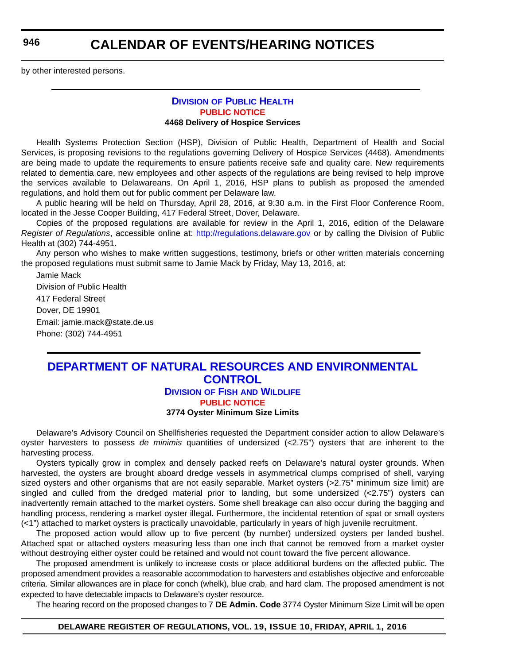**946**

## **CALENDAR OF EVENTS/HEARING NOTICES**

by other interested persons.

#### **DIVISION [OF PUBLIC HEALTH](http://www.dhss.delaware.gov/dhss/dph/index.html) [PUBLIC NOTICE](#page-4-0) 4468 Delivery of Hospice Services**

Health Systems Protection Section (HSP), Division of Public Health, Department of Health and Social Services, is proposing revisions to the regulations governing Delivery of Hospice Services (4468). Amendments are being made to update the requirements to ensure patients receive safe and quality care. New requirements related to dementia care, new employees and other aspects of the regulations are being revised to help improve the services available to Delawareans. On April 1, 2016, HSP plans to publish as proposed the amended regulations, and hold them out for public comment per Delaware law.

A public hearing will be held on Thursday, April 28, 2016, at 9:30 a.m. in the First Floor Conference Room, located in the Jesse Cooper Building, 417 Federal Street, Dover, Delaware.

Copies of the proposed regulations are available for review in the April 1, 2016, edition of the Delaware *Register of Regulations*, accessible online at: <http://regulations.delaware.gov> or by calling the Division of Public Health at (302) 744-4951.

Any person who wishes to make written suggestions, testimony, briefs or other written materials concerning the proposed regulations must submit same to Jamie Mack by Friday, May 13, 2016, at:

Jamie Mack Division of Public Health 417 Federal Street Dover, DE 19901 Email: jamie.mack@state.de.us Phone: (302) 744-4951

## **[DEPARTMENT OF NATURAL RESOURCES AND ENVIRONMENTAL](http://www.dnrec.delaware.gov/fw/Pages/DFW-Portal.aspx)  CONTROL DIVISION OF FISH AND WILDLIFE**

**[PUBLIC NOTICE](#page-4-0)**

#### **3774 Oyster Minimum Size Limits**

Delaware's Advisory Council on Shellfisheries requested the Department consider action to allow Delaware's oyster harvesters to possess *de minimis* quantities of undersized (<2.75") oysters that are inherent to the harvesting process.

Oysters typically grow in complex and densely packed reefs on Delaware's natural oyster grounds. When harvested, the oysters are brought aboard dredge vessels in asymmetrical clumps comprised of shell, varying sized oysters and other organisms that are not easily separable. Market oysters (>2.75" minimum size limit) are singled and culled from the dredged material prior to landing, but some undersized (<2.75") oysters can inadvertently remain attached to the market oysters. Some shell breakage can also occur during the bagging and handling process, rendering a market oyster illegal. Furthermore, the incidental retention of spat or small oysters (<1") attached to market oysters is practically unavoidable, particularly in years of high juvenile recruitment.

The proposed action would allow up to five percent (by number) undersized oysters per landed bushel. Attached spat or attached oysters measuring less than one inch that cannot be removed from a market oyster without destroying either oyster could be retained and would not count toward the five percent allowance.

The proposed amendment is unlikely to increase costs or place additional burdens on the affected public. The proposed amendment provides a reasonable accommodation to harvesters and establishes objective and enforceable criteria. Similar allowances are in place for conch (whelk), blue crab, and hard clam. The proposed amendment is not expected to have detectable impacts to Delaware's oyster resource.

The hearing record on the proposed changes to 7 **DE Admin. Code** 3774 Oyster Minimum Size Limit will be open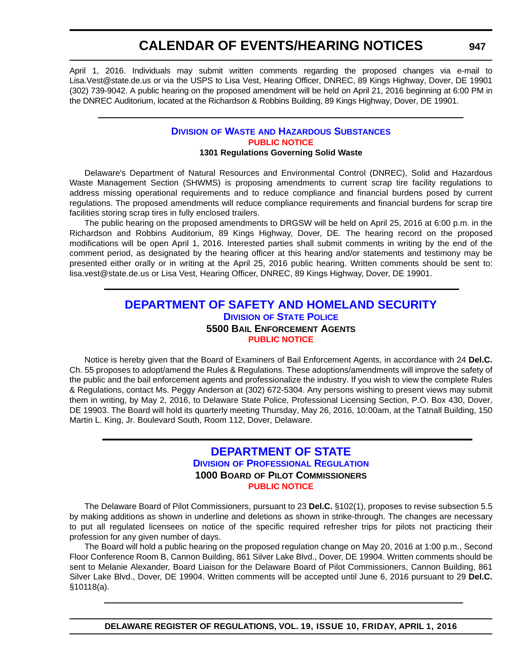April 1, 2016. Individuals may submit written comments regarding the proposed changes via e-mail to Lisa.Vest@state.de.us or via the USPS to Lisa Vest, Hearing Officer, DNREC, 89 Kings Highway, Dover, DE 19901 (302) 739-9042. A public hearing on the proposed amendment will be held on April 21, 2016 beginning at 6:00 PM in the DNREC Auditorium, located at the Richardson & Robbins Building, 89 Kings Highway, Dover, DE 19901.

#### **DIVISION OF WASTE [AND HAZARDOUS SUBSTANCES](http://www.dnrec.delaware.gov/dwhs/Pages/default.aspx) [PUBLIC NOTICE](#page-4-0) 1301 Regulations Governing Solid Waste**

Delaware's Department of Natural Resources and Environmental Control (DNREC), Solid and Hazardous Waste Management Section (SHWMS) is proposing amendments to current scrap tire facility regulations to address missing operational requirements and to reduce compliance and financial burdens posed by current regulations. The proposed amendments will reduce compliance requirements and financial burdens for scrap tire facilities storing scrap tires in fully enclosed trailers.

The public hearing on the proposed amendments to DRGSW will be held on April 25, 2016 at 6:00 p.m. in the Richardson and Robbins Auditorium, 89 Kings Highway, Dover, DE. The hearing record on the proposed modifications will be open April 1, 2016. Interested parties shall submit comments in writing by the end of the comment period, as designated by the hearing officer at this hearing and/or statements and testimony may be presented either orally or in writing at the April 25, 2016 public hearing. Written comments should be sent to: lisa.vest@state.de.us or Lisa Vest, Hearing Officer, DNREC, 89 Kings Highway, Dover, DE 19901.

## **[DEPARTMENT OF SAFETY AND HOMELAND SECURITY](http://dsp.delaware.gov/) DIVISION OF STATE POLICE 5500 BAIL ENFORCEMENT AGENTS [PUBLIC NOTICE](#page-4-0)**

Notice is hereby given that the Board of Examiners of Bail Enforcement Agents, in accordance with 24 **Del.C.** Ch. 55 proposes to adopt/amend the Rules & Regulations. These adoptions/amendments will improve the safety of the public and the bail enforcement agents and professionalize the industry. If you wish to view the complete Rules & Regulations, contact Ms. Peggy Anderson at (302) 672-5304. Any persons wishing to present views may submit them in writing, by May 2, 2016, to Delaware State Police, Professional Licensing Section, P.O. Box 430, Dover, DE 19903. The Board will hold its quarterly meeting Thursday, May 26, 2016, 10:00am, at the Tatnall Building, 150 Martin L. King, Jr. Boulevard South, Room 112, Dover, Delaware.

## **[DEPARTMENT OF STATE](http://dpr.delaware.gov/) DIVISION OF PROFESSIONAL REGULATION 1000 BOARD OF PILOT COMMISSIONERS [PUBLIC NOTICE](#page-4-0)**

The Delaware Board of Pilot Commissioners, pursuant to 23 **Del.C.** §102(1), proposes to revise subsection 5.5 by making additions as shown in underline and deletions as shown in strike-through. The changes are necessary to put all regulated licensees on notice of the specific required refresher trips for pilots not practicing their profession for any given number of days.

The Board will hold a public hearing on the proposed regulation change on May 20, 2016 at 1:00 p.m., Second Floor Conference Room B, Cannon Building, 861 Silver Lake Blvd., Dover, DE 19904. Written comments should be sent to Melanie Alexander, Board Liaison for the Delaware Board of Pilot Commissioners, Cannon Building, 861 Silver Lake Blvd., Dover, DE 19904. Written comments will be accepted until June 6, 2016 pursuant to 29 **Del.C.** §10118(a).